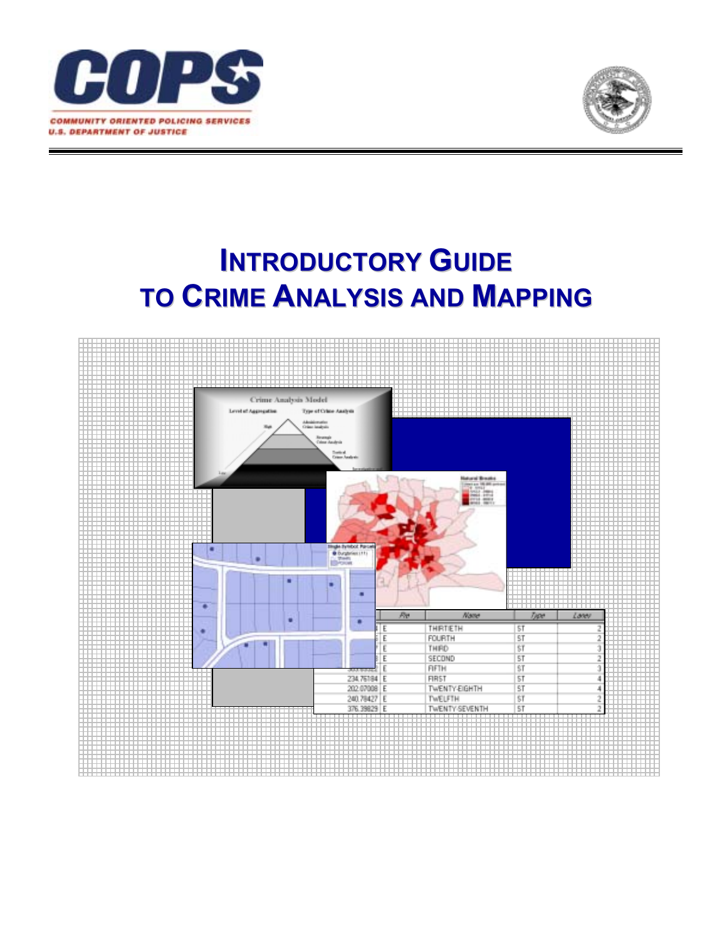



# **INTRODUCTORY GUIDE TO CRIME ANALYSIS AND MAPPING**

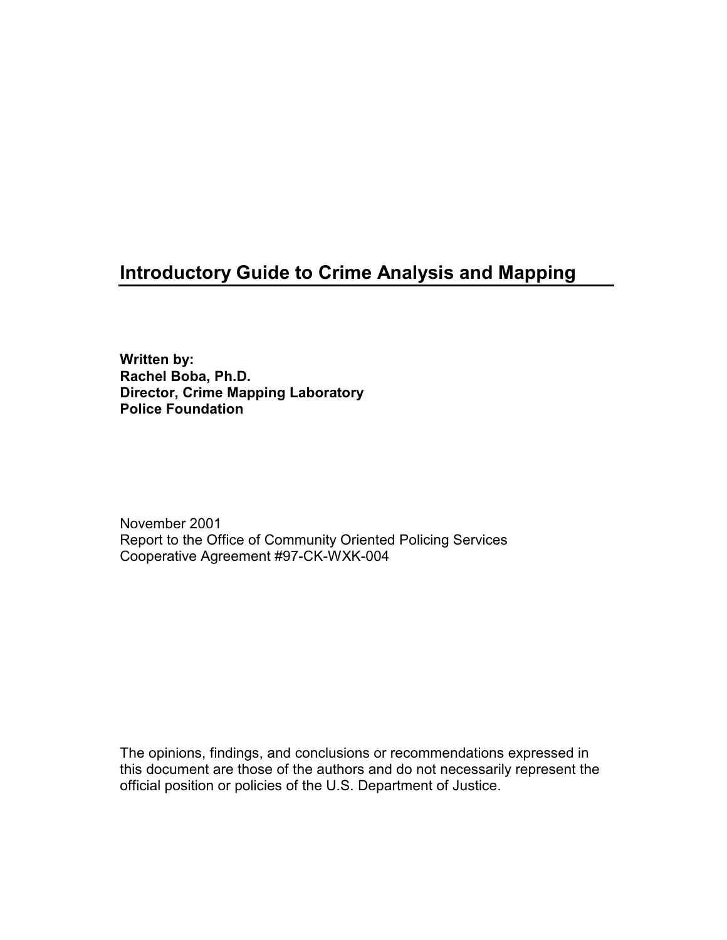# **Introductory Guide to Crime Analysis and Mapping**

**Written by: Rachel Boba, Ph.D. Director, Crime Mapping Laboratory Police Foundation** 

November 2001 Report to the Office of Community Oriented Policing Services Cooperative Agreement #97-CK-WXK-004

The opinions, findings, and conclusions or recommendations expressed in this document are those of the authors and do not necessarily represent the official position or policies of the U.S. Department of Justice.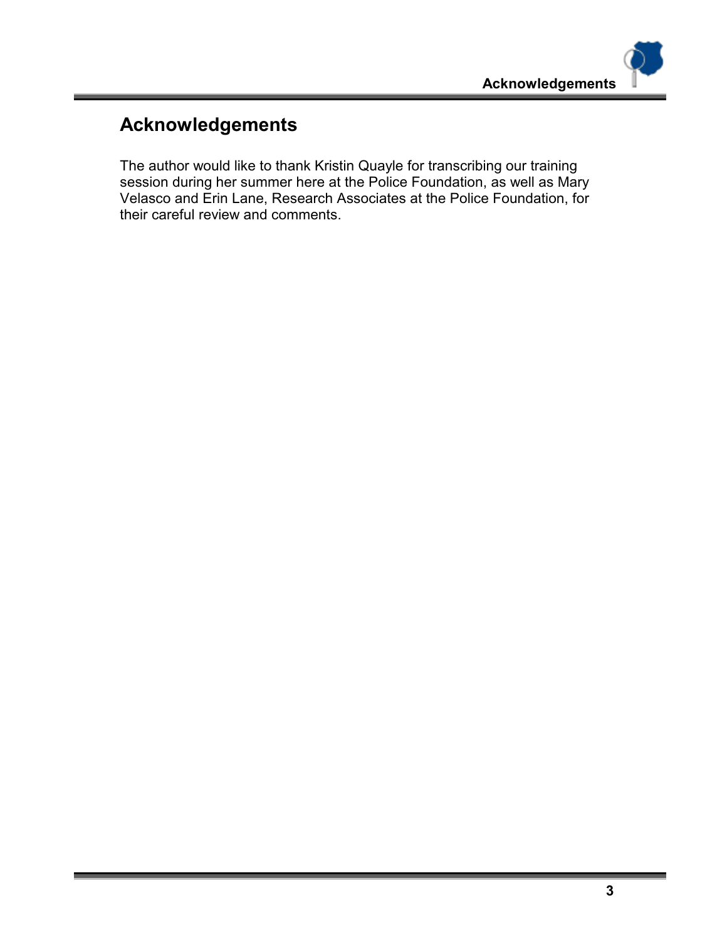# **Acknowledgements**

The author would like to thank Kristin Quayle for transcribing our training session during her summer here at the Police Foundation, as well as Mary Velasco and Erin Lane, Research Associates at the Police Foundation, for their careful review and comments.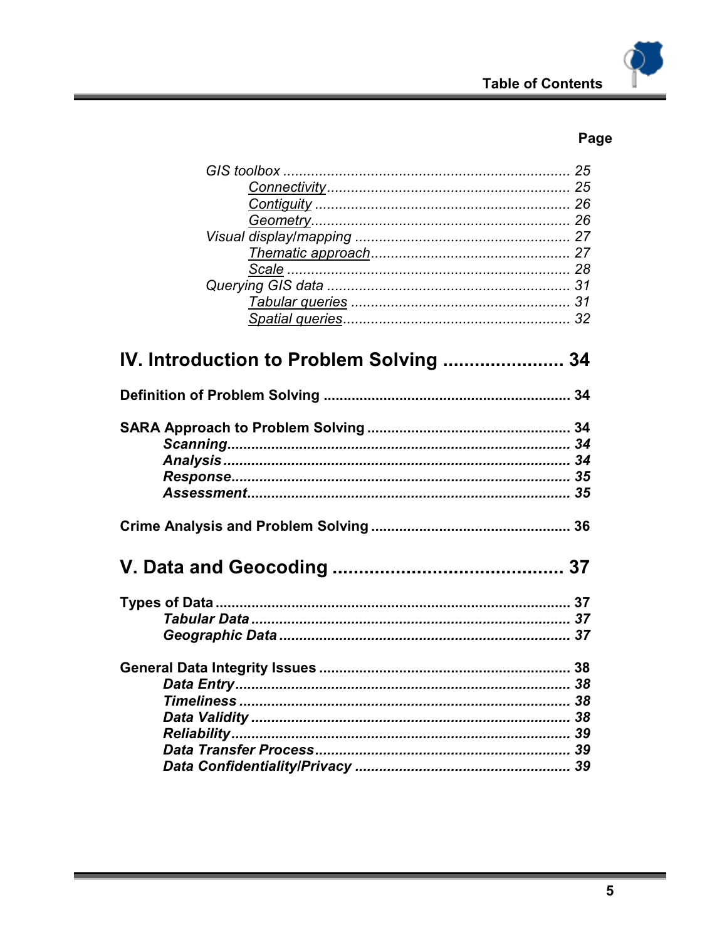| IV. Introduction to Problem Solving  34 |  |
|-----------------------------------------|--|
|                                         |  |
|                                         |  |
|                                         |  |
|                                         |  |
|                                         |  |
|                                         |  |
|                                         |  |
|                                         |  |
|                                         |  |
|                                         |  |
|                                         |  |
|                                         |  |
|                                         |  |
|                                         |  |
|                                         |  |
|                                         |  |
|                                         |  |
|                                         |  |
|                                         |  |
|                                         |  |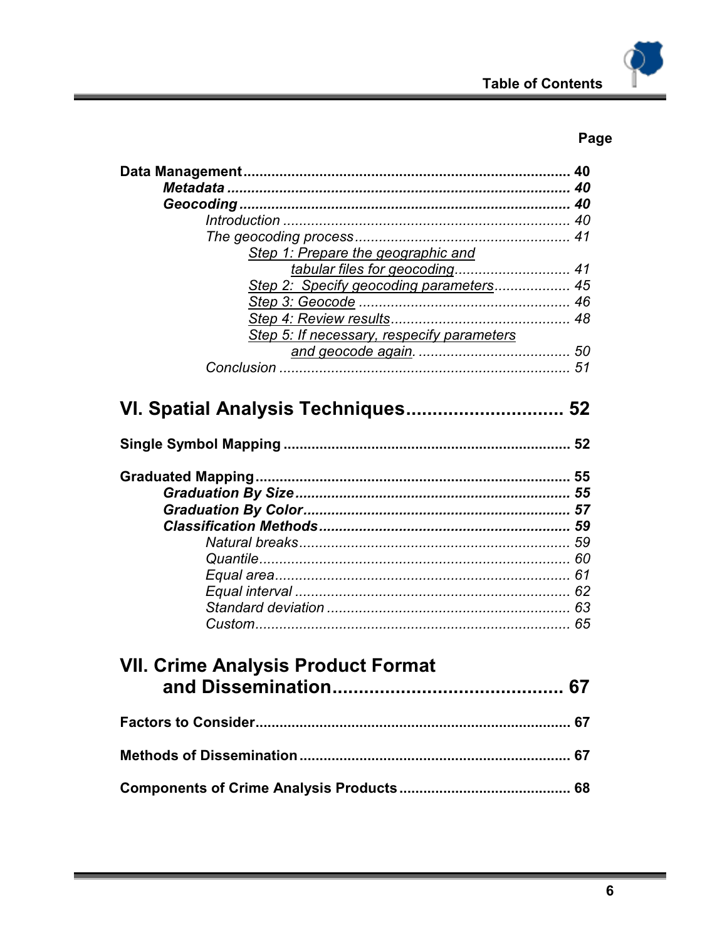| Step 1: Prepare the geographic and         |
|--------------------------------------------|
| tabular files for geocoding 41             |
| Step 2: Specify geocoding parameters 45    |
|                                            |
|                                            |
| Step 5: If necessary, respecify parameters |
|                                            |
|                                            |
|                                            |
|                                            |
| VI. Spatial Analysis Techniques 52         |
|                                            |
|                                            |
|                                            |
|                                            |
|                                            |
|                                            |
|                                            |
|                                            |
|                                            |
|                                            |
|                                            |
|                                            |
|                                            |
|                                            |
|                                            |
| <b>VII. Crime Analysis Product Format</b>  |
|                                            |
|                                            |
|                                            |
|                                            |
|                                            |
|                                            |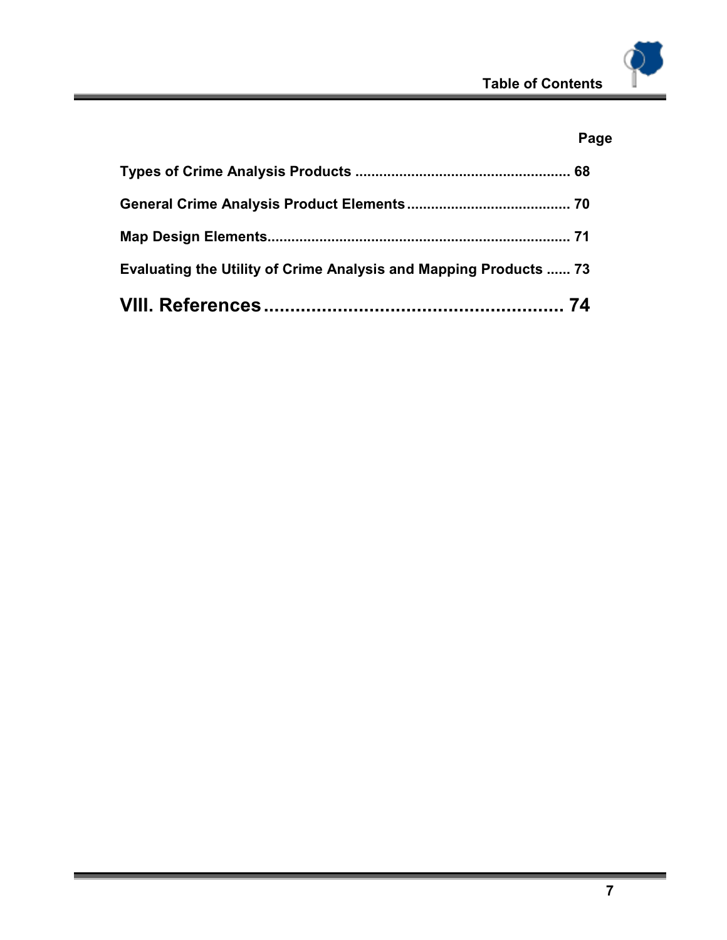| Evaluating the Utility of Crime Analysis and Mapping Products  73 |  |
|-------------------------------------------------------------------|--|
|                                                                   |  |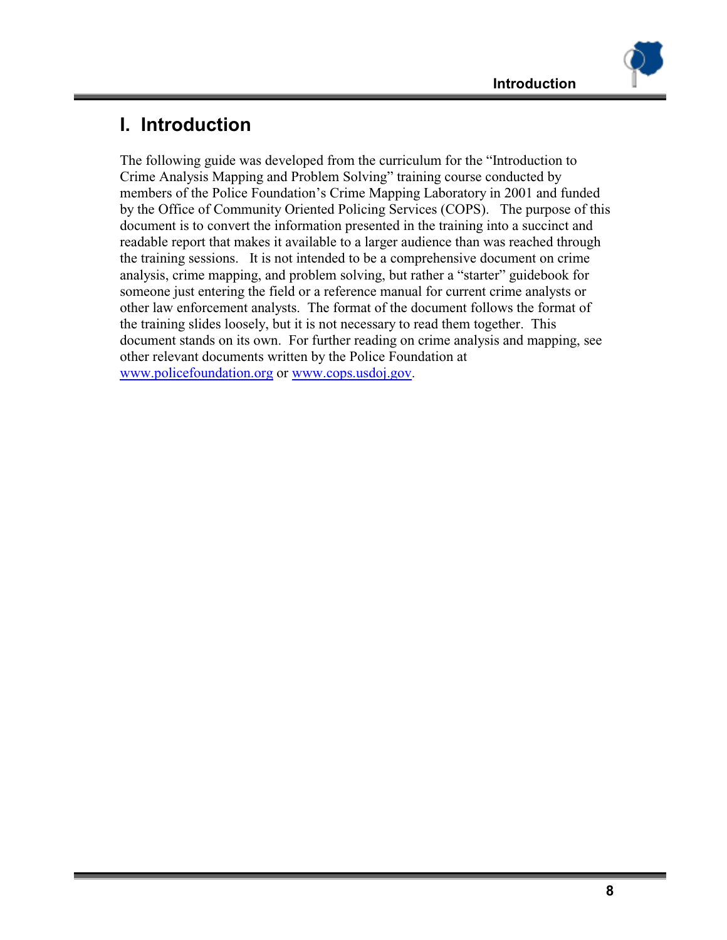# **I. Introduction**

The following guide was developed from the curriculum for the "Introduction to Crime Analysis Mapping and Problem Solving" training course conducted by members of the Police Foundation's Crime Mapping Laboratory in 2001 and funded by the Office of Community Oriented Policing Services (COPS). The purpose of this document is to convert the information presented in the training into a succinct and readable report that makes it available to a larger audience than was reached through the training sessions. It is not intended to be a comprehensive document on crime analysis, crime mapping, and problem solving, but rather a "starter" guidebook for someone just entering the field or a reference manual for current crime analysts or other law enforcement analysts. The format of the document follows the format of the training slides loosely, but it is not necessary to read them together. This document stands on its own. For further reading on crime analysis and mapping, see other relevant documents written by the Police Foundation at www.policefoundation.org or www.cops.usdoj.gov.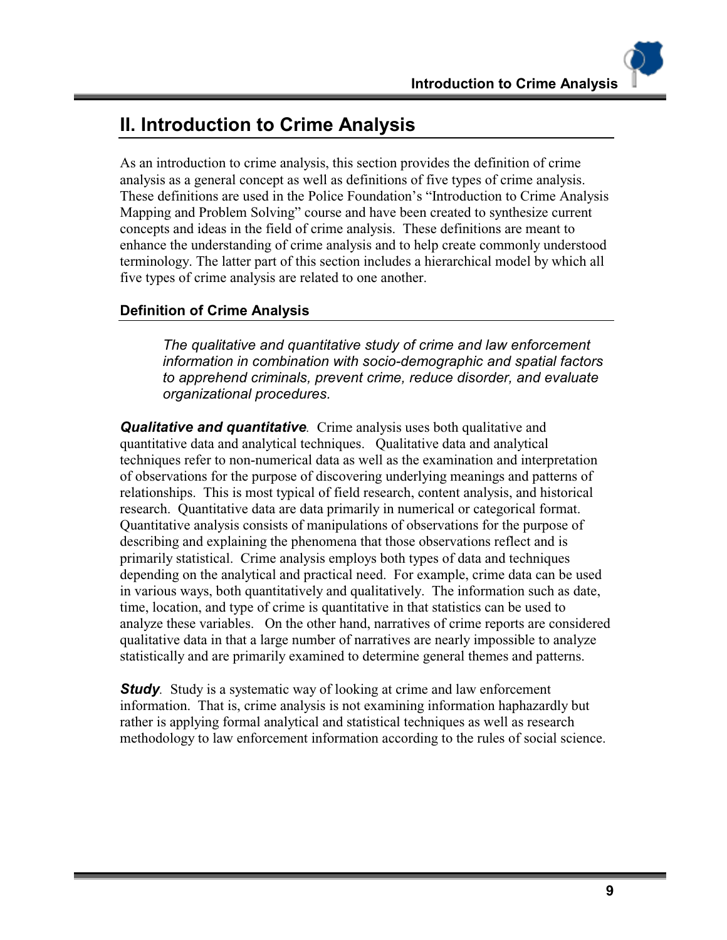# **II. Introduction to Crime Analysis**

As an introduction to crime analysis, this section provides the definition of crime analysis as a general concept as well as definitions of five types of crime analysis. These definitions are used in the Police Foundation's "Introduction to Crime Analysis Mapping and Problem Solving" course and have been created to synthesize current concepts and ideas in the field of crime analysis. These definitions are meant to enhance the understanding of crime analysis and to help create commonly understood terminology. The latter part of this section includes a hierarchical model by which all five types of crime analysis are related to one another.

# **Definition of Crime Analysis**

*The qualitative and quantitative study of crime and law enforcement information in combination with socio-demographic and spatial factors to apprehend criminals, prevent crime, reduce disorder, and evaluate organizational procedures.*

*Qualitative and quantitative.* Crime analysis uses both qualitative and quantitative data and analytical techniques. Qualitative data and analytical techniques refer to non-numerical data as well as the examination and interpretation of observations for the purpose of discovering underlying meanings and patterns of relationships. This is most typical of field research, content analysis, and historical research. Quantitative data are data primarily in numerical or categorical format. Quantitative analysis consists of manipulations of observations for the purpose of describing and explaining the phenomena that those observations reflect and is primarily statistical. Crime analysis employs both types of data and techniques depending on the analytical and practical need. For example, crime data can be used in various ways, both quantitatively and qualitatively. The information such as date, time, location, and type of crime is quantitative in that statistics can be used to analyze these variables. On the other hand, narratives of crime reports are considered qualitative data in that a large number of narratives are nearly impossible to analyze statistically and are primarily examined to determine general themes and patterns.

*Study*. Study is a systematic way of looking at crime and law enforcement information. That is, crime analysis is not examining information haphazardly but rather is applying formal analytical and statistical techniques as well as research methodology to law enforcement information according to the rules of social science.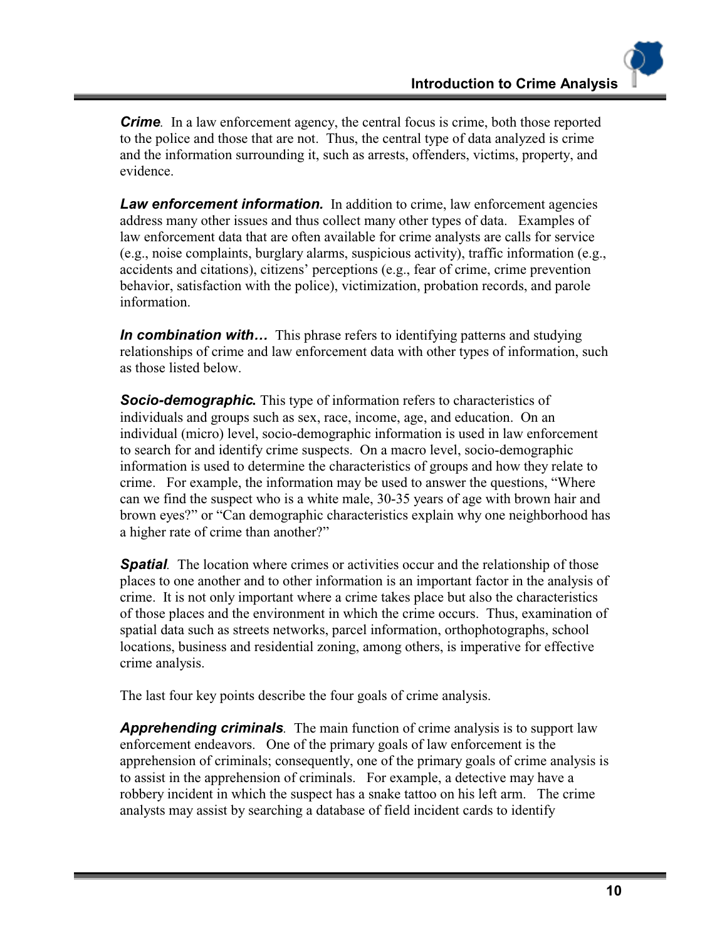*Crime.* In a law enforcement agency, the central focus is crime, both those reported to the police and those that are not. Thus, the central type of data analyzed is crime and the information surrounding it, such as arrests, offenders, victims, property, and evidence.

**Law enforcement information.** In addition to crime, law enforcement agencies address many other issues and thus collect many other types of data. Examples of law enforcement data that are often available for crime analysts are calls for service (e.g., noise complaints, burglary alarms, suspicious activity), traffic information (e.g., accidents and citations), citizens' perceptions (e.g., fear of crime, crime prevention behavior, satisfaction with the police), victimization, probation records, and parole information.

*In combination with...* This phrase refers to identifying patterns and studying relationships of crime and law enforcement data with other types of information, such as those listed below.

*Socio-demographic.* This type of information refers to characteristics of individuals and groups such as sex, race, income, age, and education. On an individual (micro) level, socio-demographic information is used in law enforcement to search for and identify crime suspects. On a macro level, socio-demographic information is used to determine the characteristics of groups and how they relate to crime. For example, the information may be used to answer the questions, "Where can we find the suspect who is a white male, 30-35 years of age with brown hair and brown eyes?" or "Can demographic characteristics explain why one neighborhood has a higher rate of crime than another?"

**Spatial**. The location where crimes or activities occur and the relationship of those places to one another and to other information is an important factor in the analysis of crime. It is not only important where a crime takes place but also the characteristics of those places and the environment in which the crime occurs. Thus, examination of spatial data such as streets networks, parcel information, orthophotographs, school locations, business and residential zoning, among others, is imperative for effective crime analysis.

The last four key points describe the four goals of crime analysis.

*Apprehending criminals.* The main function of crime analysis is to support law enforcement endeavors. One of the primary goals of law enforcement is the apprehension of criminals; consequently, one of the primary goals of crime analysis is to assist in the apprehension of criminals. For example, a detective may have a robbery incident in which the suspect has a snake tattoo on his left arm. The crime analysts may assist by searching a database of field incident cards to identify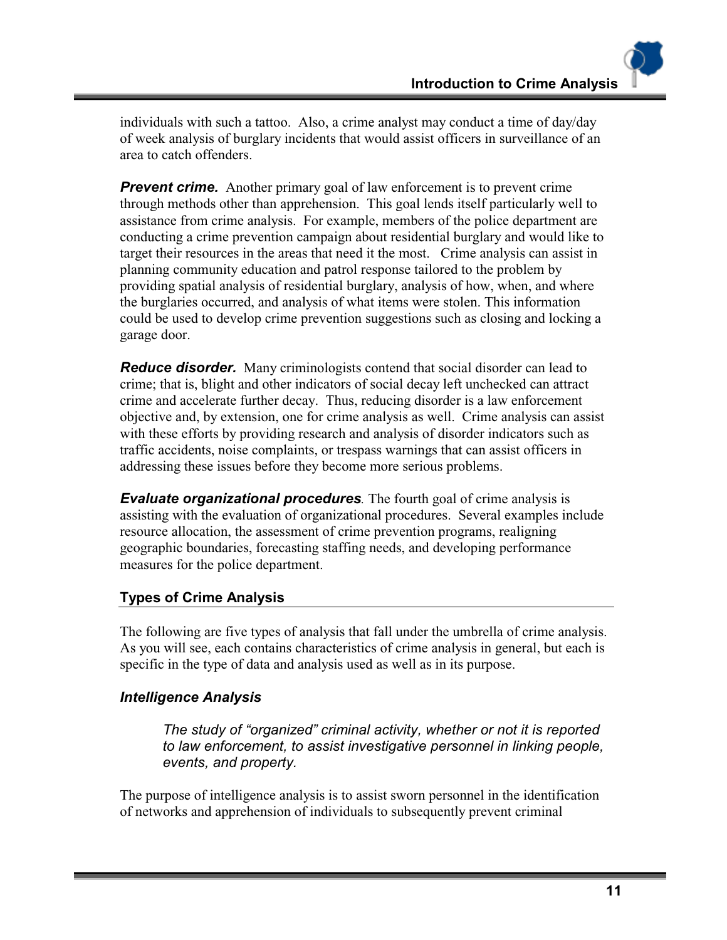individuals with such a tattoo. Also, a crime analyst may conduct a time of day/day of week analysis of burglary incidents that would assist officers in surveillance of an area to catch offenders.

*Prevent crime.* Another primary goal of law enforcement is to prevent crime through methods other than apprehension. This goal lends itself particularly well to assistance from crime analysis. For example, members of the police department are conducting a crime prevention campaign about residential burglary and would like to target their resources in the areas that need it the most. Crime analysis can assist in planning community education and patrol response tailored to the problem by providing spatial analysis of residential burglary, analysis of how, when, and where the burglaries occurred, and analysis of what items were stolen. This information could be used to develop crime prevention suggestions such as closing and locking a garage door.

*Reduce disorder.* Many criminologists contend that social disorder can lead to crime; that is, blight and other indicators of social decay left unchecked can attract crime and accelerate further decay. Thus, reducing disorder is a law enforcement objective and, by extension, one for crime analysis as well. Crime analysis can assist with these efforts by providing research and analysis of disorder indicators such as traffic accidents, noise complaints, or trespass warnings that can assist officers in addressing these issues before they become more serious problems.

*Evaluate organizational procedures.* The fourth goal of crime analysis is assisting with the evaluation of organizational procedures. Several examples include resource allocation, the assessment of crime prevention programs, realigning geographic boundaries, forecasting staffing needs, and developing performance measures for the police department.

# **Types of Crime Analysis**

The following are five types of analysis that fall under the umbrella of crime analysis. As you will see, each contains characteristics of crime analysis in general, but each is specific in the type of data and analysis used as well as in its purpose.

# *Intelligence Analysis*

*The study of "organized" criminal activity, whether or not it is reported to law enforcement, to assist investigative personnel in linking people, events, and property.* 

The purpose of intelligence analysis is to assist sworn personnel in the identification of networks and apprehension of individuals to subsequently prevent criminal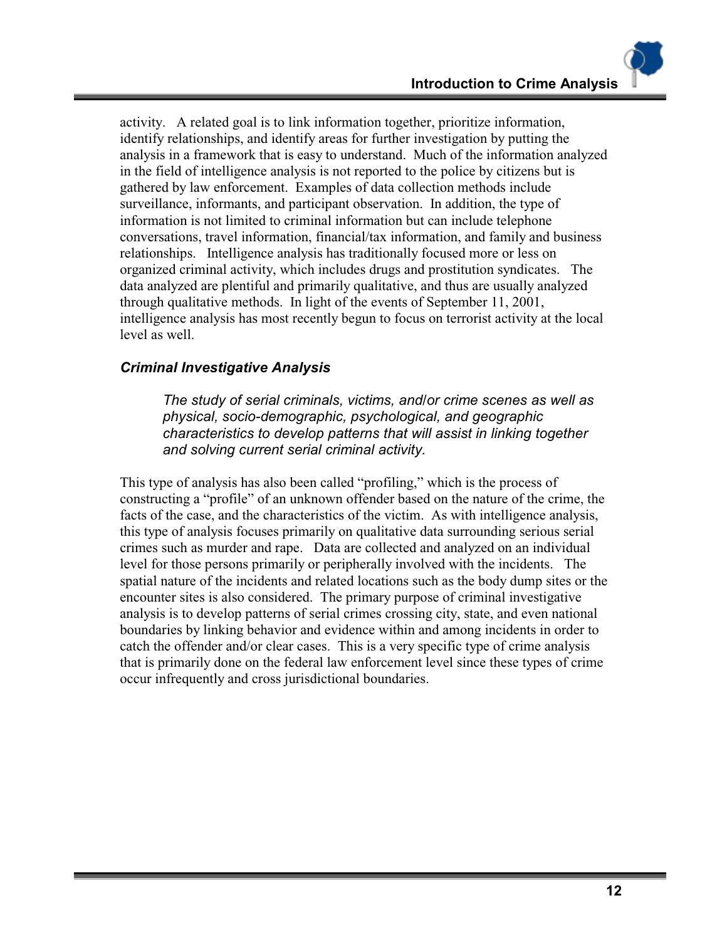activity. A related goal is to link information together, prioritize information, identify relationships, and identify areas for further investigation by putting the analysis in a framework that is easy to understand. Much of the information analyzed in the field of intelligence analysis is not reported to the police by citizens but is gathered by law enforcement. Examples of data collection methods include surveillance, informants, and participant observation. In addition, the type of information is not limited to criminal information but can include telephone conversations, travel information, financial/tax information, and family and business relationships. Intelligence analysis has traditionally focused more or less on organized criminal activity, which includes drugs and prostitution syndicates. The data analyzed are plentiful and primarily qualitative, and thus are usually analyzed through qualitative methods. In light of the events of September 11, 2001, intelligence analysis has most recently begun to focus on terrorist activity at the local level as well.

#### *Criminal Investigative Analysis*

*The study of serial criminals, victims, and/or crime scenes as well as physical, socio-demographic, psychological, and geographic characteristics to develop patterns that will assist in linking together and solving current serial criminal activity.* 

This type of analysis has also been called "profiling," which is the process of constructing a "profile" of an unknown offender based on the nature of the crime, the facts of the case, and the characteristics of the victim. As with intelligence analysis, this type of analysis focuses primarily on qualitative data surrounding serious serial crimes such as murder and rape. Data are collected and analyzed on an individual level for those persons primarily or peripherally involved with the incidents. The spatial nature of the incidents and related locations such as the body dump sites or the encounter sites is also considered. The primary purpose of criminal investigative analysis is to develop patterns of serial crimes crossing city, state, and even national boundaries by linking behavior and evidence within and among incidents in order to catch the offender and/or clear cases. This is a very specific type of crime analysis that is primarily done on the federal law enforcement level since these types of crime occur infrequently and cross jurisdictional boundaries.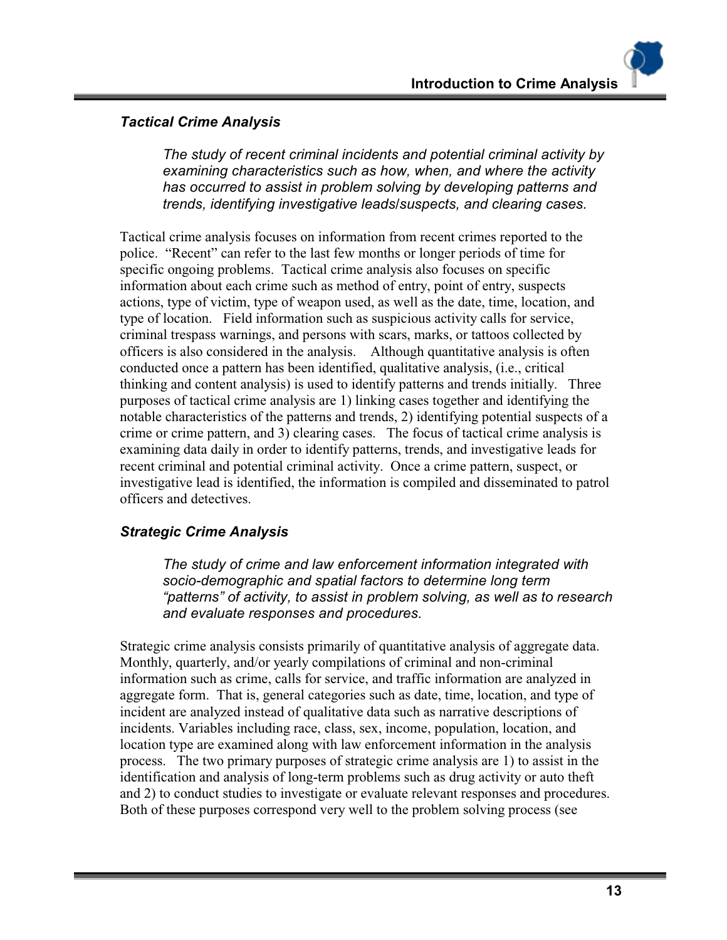#### *Tactical Crime Analysis*

*The study of recent criminal incidents and potential criminal activity by examining characteristics such as how, when, and where the activity has occurred to assist in problem solving by developing patterns and trends, identifying investigative leads/suspects, and clearing cases.* 

Tactical crime analysis focuses on information from recent crimes reported to the police. "Recent" can refer to the last few months or longer periods of time for specific ongoing problems. Tactical crime analysis also focuses on specific information about each crime such as method of entry, point of entry, suspects actions, type of victim, type of weapon used, as well as the date, time, location, and type of location. Field information such as suspicious activity calls for service, criminal trespass warnings, and persons with scars, marks, or tattoos collected by officers is also considered in the analysis. Although quantitative analysis is often conducted once a pattern has been identified, qualitative analysis, (i.e., critical thinking and content analysis) is used to identify patterns and trends initially. Three purposes of tactical crime analysis are 1) linking cases together and identifying the notable characteristics of the patterns and trends, 2) identifying potential suspects of a crime or crime pattern, and 3) clearing cases. The focus of tactical crime analysis is examining data daily in order to identify patterns, trends, and investigative leads for recent criminal and potential criminal activity. Once a crime pattern, suspect, or investigative lead is identified, the information is compiled and disseminated to patrol officers and detectives.

#### *Strategic Crime Analysis*

*The study of crime and law enforcement information integrated with socio-demographic and spatial factors to determine long term "patterns" of activity, to assist in problem solving, as well as to research and evaluate responses and procedures.* 

Strategic crime analysis consists primarily of quantitative analysis of aggregate data. Monthly, quarterly, and/or yearly compilations of criminal and non-criminal information such as crime, calls for service, and traffic information are analyzed in aggregate form. That is, general categories such as date, time, location, and type of incident are analyzed instead of qualitative data such as narrative descriptions of incidents. Variables including race, class, sex, income, population, location, and location type are examined along with law enforcement information in the analysis process. The two primary purposes of strategic crime analysis are 1) to assist in the identification and analysis of long-term problems such as drug activity or auto theft and 2) to conduct studies to investigate or evaluate relevant responses and procedures. Both of these purposes correspond very well to the problem solving process (see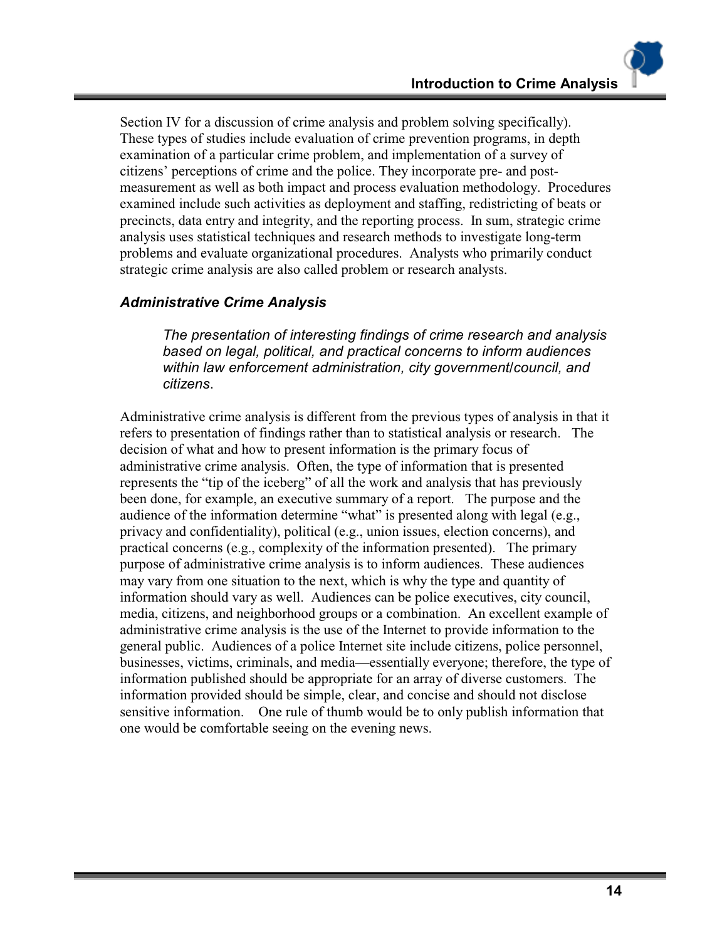Section IV for a discussion of crime analysis and problem solving specifically). These types of studies include evaluation of crime prevention programs, in depth examination of a particular crime problem, and implementation of a survey of citizens' perceptions of crime and the police. They incorporate pre- and postmeasurement as well as both impact and process evaluation methodology. Procedures examined include such activities as deployment and staffing, redistricting of beats or precincts, data entry and integrity, and the reporting process. In sum, strategic crime analysis uses statistical techniques and research methods to investigate long-term problems and evaluate organizational procedures. Analysts who primarily conduct strategic crime analysis are also called problem or research analysts.

#### *Administrative Crime Analysis*

*The presentation of interesting findings of crime research and analysis based on legal, political, and practical concerns to inform audiences within law enforcement administration, city government/council, and citizens*.

Administrative crime analysis is different from the previous types of analysis in that it refers to presentation of findings rather than to statistical analysis or research. The decision of what and how to present information is the primary focus of administrative crime analysis. Often, the type of information that is presented represents the "tip of the iceberg" of all the work and analysis that has previously been done, for example, an executive summary of a report. The purpose and the audience of the information determine "what" is presented along with legal (e.g., privacy and confidentiality), political (e.g., union issues, election concerns), and practical concerns (e.g., complexity of the information presented). The primary purpose of administrative crime analysis is to inform audiences. These audiences may vary from one situation to the next, which is why the type and quantity of information should vary as well. Audiences can be police executives, city council, media, citizens, and neighborhood groups or a combination. An excellent example of administrative crime analysis is the use of the Internet to provide information to the general public. Audiences of a police Internet site include citizens, police personnel, businesses, victims, criminals, and media—essentially everyone; therefore, the type of information published should be appropriate for an array of diverse customers. The information provided should be simple, clear, and concise and should not disclose sensitive information. One rule of thumb would be to only publish information that one would be comfortable seeing on the evening news.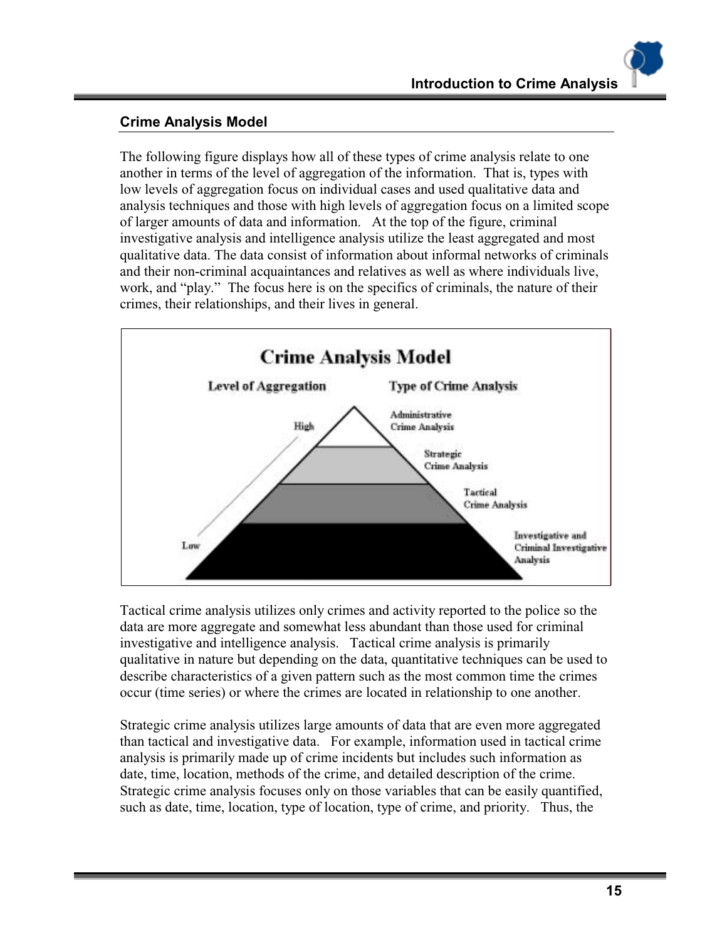#### **Crime Analysis Model**

The following figure displays how all of these types of crime analysis relate to one another in terms of the level of aggregation of the information. That is, types with low levels of aggregation focus on individual cases and used qualitative data and analysis techniques and those with high levels of aggregation focus on a limited scope of larger amounts of data and information. At the top of the figure, criminal investigative analysis and intelligence analysis utilize the least aggregated and most qualitative data. The data consist of information about informal networks of criminals and their non-criminal acquaintances and relatives as well as where individuals live, work, and "play." The focus here is on the specifics of criminals, the nature of their crimes, their relationships, and their lives in general.



Tactical crime analysis utilizes only crimes and activity reported to the police so the data are more aggregate and somewhat less abundant than those used for criminal investigative and intelligence analysis. Tactical crime analysis is primarily qualitative in nature but depending on the data, quantitative techniques can be used to describe characteristics of a given pattern such as the most common time the crimes occur (time series) or where the crimes are located in relationship to one another.

Strategic crime analysis utilizes large amounts of data that are even more aggregated than tactical and investigative data. For example, information used in tactical crime analysis is primarily made up of crime incidents but includes such information as date, time, location, methods of the crime, and detailed description of the crime. Strategic crime analysis focuses only on those variables that can be easily quantified, such as date, time, location, type of location, type of crime, and priority. Thus, the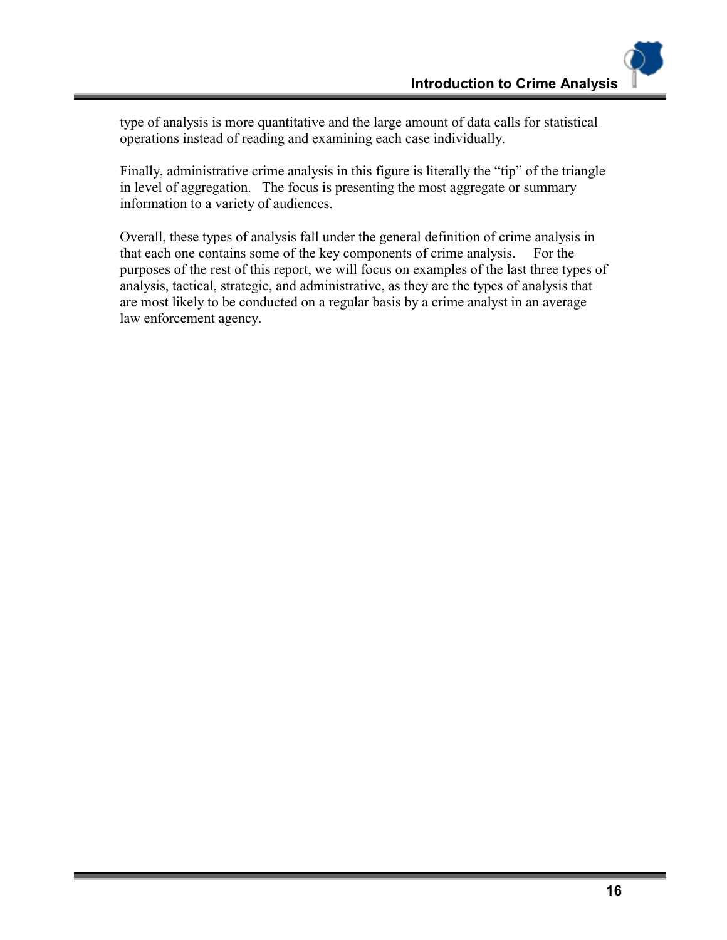type of analysis is more quantitative and the large amount of data calls for statistical operations instead of reading and examining each case individually.

Finally, administrative crime analysis in this figure is literally the "tip" of the triangle in level of aggregation. The focus is presenting the most aggregate or summary information to a variety of audiences.

Overall, these types of analysis fall under the general definition of crime analysis in that each one contains some of the key components of crime analysis. For the purposes of the rest of this report, we will focus on examples of the last three types of analysis, tactical, strategic, and administrative, as they are the types of analysis that are most likely to be conducted on a regular basis by a crime analyst in an average law enforcement agency.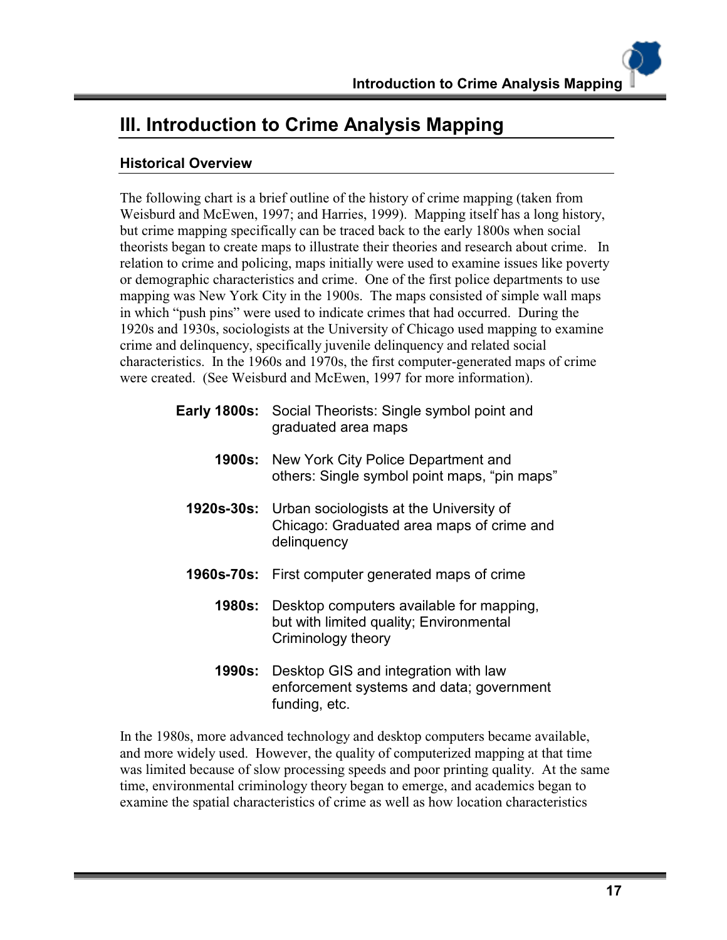# **III. Introduction to Crime Analysis Mapping**

### **Historical Overview**

The following chart is a brief outline of the history of crime mapping (taken from Weisburd and McEwen, 1997; and Harries, 1999). Mapping itself has a long history, but crime mapping specifically can be traced back to the early 1800s when social theorists began to create maps to illustrate their theories and research about crime. In relation to crime and policing, maps initially were used to examine issues like poverty or demographic characteristics and crime. One of the first police departments to use mapping was New York City in the 1900s. The maps consisted of simple wall maps in which "push pins" were used to indicate crimes that had occurred. During the 1920s and 1930s, sociologists at the University of Chicago used mapping to examine crime and delinquency, specifically juvenile delinquency and related social characteristics. In the 1960s and 1970s, the first computer-generated maps of crime were created. (See Weisburd and McEwen, 1997 for more information).

|            | <b>Early 1800s:</b> Social Theorists: Single symbol point and<br>graduated area maps                                  |
|------------|-----------------------------------------------------------------------------------------------------------------------|
|            | <b>1900s:</b> New York City Police Department and<br>others: Single symbol point maps, "pin maps"                     |
|            | <b>1920s-30s:</b> Urban sociologists at the University of<br>Chicago: Graduated area maps of crime and<br>delinquency |
| 1960s-70s: | First computer generated maps of crime                                                                                |
| 1980s:     | Desktop computers available for mapping,<br>but with limited quality; Environmental<br>Criminology theory             |
| 1990s:     | Desktop GIS and integration with law<br>enforcement systems and data; government                                      |

In the 1980s, more advanced technology and desktop computers became available, and more widely used. However, the quality of computerized mapping at that time was limited because of slow processing speeds and poor printing quality. At the same time, environmental criminology theory began to emerge, and academics began to examine the spatial characteristics of crime as well as how location characteristics

funding, etc.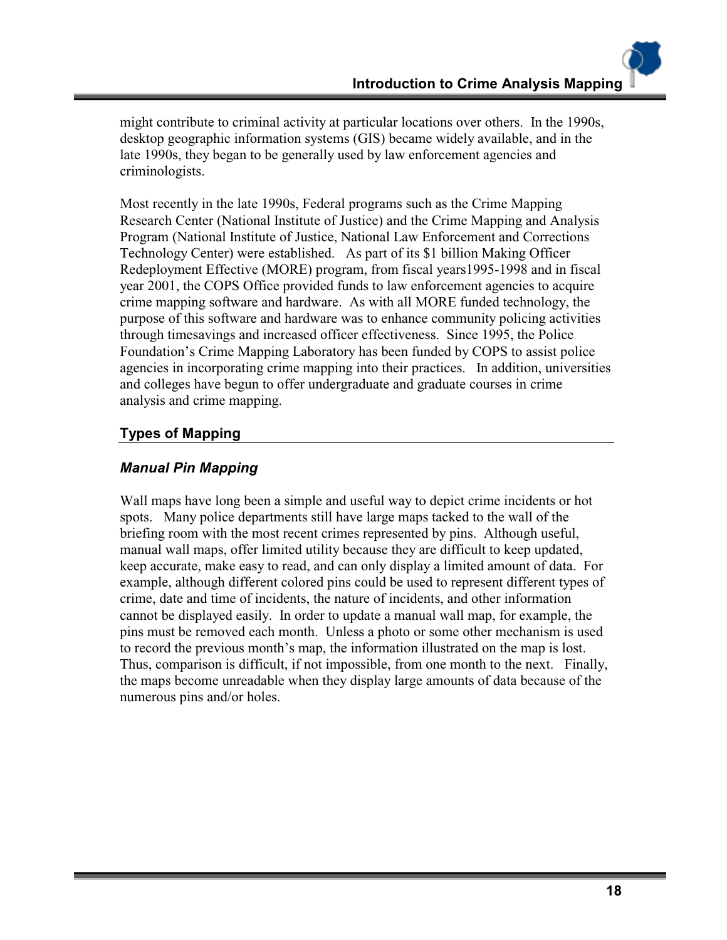might contribute to criminal activity at particular locations over others. In the 1990s, desktop geographic information systems (GIS) became widely available, and in the late 1990s, they began to be generally used by law enforcement agencies and criminologists.

Most recently in the late 1990s, Federal programs such as the Crime Mapping Research Center (National Institute of Justice) and the Crime Mapping and Analysis Program (National Institute of Justice, National Law Enforcement and Corrections Technology Center) were established. As part of its \$1 billion Making Officer Redeployment Effective (MORE) program, from fiscal years1995-1998 and in fiscal year 2001, the COPS Office provided funds to law enforcement agencies to acquire crime mapping software and hardware. As with all MORE funded technology, the purpose of this software and hardware was to enhance community policing activities through timesavings and increased officer effectiveness. Since 1995, the Police Foundation's Crime Mapping Laboratory has been funded by COPS to assist police agencies in incorporating crime mapping into their practices. In addition, universities and colleges have begun to offer undergraduate and graduate courses in crime analysis and crime mapping.

#### **Types of Mapping**

#### *Manual Pin Mapping*

Wall maps have long been a simple and useful way to depict crime incidents or hot spots. Many police departments still have large maps tacked to the wall of the briefing room with the most recent crimes represented by pins. Although useful, manual wall maps, offer limited utility because they are difficult to keep updated, keep accurate, make easy to read, and can only display a limited amount of data. For example, although different colored pins could be used to represent different types of crime, date and time of incidents, the nature of incidents, and other information cannot be displayed easily. In order to update a manual wall map, for example, the pins must be removed each month. Unless a photo or some other mechanism is used to record the previous month's map, the information illustrated on the map is lost. Thus, comparison is difficult, if not impossible, from one month to the next. Finally, the maps become unreadable when they display large amounts of data because of the numerous pins and/or holes.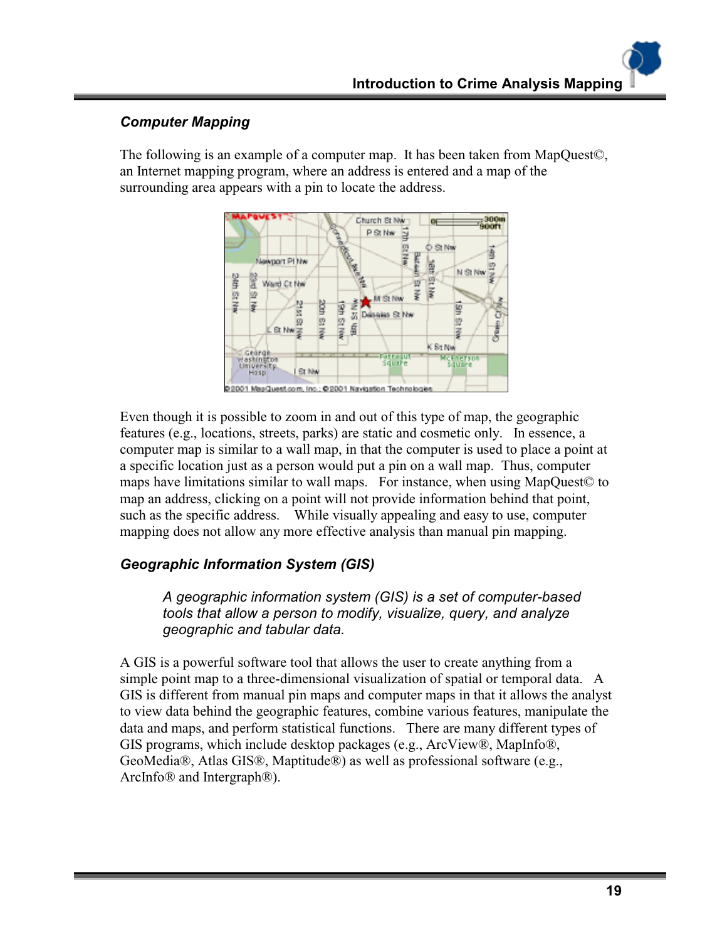# *Computer Mapping*

The following is an example of a computer map. It has been taken from MapQuest©, an Internet mapping program, where an address is entered and a map of the surrounding area appears with a pin to locate the address.



Even though it is possible to zoom in and out of this type of map, the geographic features (e.g., locations, streets, parks) are static and cosmetic only. In essence, a computer map is similar to a wall map, in that the computer is used to place a point at a specific location just as a person would put a pin on a wall map. Thus, computer maps have limitations similar to wall maps. For instance, when using MapQuest© to map an address, clicking on a point will not provide information behind that point, such as the specific address. While visually appealing and easy to use, computer mapping does not allow any more effective analysis than manual pin mapping.

# *Geographic Information System (GIS)*

*A geographic information system (GIS) is a set of computer-based tools that allow a person to modify, visualize, query, and analyze geographic and tabular data.* 

A GIS is a powerful software tool that allows the user to create anything from a simple point map to a three-dimensional visualization of spatial or temporal data. A GIS is different from manual pin maps and computer maps in that it allows the analyst to view data behind the geographic features, combine various features, manipulate the data and maps, and perform statistical functions. There are many different types of GIS programs, which include desktop packages (e.g., ArcView®, MapInfo®, GeoMedia®, Atlas GIS®, Maptitude®) as well as professional software (e.g., ArcInfo® and Intergraph®).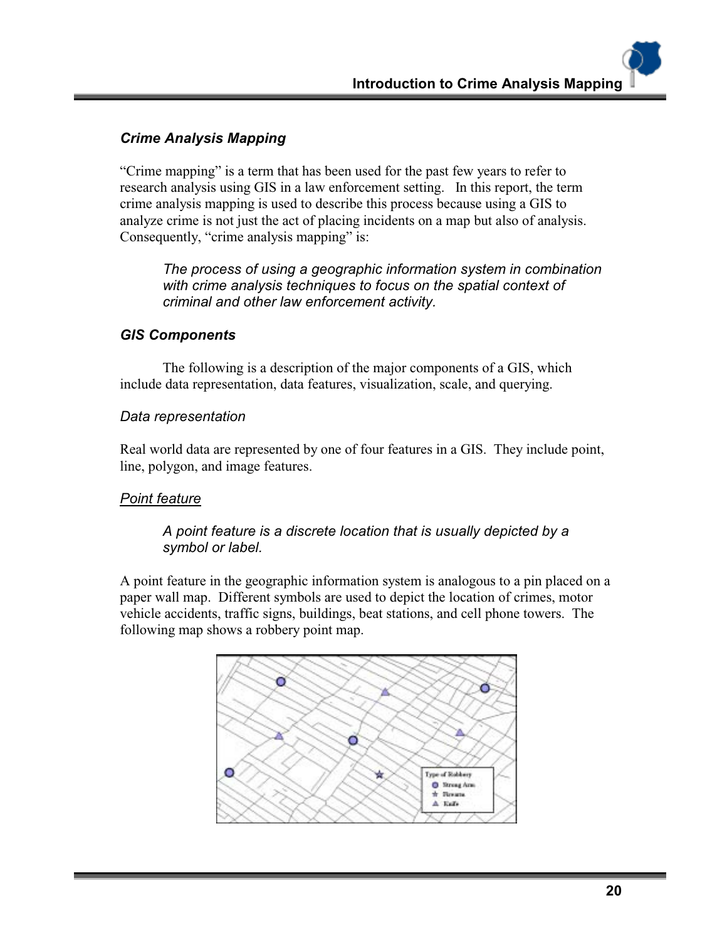### *Crime Analysis Mapping*

"Crime mapping" is a term that has been used for the past few years to refer to research analysis using GIS in a law enforcement setting. In this report, the term crime analysis mapping is used to describe this process because using a GIS to analyze crime is not just the act of placing incidents on a map but also of analysis. Consequently, "crime analysis mapping" is:

*The process of using a geographic information system in combination with crime analysis techniques to focus on the spatial context of criminal and other law enforcement activity.* 

#### *GIS Components*

The following is a description of the major components of a GIS, which include data representation, data features, visualization, scale, and querying.

#### *Data representation*

Real world data are represented by one of four features in a GIS. They include point, line, polygon, and image features.

#### *Point feature*

#### *A point feature is a discrete location that is usually depicted by a symbol or label.*

A point feature in the geographic information system is analogous to a pin placed on a paper wall map. Different symbols are used to depict the location of crimes, motor vehicle accidents, traffic signs, buildings, beat stations, and cell phone towers. The following map shows a robbery point map.

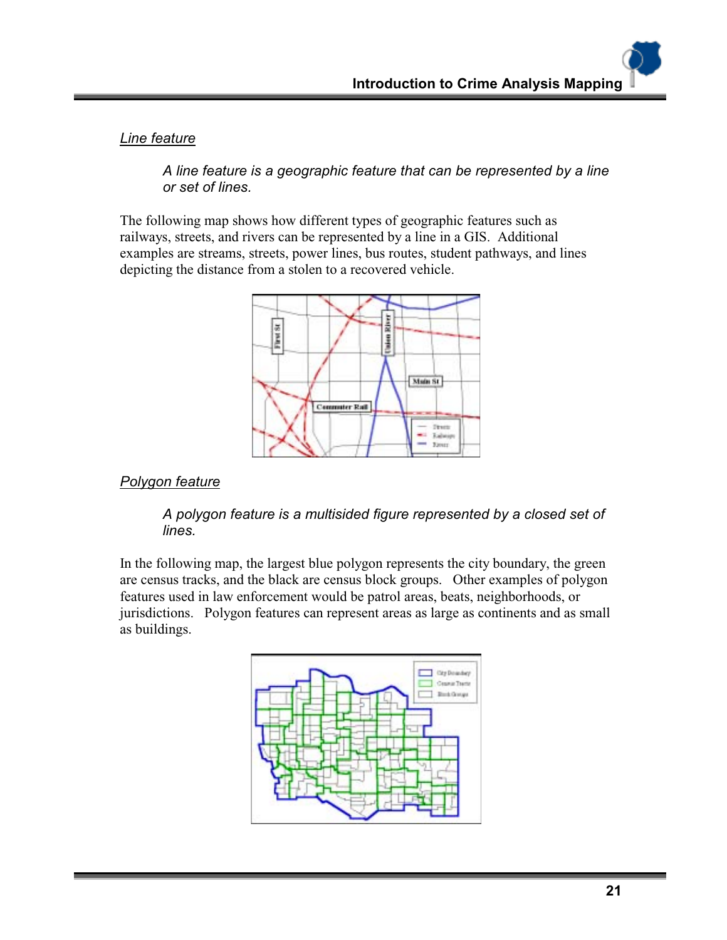*Line feature*

*A line feature is a geographic feature that can be represented by a line or set of lines.* 

The following map shows how different types of geographic features such as railways, streets, and rivers can be represented by a line in a GIS. Additional examples are streams, streets, power lines, bus routes, student pathways, and lines depicting the distance from a stolen to a recovered vehicle.



#### *Polygon feature*

*A polygon feature is a multisided figure represented by a closed set of lines.* 

In the following map, the largest blue polygon represents the city boundary, the green are census tracks, and the black are census block groups. Other examples of polygon features used in law enforcement would be patrol areas, beats, neighborhoods, or jurisdictions. Polygon features can represent areas as large as continents and as small as buildings.

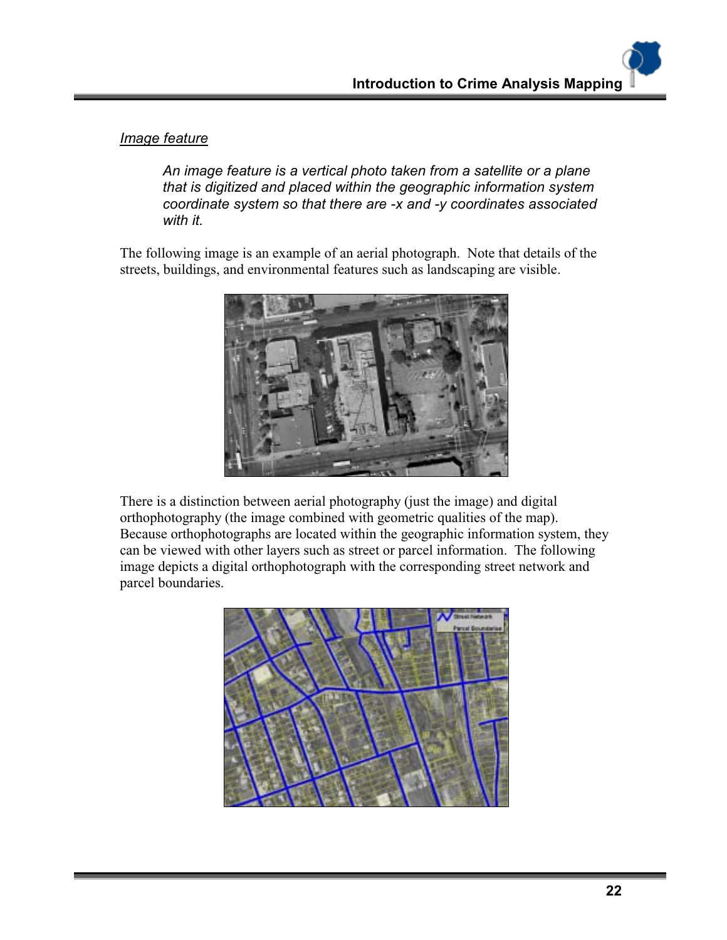#### *Image feature*

*An image feature is a vertical photo taken from a satellite or a plane that is digitized and placed within the geographic information system coordinate system so that there are -x and -y coordinates associated with it.* 

The following image is an example of an aerial photograph. Note that details of the streets, buildings, and environmental features such as landscaping are visible.



There is a distinction between aerial photography (just the image) and digital orthophotography (the image combined with geometric qualities of the map). Because orthophotographs are located within the geographic information system, they can be viewed with other layers such as street or parcel information. The following image depicts a digital orthophotograph with the corresponding street network and parcel boundaries.

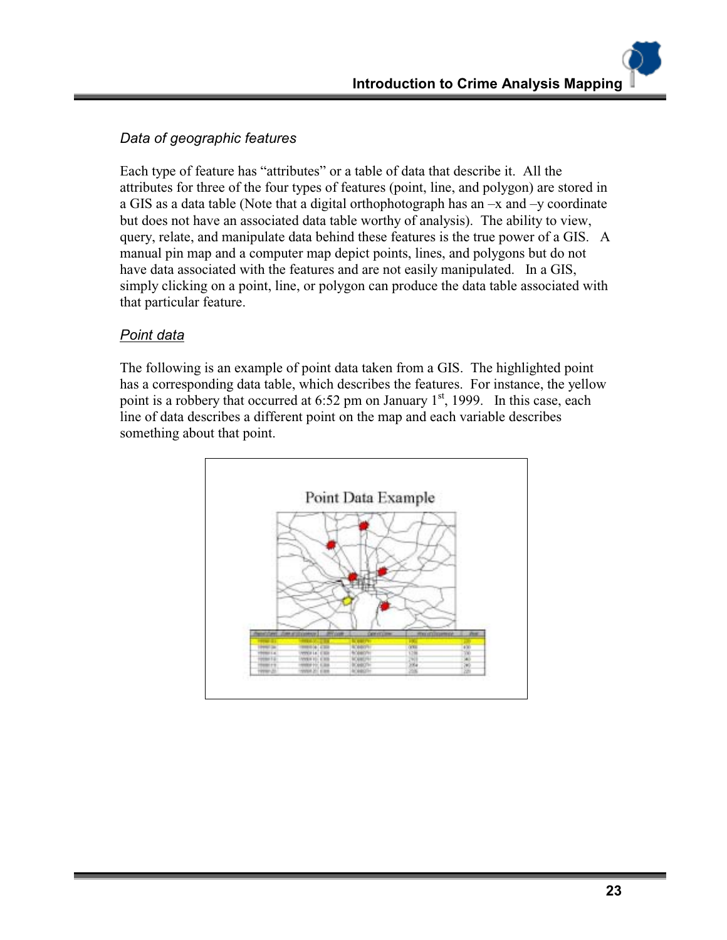#### *Data of geographic features*

Each type of feature has "attributes" or a table of data that describe it. All the attributes for three of the four types of features (point, line, and polygon) are stored in a GIS as a data table (Note that a digital orthophotograph has an  $-x$  and  $-y$  coordinate but does not have an associated data table worthy of analysis). The ability to view, query, relate, and manipulate data behind these features is the true power of a GIS. A manual pin map and a computer map depict points, lines, and polygons but do not have data associated with the features and are not easily manipulated. In a GIS, simply clicking on a point, line, or polygon can produce the data table associated with that particular feature.

#### *Point data*

The following is an example of point data taken from a GIS. The highlighted point has a corresponding data table, which describes the features. For instance, the yellow point is a robbery that occurred at  $6:52$  pm on January  $1<sup>st</sup>$ , 1999. In this case, each line of data describes a different point on the map and each variable describes something about that point.

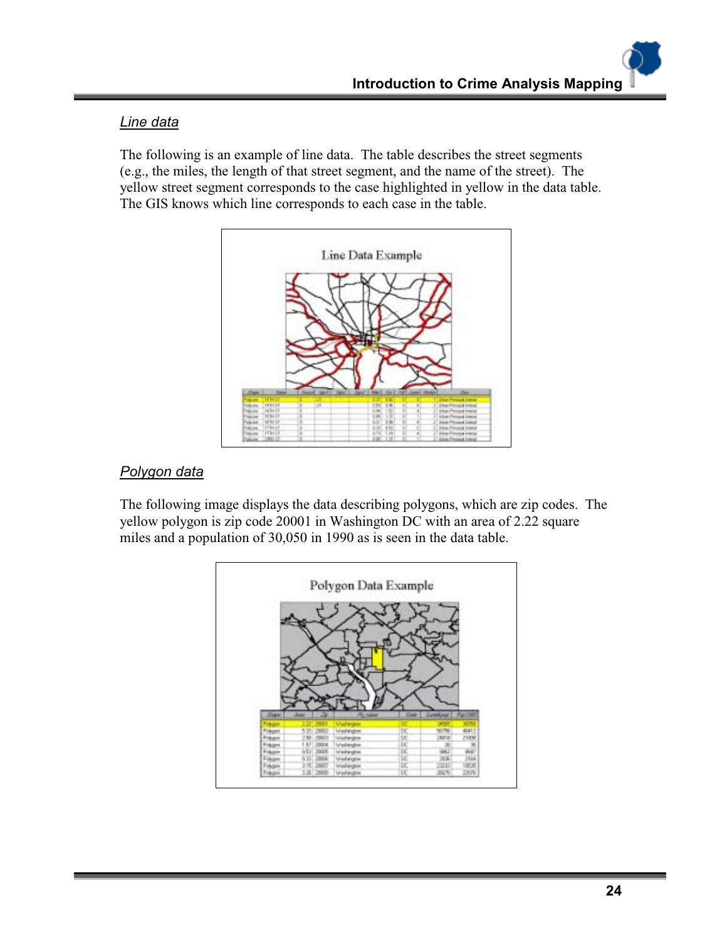#### *Line data*

The following is an example of line data. The table describes the street segments (e.g., the miles, the length of that street segment, and the name of the street). The yellow street segment corresponds to the case highlighted in yellow in the data table. The GIS knows which line corresponds to each case in the table.



### *Polygon data*

The following image displays the data describing polygons, which are zip codes. The yellow polygon is zip code 20001 in Washington DC with an area of 2.22 square miles and a population of 30,050 in 1990 as is seen in the data table.

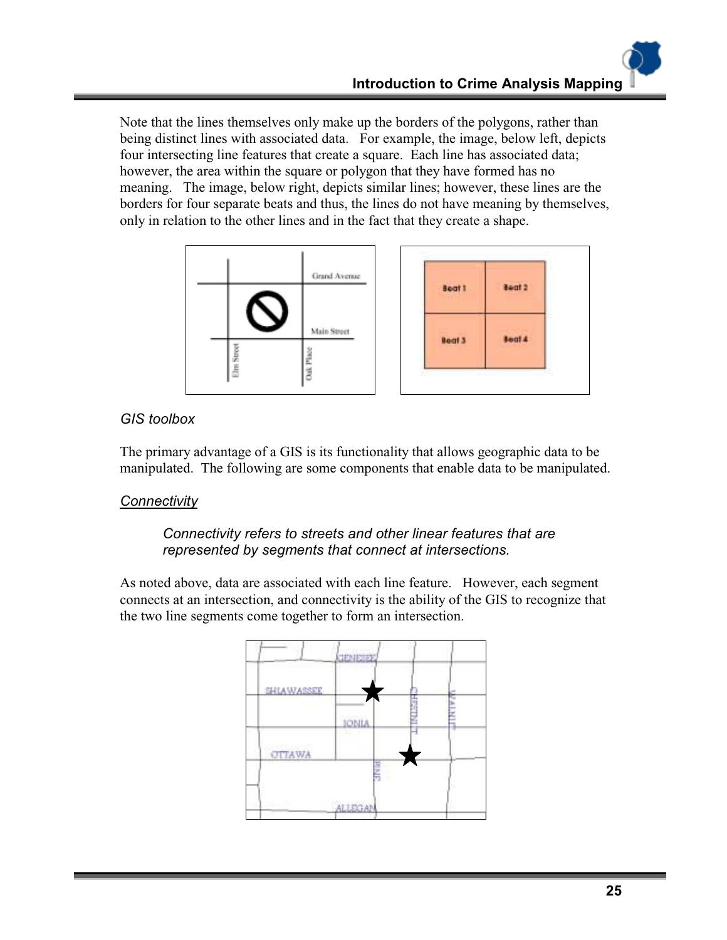Note that the lines themselves only make up the borders of the polygons, rather than being distinct lines with associated data. For example, the image, below left, depicts four intersecting line features that create a square. Each line has associated data; however, the area within the square or polygon that they have formed has no meaning. The image, below right, depicts similar lines; however, these lines are the borders for four separate beats and thus, the lines do not have meaning by themselves, only in relation to the other lines and in the fact that they create a shape.



# *GIS toolbox*

The primary advantage of a GIS is its functionality that allows geographic data to be manipulated. The following are some components that enable data to be manipulated.

# *Connectivity*

# *Connectivity refers to streets and other linear features that are represented by segments that connect at intersections.*

As noted above, data are associated with each line feature. However, each segment connects at an intersection, and connectivity is the ability of the GIS to recognize that the two line segments come together to form an intersection.

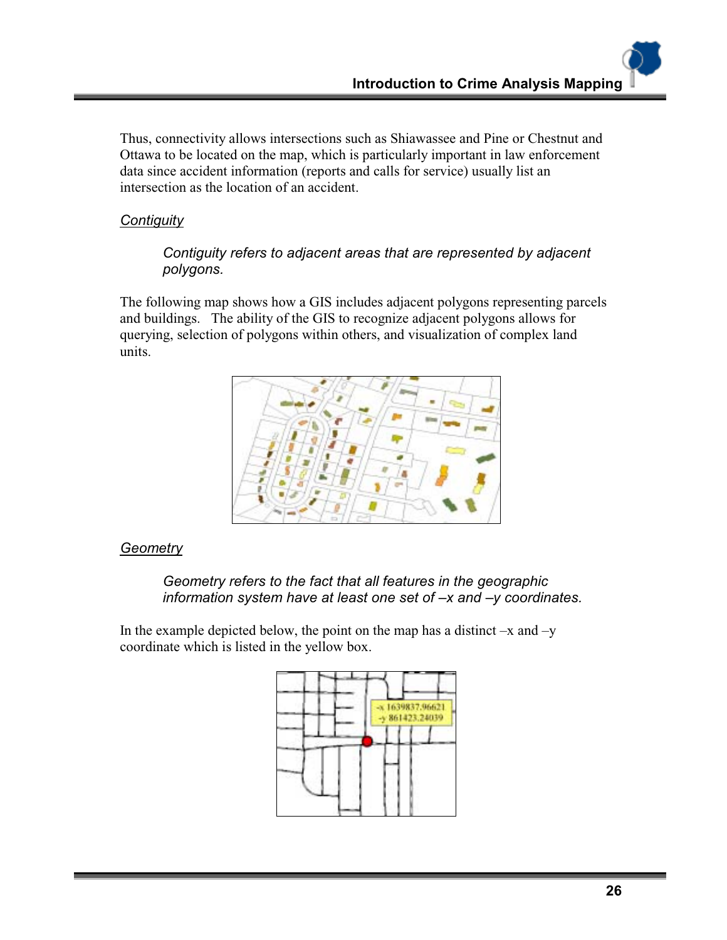Thus, connectivity allows intersections such as Shiawassee and Pine or Chestnut and Ottawa to be located on the map, which is particularly important in law enforcement data since accident information (reports and calls for service) usually list an intersection as the location of an accident.

# *Contiguity*

#### *Contiguity refers to adjacent areas that are represented by adjacent polygons.*

The following map shows how a GIS includes adjacent polygons representing parcels and buildings. The ability of the GIS to recognize adjacent polygons allows for querying, selection of polygons within others, and visualization of complex land units.



#### *Geometry*

#### *Geometry refers to the fact that all features in the geographic information system have at least one set of –x and –y coordinates.*

In the example depicted below, the point on the map has a distinct  $-x$  and  $-y$ coordinate which is listed in the yellow box.

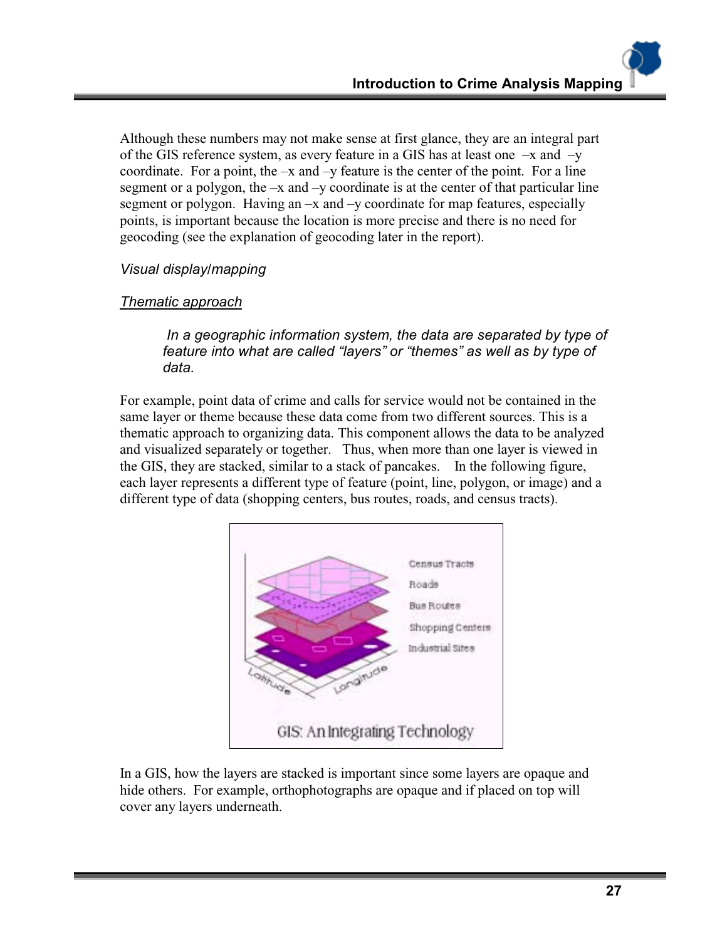Although these numbers may not make sense at first glance, they are an integral part of the GIS reference system, as every feature in a GIS has at least one –x and –y coordinate. For a point, the  $-x$  and  $-y$  feature is the center of the point. For a line segment or a polygon, the  $-x$  and  $-y$  coordinate is at the center of that particular line segment or polygon. Having an –x and –y coordinate for map features, especially points, is important because the location is more precise and there is no need for geocoding (see the explanation of geocoding later in the report).

#### *Visual display/mapping*

#### *Thematic approach*

 *In a geographic information system, the data are separated by type of feature into what are called "layers" or "themes" as well as by type of data.*

For example, point data of crime and calls for service would not be contained in the same layer or theme because these data come from two different sources. This is a thematic approach to organizing data. This component allows the data to be analyzed and visualized separately or together. Thus, when more than one layer is viewed in the GIS, they are stacked, similar to a stack of pancakes. In the following figure, each layer represents a different type of feature (point, line, polygon, or image) and a different type of data (shopping centers, bus routes, roads, and census tracts).



In a GIS, how the layers are stacked is important since some layers are opaque and hide others. For example, orthophotographs are opaque and if placed on top will cover any layers underneath.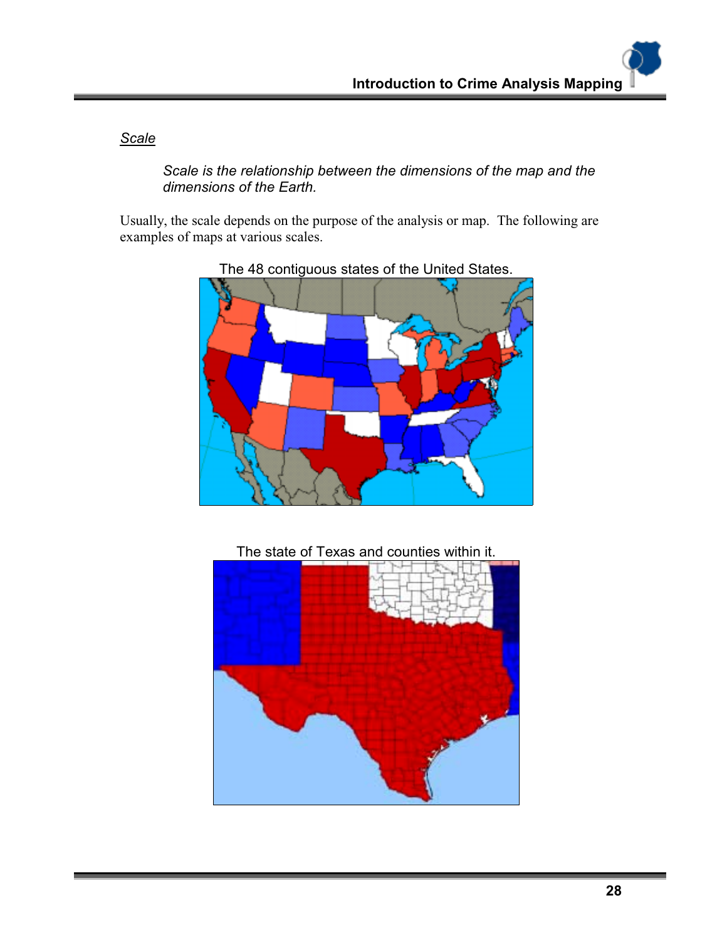*Scale*

*Scale is the relationship between the dimensions of the map and the dimensions of the Earth.*

Usually, the scale depends on the purpose of the analysis or map. The following are examples of maps at various scales.



The 48 contiguous states of the United States.



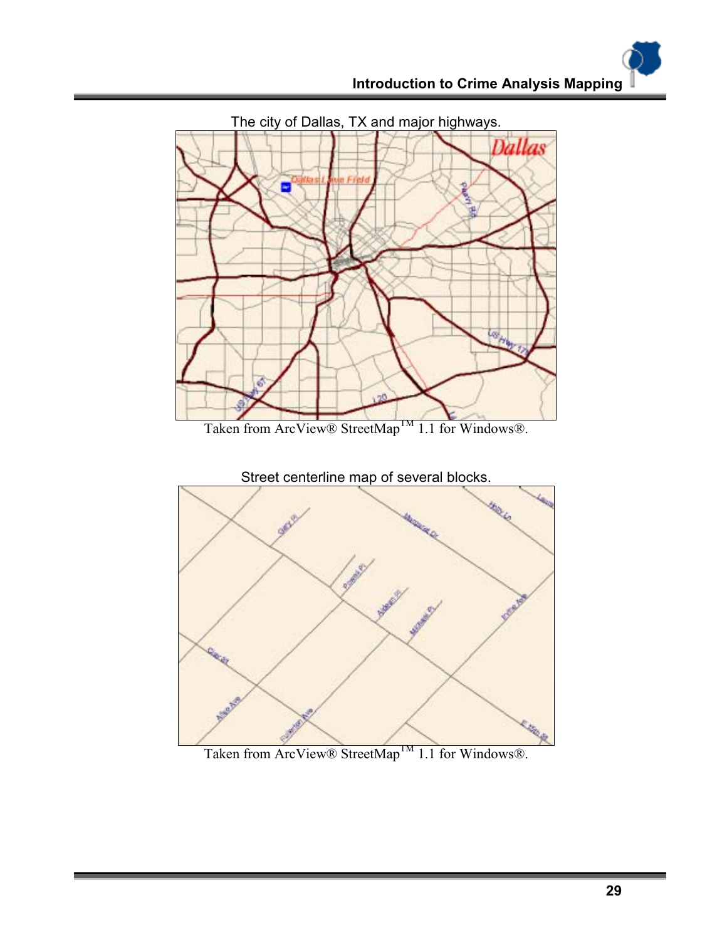

Taken from ArcView® StreetMap<sup>TM</sup> 1.1 for Windows®.

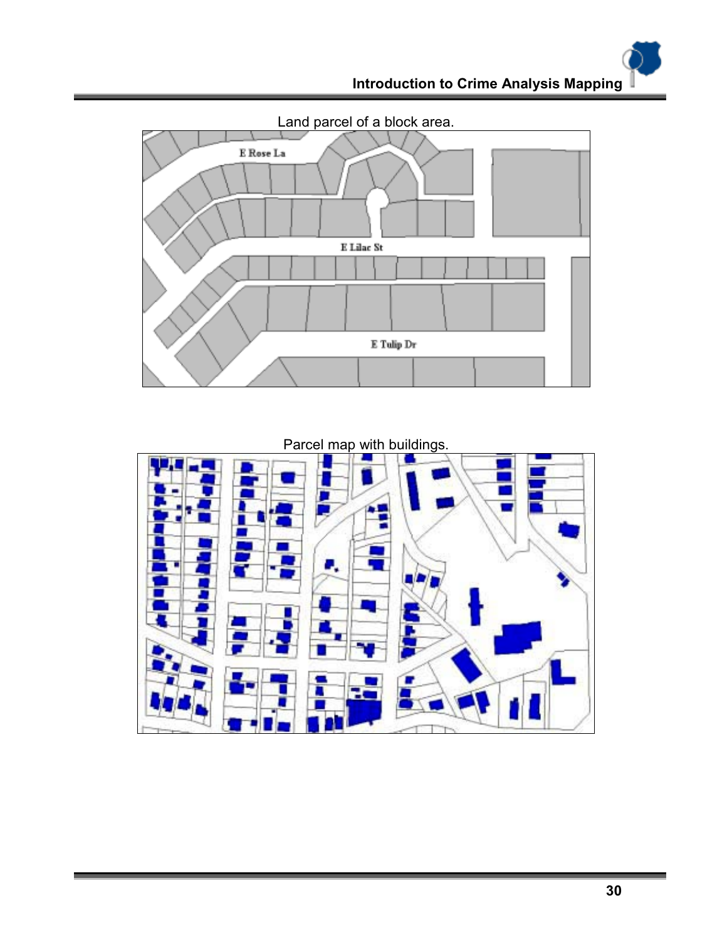

Parcel map with buildings.

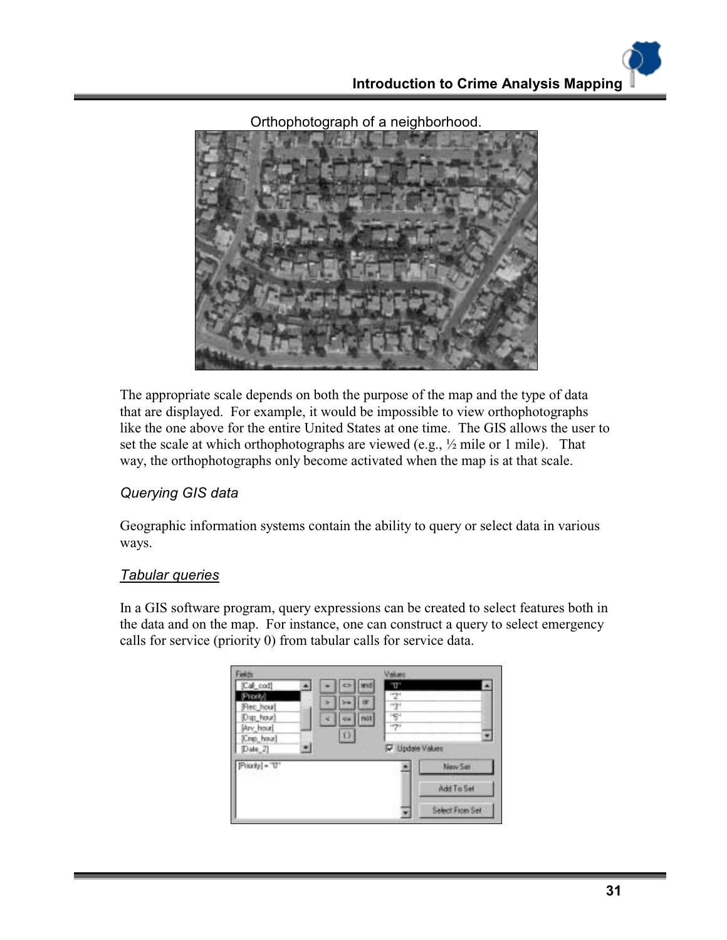

Orthophotograph of a neighborhood.

The appropriate scale depends on both the purpose of the map and the type of data that are displayed. For example, it would be impossible to view orthophotographs like the one above for the entire United States at one time. The GIS allows the user to set the scale at which orthophotographs are viewed (e.g., ½ mile or 1 mile). That way, the orthophotographs only become activated when the map is at that scale.

#### *Querying GIS data*

Geographic information systems contain the ability to query or select data in various ways.

#### *Tabular queries*

In a GIS software program, query expressions can be created to select features both in the data and on the map. For instance, one can construct a query to select emergency calls for service (priority 0) from tabular calls for service data.

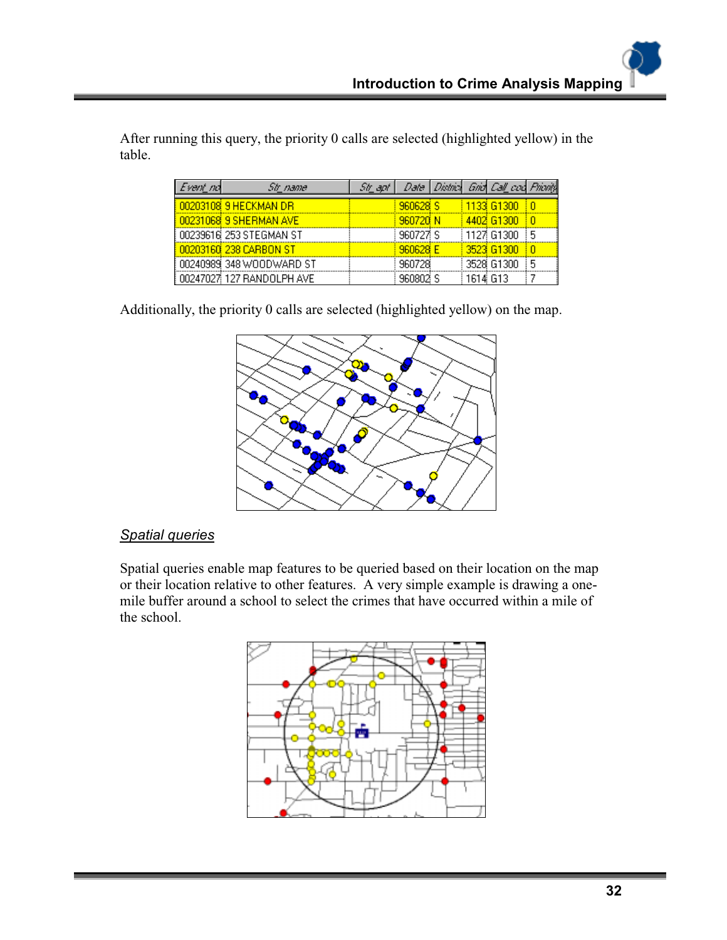| Event nd | Str name.                 | 58 apr |                     |          | Date   District Grid Call cod Priority |   |
|----------|---------------------------|--------|---------------------|----------|----------------------------------------|---|
|          | 00203108 9 HECKMAN DR     |        | 960628 <sub>S</sub> |          | 1133 G1300                             |   |
|          | 00231068 9 SHERMAN AVE    |        | <b>960720 N</b>     |          | 4402 G1300                             |   |
|          | 00239616 253 STEGMAN ST   |        | 960727 S            |          | i 1127i G1300 i                        | 5 |
|          | 00203160 238 CARBON ST    |        | 960628 E            |          | 3523 61300                             |   |
|          | 00240989 348 WOODWARD ST  |        | 960728              |          | 3528 G1300                             | 5 |
|          | 00247027 127 RANDOLPH AVE |        | 960802              | 161# G13 |                                        |   |

After running this query, the priority 0 calls are selected (highlighted yellow) in the table.

Additionally, the priority 0 calls are selected (highlighted yellow) on the map.



# *Spatial queries*

Spatial queries enable map features to be queried based on their location on the map or their location relative to other features. A very simple example is drawing a onemile buffer around a school to select the crimes that have occurred within a mile of the school.

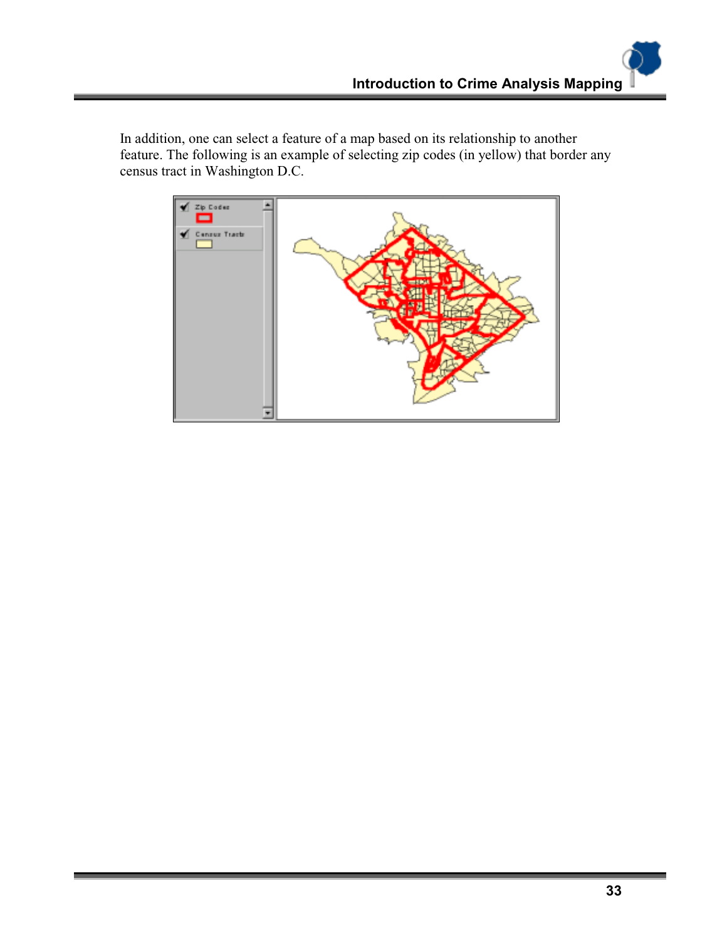In addition, one can select a feature of a map based on its relationship to another feature. The following is an example of selecting zip codes (in yellow) that border any census tract in Washington D.C.

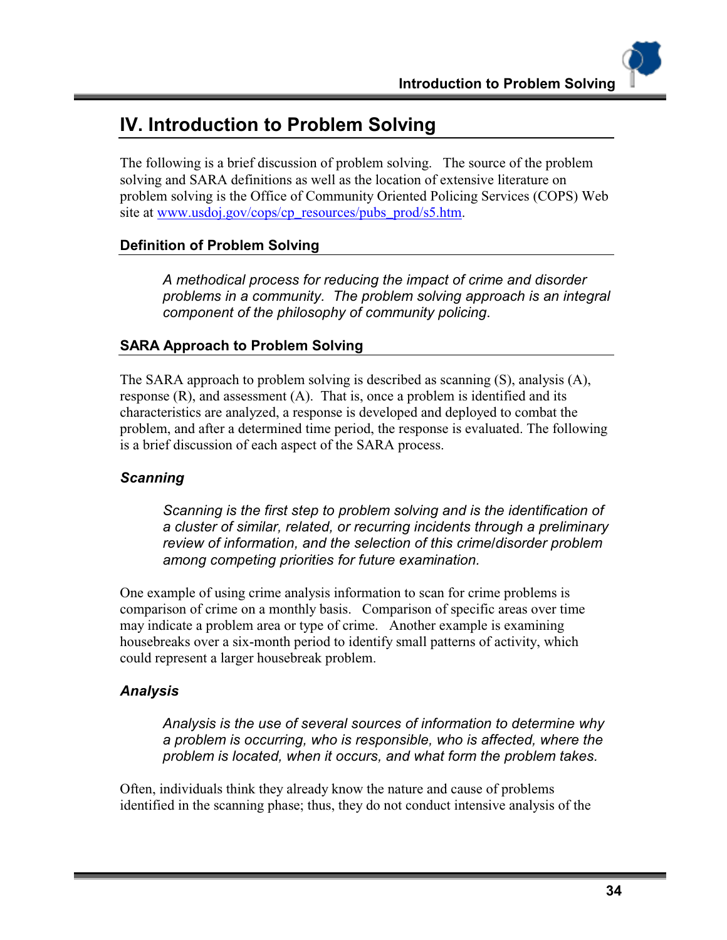# **IV. Introduction to Problem Solving**

The following is a brief discussion of problem solving. The source of the problem solving and SARA definitions as well as the location of extensive literature on problem solving is the Office of Community Oriented Policing Services (COPS) Web site at www.usdoj.gov/cops/cp\_resources/pubs\_prod/s5.htm.

# **Definition of Problem Solving**

*A methodical process for reducing the impact of crime and disorder problems in a community. The problem solving approach is an integral component of the philosophy of community policing*.

# **SARA Approach to Problem Solving**

The SARA approach to problem solving is described as scanning (S), analysis (A), response (R), and assessment (A). That is, once a problem is identified and its characteristics are analyzed, a response is developed and deployed to combat the problem, and after a determined time period, the response is evaluated. The following is a brief discussion of each aspect of the SARA process.

#### *Scanning*

*Scanning is the first step to problem solving and is the identification of a cluster of similar, related, or recurring incidents through a preliminary review of information, and the selection of this crime/disorder problem among competing priorities for future examination.* 

One example of using crime analysis information to scan for crime problems is comparison of crime on a monthly basis. Comparison of specific areas over time may indicate a problem area or type of crime. Another example is examining housebreaks over a six-month period to identify small patterns of activity, which could represent a larger housebreak problem.

#### *Analysis*

*Analysis is the use of several sources of information to determine why a problem is occurring, who is responsible, who is affected, where the problem is located, when it occurs, and what form the problem takes.* 

Often, individuals think they already know the nature and cause of problems identified in the scanning phase; thus, they do not conduct intensive analysis of the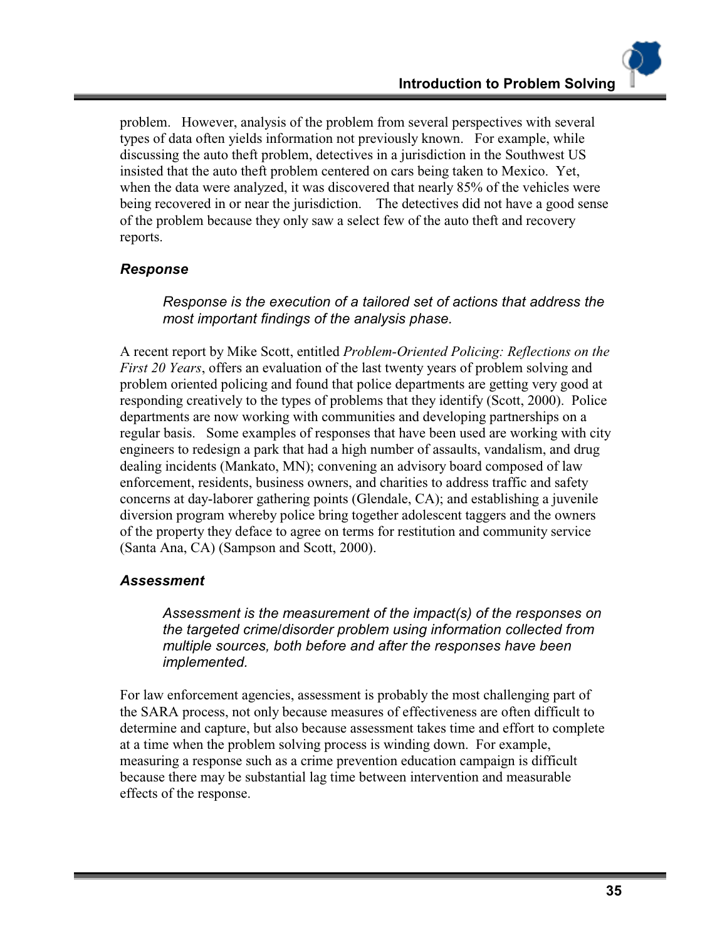problem. However, analysis of the problem from several perspectives with several types of data often yields information not previously known. For example, while discussing the auto theft problem, detectives in a jurisdiction in the Southwest US insisted that the auto theft problem centered on cars being taken to Mexico. Yet, when the data were analyzed, it was discovered that nearly 85% of the vehicles were being recovered in or near the jurisdiction. The detectives did not have a good sense of the problem because they only saw a select few of the auto theft and recovery reports.

# *Response*

*Response is the execution of a tailored set of actions that address the most important findings of the analysis phase.* 

A recent report by Mike Scott, entitled *Problem-Oriented Policing: Reflections on the First 20 Years*, offers an evaluation of the last twenty years of problem solving and problem oriented policing and found that police departments are getting very good at responding creatively to the types of problems that they identify (Scott, 2000). Police departments are now working with communities and developing partnerships on a regular basis. Some examples of responses that have been used are working with city engineers to redesign a park that had a high number of assaults, vandalism, and drug dealing incidents (Mankato, MN); convening an advisory board composed of law enforcement, residents, business owners, and charities to address traffic and safety concerns at day-laborer gathering points (Glendale, CA); and establishing a juvenile diversion program whereby police bring together adolescent taggers and the owners of the property they deface to agree on terms for restitution and community service (Santa Ana, CA) (Sampson and Scott, 2000).

#### *Assessment*

*Assessment is the measurement of the impact(s) of the responses on the targeted crime/disorder problem using information collected from multiple sources, both before and after the responses have been implemented.* 

For law enforcement agencies, assessment is probably the most challenging part of the SARA process, not only because measures of effectiveness are often difficult to determine and capture, but also because assessment takes time and effort to complete at a time when the problem solving process is winding down. For example, measuring a response such as a crime prevention education campaign is difficult because there may be substantial lag time between intervention and measurable effects of the response.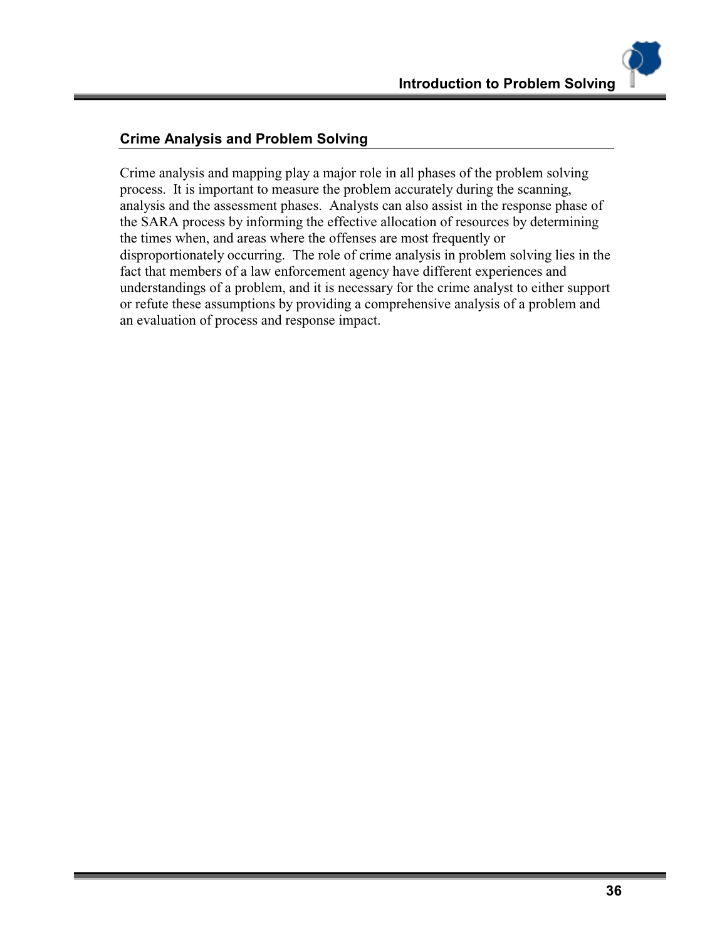### **Crime Analysis and Problem Solving**

Crime analysis and mapping play a major role in all phases of the problem solving process. It is important to measure the problem accurately during the scanning, analysis and the assessment phases. Analysts can also assist in the response phase of the SARA process by informing the effective allocation of resources by determining the times when, and areas where the offenses are most frequently or disproportionately occurring. The role of crime analysis in problem solving lies in the fact that members of a law enforcement agency have different experiences and understandings of a problem, and it is necessary for the crime analyst to either support or refute these assumptions by providing a comprehensive analysis of a problem and an evaluation of process and response impact.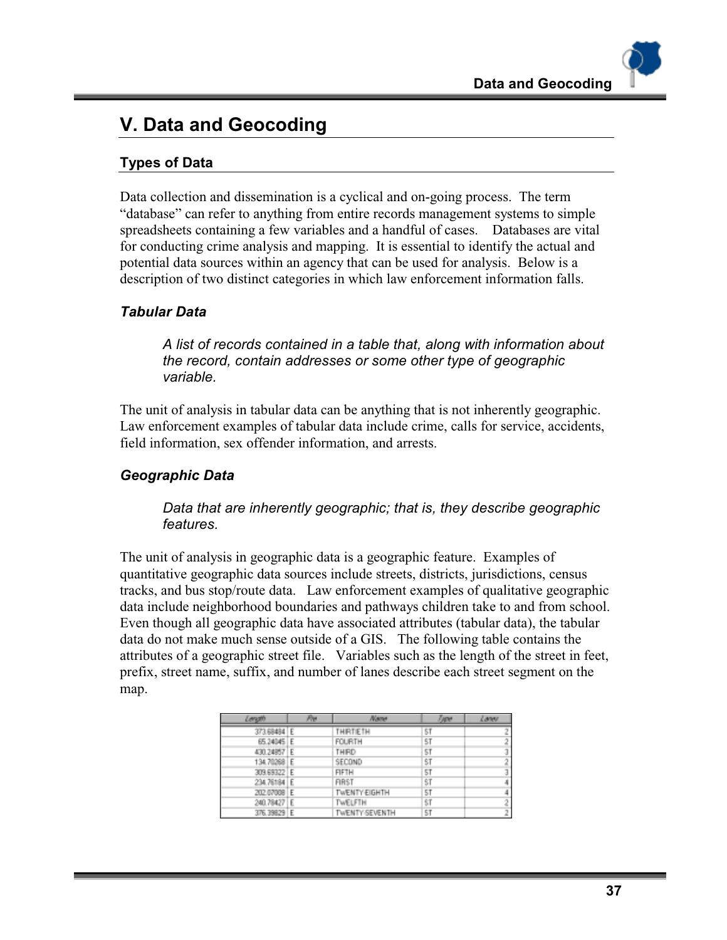# **V. Data and Geocoding**

# **Types of Data**

Data collection and dissemination is a cyclical and on-going process. The term "database" can refer to anything from entire records management systems to simple spreadsheets containing a few variables and a handful of cases. Databases are vital for conducting crime analysis and mapping. It is essential to identify the actual and potential data sources within an agency that can be used for analysis. Below is a description of two distinct categories in which law enforcement information falls.

# *Tabular Data*

*A list of records contained in a table that, along with information about the record, contain addresses or some other type of geographic variable.*

The unit of analysis in tabular data can be anything that is not inherently geographic. Law enforcement examples of tabular data include crime, calls for service, accidents, field information, sex offender information, and arrests.

#### *Geographic Data*

*Data that are inherently geographic; that is, they describe geographic features.*

The unit of analysis in geographic data is a geographic feature. Examples of quantitative geographic data sources include streets, districts, jurisdictions, census tracks, and bus stop/route data. Law enforcement examples of qualitative geographic data include neighborhood boundaries and pathways children take to and from school. Even though all geographic data have associated attributes (tabular data), the tabular data do not make much sense outside of a GIS. The following table contains the attributes of a geographic street file. Variables such as the length of the street in feet, prefix, street name, suffix, and number of lanes describe each street segment on the map.

| <b>AVES</b> |    | Name                  |     | Laneu |
|-------------|----|-----------------------|-----|-------|
| 373.68484 E |    | THRTETH               | 51  |       |
| 65.24045 E  |    | <b>FOURTH</b>         | \$T |       |
| 430.24857 E |    | THIRD                 | 5T  |       |
| 134.70268 E |    | SECOND                | \$T |       |
| 309.69322 E |    | FIFTH                 | 5T  |       |
| 234.76184 E |    | <b>FIRST</b>          | ŝΤ  |       |
| 202.07008 E |    | <b>TWENTY EIGHTH</b>  | 5T  |       |
| 240.78427   | ١E | TWELFTH               | ŝΤ  |       |
| 376.39829 E |    | <b>TWENTY-SEVENTH</b> | 5T  |       |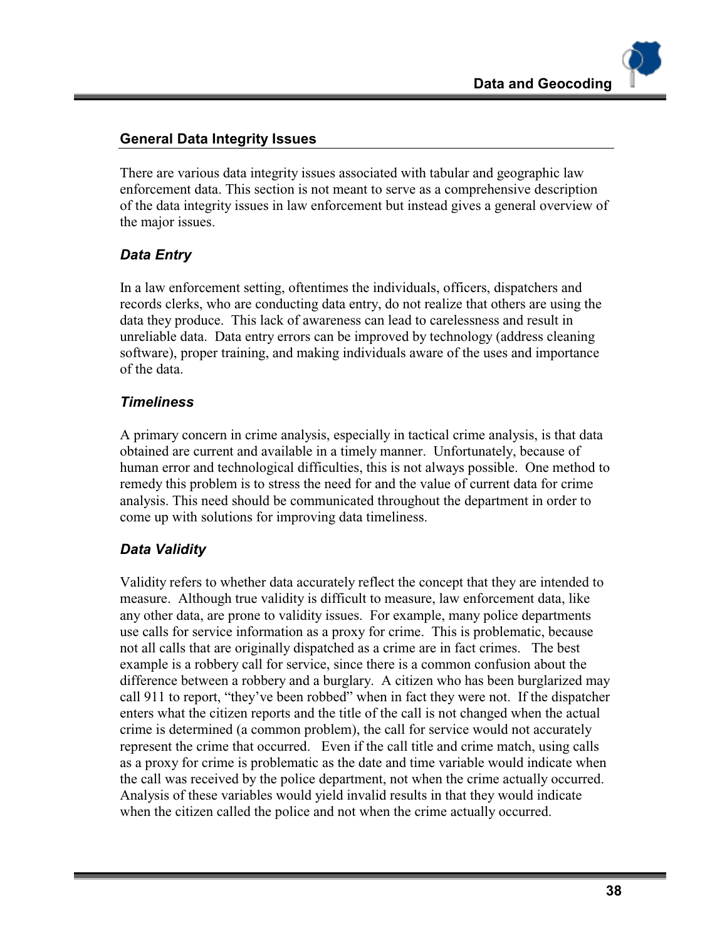# **General Data Integrity Issues**

There are various data integrity issues associated with tabular and geographic law enforcement data. This section is not meant to serve as a comprehensive description of the data integrity issues in law enforcement but instead gives a general overview of the major issues.

# *Data Entry*

In a law enforcement setting, oftentimes the individuals, officers, dispatchers and records clerks, who are conducting data entry, do not realize that others are using the data they produce. This lack of awareness can lead to carelessness and result in unreliable data. Data entry errors can be improved by technology (address cleaning software), proper training, and making individuals aware of the uses and importance of the data.

# *Timeliness*

A primary concern in crime analysis, especially in tactical crime analysis, is that data obtained are current and available in a timely manner. Unfortunately, because of human error and technological difficulties, this is not always possible. One method to remedy this problem is to stress the need for and the value of current data for crime analysis. This need should be communicated throughout the department in order to come up with solutions for improving data timeliness.

# *Data Validity*

Validity refers to whether data accurately reflect the concept that they are intended to measure. Although true validity is difficult to measure, law enforcement data, like any other data, are prone to validity issues. For example, many police departments use calls for service information as a proxy for crime. This is problematic, because not all calls that are originally dispatched as a crime are in fact crimes. The best example is a robbery call for service, since there is a common confusion about the difference between a robbery and a burglary. A citizen who has been burglarized may call 911 to report, "they've been robbed" when in fact they were not. If the dispatcher enters what the citizen reports and the title of the call is not changed when the actual crime is determined (a common problem), the call for service would not accurately represent the crime that occurred. Even if the call title and crime match, using calls as a proxy for crime is problematic as the date and time variable would indicate when the call was received by the police department, not when the crime actually occurred. Analysis of these variables would yield invalid results in that they would indicate when the citizen called the police and not when the crime actually occurred.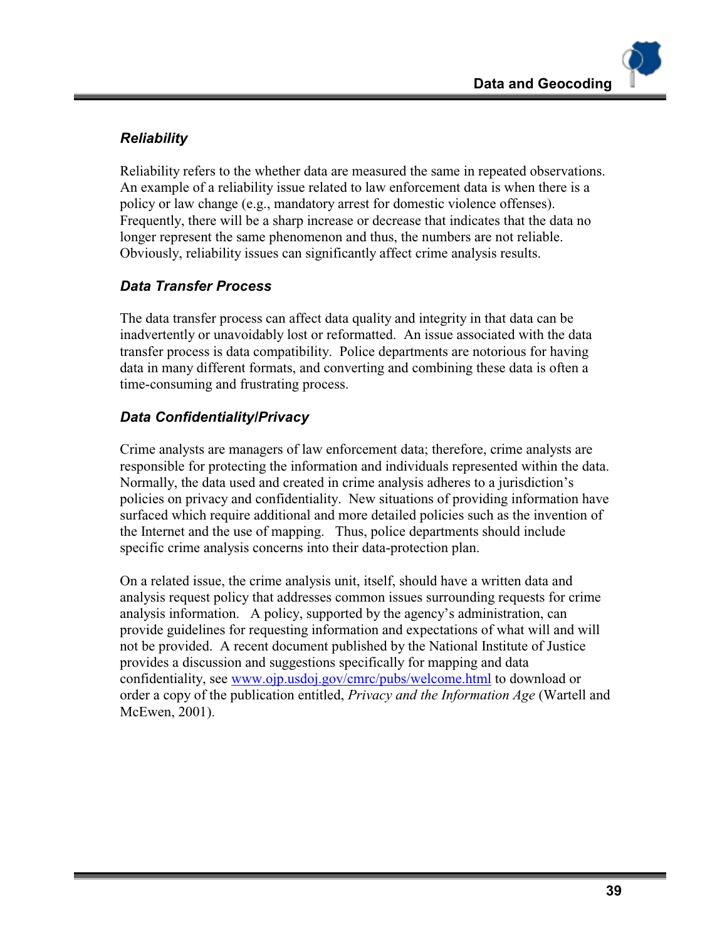# *Reliability*

Reliability refers to the whether data are measured the same in repeated observations. An example of a reliability issue related to law enforcement data is when there is a policy or law change (e.g., mandatory arrest for domestic violence offenses). Frequently, there will be a sharp increase or decrease that indicates that the data no longer represent the same phenomenon and thus, the numbers are not reliable. Obviously, reliability issues can significantly affect crime analysis results.

# *Data Transfer Process*

The data transfer process can affect data quality and integrity in that data can be inadvertently or unavoidably lost or reformatted. An issue associated with the data transfer process is data compatibility. Police departments are notorious for having data in many different formats, and converting and combining these data is often a time-consuming and frustrating process.

# *Data Confidentiality/Privacy*

Crime analysts are managers of law enforcement data; therefore, crime analysts are responsible for protecting the information and individuals represented within the data. Normally, the data used and created in crime analysis adheres to a jurisdiction's policies on privacy and confidentiality. New situations of providing information have surfaced which require additional and more detailed policies such as the invention of the Internet and the use of mapping. Thus, police departments should include specific crime analysis concerns into their data-protection plan.

On a related issue, the crime analysis unit, itself, should have a written data and analysis request policy that addresses common issues surrounding requests for crime analysis information. A policy, supported by the agency's administration, can provide guidelines for requesting information and expectations of what will and will not be provided. A recent document published by the National Institute of Justice provides a discussion and suggestions specifically for mapping and data confidentiality, see www.ojp.usdoj.gov/cmrc/pubs/welcome.html to download or order a copy of the publication entitled, *Privacy and the Information Age* (Wartell and McEwen, 2001).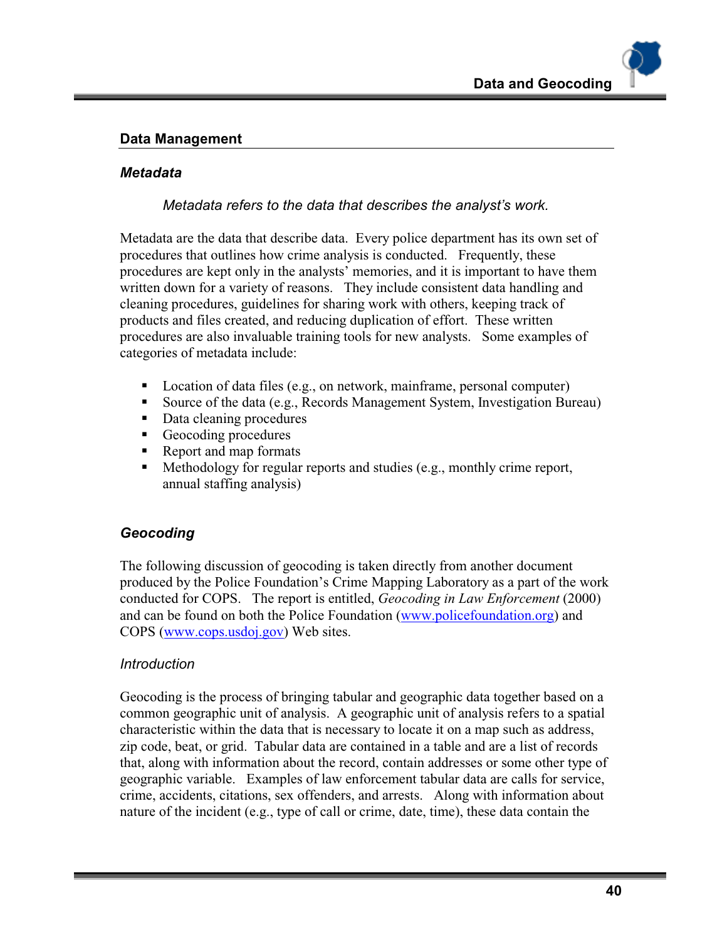#### **Data Management**

#### *Metadata*

*Metadata refers to the data that describes the analyst's work.* 

Metadata are the data that describe data. Every police department has its own set of procedures that outlines how crime analysis is conducted. Frequently, these procedures are kept only in the analysts' memories, and it is important to have them written down for a variety of reasons. They include consistent data handling and cleaning procedures, guidelines for sharing work with others, keeping track of products and files created, and reducing duplication of effort. These written procedures are also invaluable training tools for new analysts. Some examples of categories of metadata include:

- Location of data files (e.g., on network, mainframe, personal computer)
- Source of the data (e.g., Records Management System, Investigation Bureau)
- Data cleaning procedures
- Geocoding procedures
- Report and map formats
- Methodology for regular reports and studies (e.g., monthly crime report, annual staffing analysis)

#### *Geocoding*

The following discussion of geocoding is taken directly from another document produced by the Police Foundation's Crime Mapping Laboratory as a part of the work conducted for COPS. The report is entitled, *Geocoding in Law Enforcement* (2000) and can be found on both the Police Foundation (www.policefoundation.org) and COPS (www.cops.usdoj.gov) Web sites.

#### *Introduction*

Geocoding is the process of bringing tabular and geographic data together based on a common geographic unit of analysis. A geographic unit of analysis refers to a spatial characteristic within the data that is necessary to locate it on a map such as address, zip code, beat, or grid. Tabular data are contained in a table and are a list of records that, along with information about the record, contain addresses or some other type of geographic variable. Examples of law enforcement tabular data are calls for service, crime, accidents, citations, sex offenders, and arrests. Along with information about nature of the incident (e.g., type of call or crime, date, time), these data contain the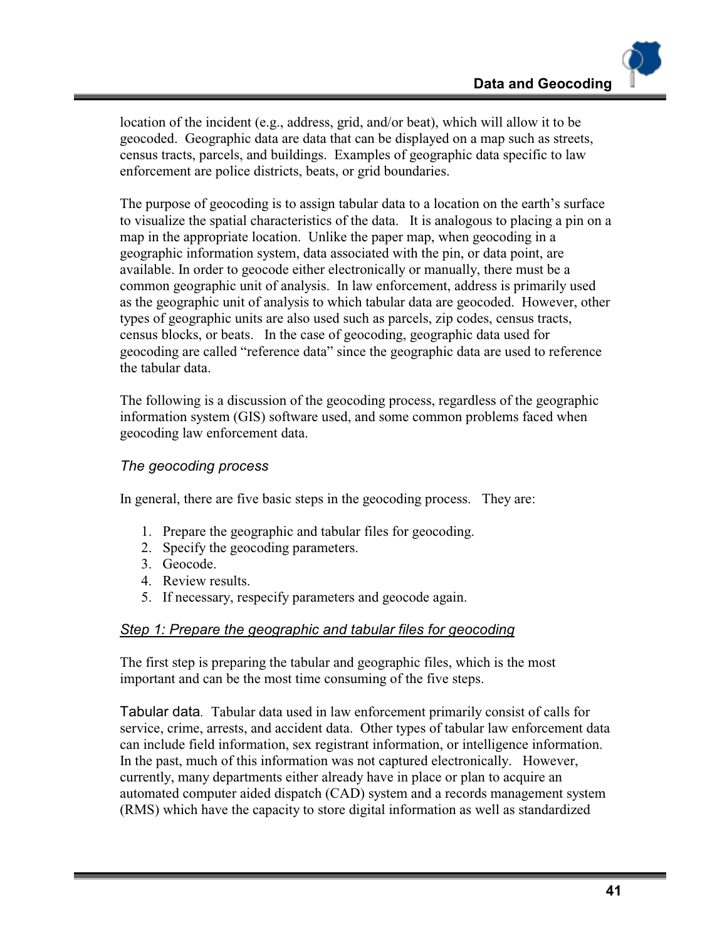location of the incident (e.g., address, grid, and/or beat), which will allow it to be geocoded. Geographic data are data that can be displayed on a map such as streets, census tracts, parcels, and buildings. Examples of geographic data specific to law enforcement are police districts, beats, or grid boundaries.

The purpose of geocoding is to assign tabular data to a location on the earth's surface to visualize the spatial characteristics of the data. It is analogous to placing a pin on a map in the appropriate location. Unlike the paper map, when geocoding in a geographic information system, data associated with the pin, or data point, are available. In order to geocode either electronically or manually, there must be a common geographic unit of analysis. In law enforcement, address is primarily used as the geographic unit of analysis to which tabular data are geocoded. However, other types of geographic units are also used such as parcels, zip codes, census tracts, census blocks, or beats. In the case of geocoding, geographic data used for geocoding are called "reference data" since the geographic data are used to reference the tabular data.

The following is a discussion of the geocoding process, regardless of the geographic information system (GIS) software used, and some common problems faced when geocoding law enforcement data.

#### *The geocoding process*

In general, there are five basic steps in the geocoding process. They are:

- 1. Prepare the geographic and tabular files for geocoding.
- 2. Specify the geocoding parameters.
- 3. Geocode.
- 4. Review results.
- 5. If necessary, respecify parameters and geocode again.

#### *Step 1: Prepare the geographic and tabular files for geocoding*

The first step is preparing the tabular and geographic files, which is the most important and can be the most time consuming of the five steps.

Tabular data*.* Tabular data used in law enforcement primarily consist of calls for service, crime, arrests, and accident data. Other types of tabular law enforcement data can include field information, sex registrant information, or intelligence information. In the past, much of this information was not captured electronically. However, currently, many departments either already have in place or plan to acquire an automated computer aided dispatch (CAD) system and a records management system (RMS) which have the capacity to store digital information as well as standardized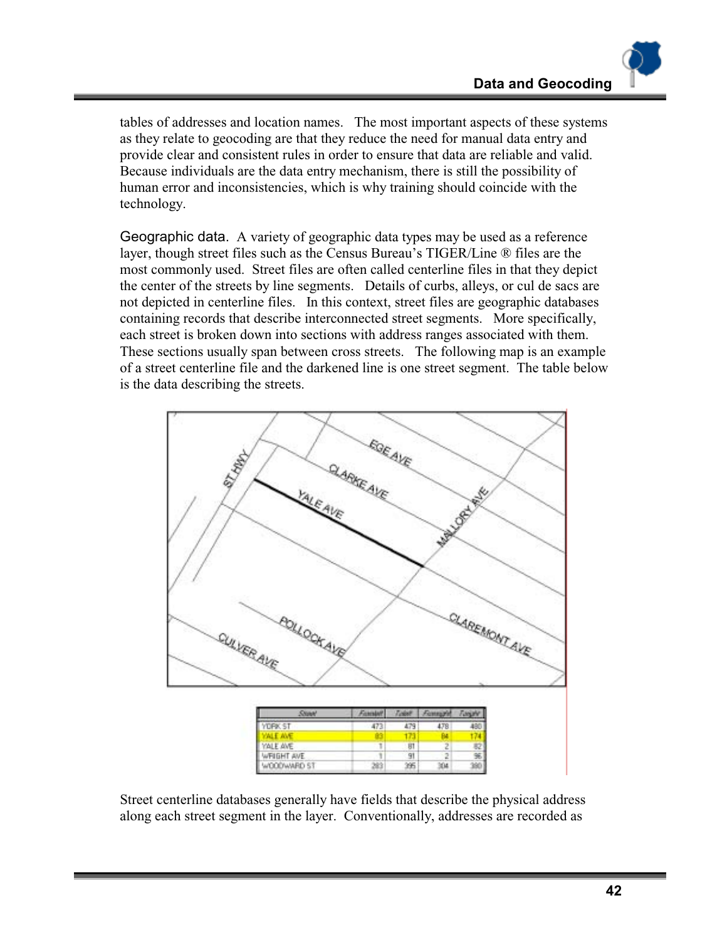tables of addresses and location names. The most important aspects of these systems as they relate to geocoding are that they reduce the need for manual data entry and provide clear and consistent rules in order to ensure that data are reliable and valid. Because individuals are the data entry mechanism, there is still the possibility of human error and inconsistencies, which is why training should coincide with the technology.

Geographic data. A variety of geographic data types may be used as a reference layer, though street files such as the Census Bureau's TIGER/Line ® files are the most commonly used. Street files are often called centerline files in that they depict the center of the streets by line segments. Details of curbs, alleys, or cul de sacs are not depicted in centerline files. In this context, street files are geographic databases containing records that describe interconnected street segments. More specifically, each street is broken down into sections with address ranges associated with them. These sections usually span between cross streets. The following map is an example of a street centerline file and the darkened line is one street segment. The table below is the data describing the streets.



Street centerline databases generally have fields that describe the physical address along each street segment in the layer. Conventionally, addresses are recorded as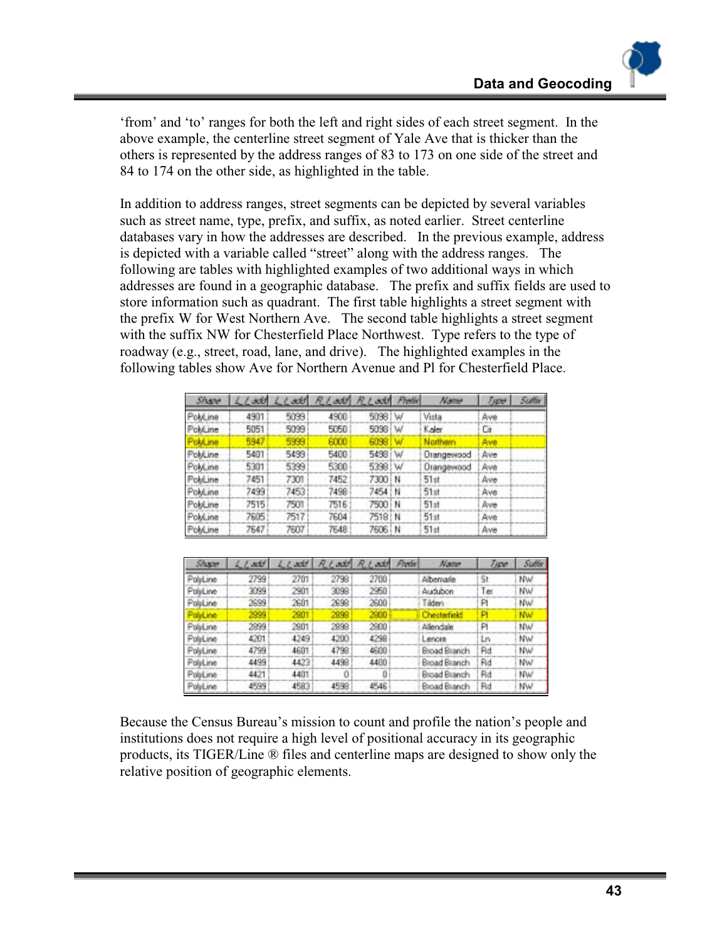'from' and 'to' ranges for both the left and right sides of each street segment. In the above example, the centerline street segment of Yale Ave that is thicker than the others is represented by the address ranges of 83 to 173 on one side of the street and 84 to 174 on the other side, as highlighted in the table.

In addition to address ranges, street segments can be depicted by several variables such as street name, type, prefix, and suffix, as noted earlier. Street centerline databases vary in how the addresses are described. In the previous example, address is depicted with a variable called "street" along with the address ranges. The following are tables with highlighted examples of two additional ways in which addresses are found in a geographic database. The prefix and suffix fields are used to store information such as quadrant. The first table highlights a street segment with the prefix W for West Northern Ave. The second table highlights a street segment with the suffix NW for Chesterfield Place Northwest. Type refers to the type of roadway (e.g., street, road, lane, and drive). The highlighted examples in the following tables show Ave for Northern Avenue and Pl for Chesterfield Place.

| Share     |      |      | LLoot LLoot RLoot RLoot Pieter |          |    | Name       | Tippe | <b>Sulliv</b> |
|-----------|------|------|--------------------------------|----------|----|------------|-------|---------------|
| PolyLine  | 4901 | 5099 | 4900                           | 5098 W   |    | Vista      | Ave   |               |
| PolyLine  | 5051 | 5099 | 5050                           | 5098     | iw | Kaler      | Сı    |               |
| PoluLine. | 5947 | 5999 | 6000                           | 5098     | w  | Northern   | Arve  |               |
| PolyLine  | 5401 | 5499 | 5400                           | 5498 W   |    | Drangewood | Ave   |               |
| PolyLine  | 5301 | 5399 | 5300                           | 5398 W   |    | Drangewood | Ave   |               |
| PolyLine  | 7451 | 7301 | 7452                           | 7300 N   |    | 51st       | Ave   |               |
| Pokkine   | 7499 | 7453 | 7498                           | 7454   N |    | 51st       | Ave   |               |
| PokLine   | 7515 | 7501 | 7516                           | 7500 i N |    | 51st       | Ave   |               |
| PolyLine  | 7605 | 7517 | 7604                           | 7518   N |    | 51st       | Ave   |               |
| PolyLine  | 7647 | 7607 | 7648                           | 7606   N |    | $51$ at    | Ave   |               |

| Share    | $L$ <i>L</i> sett | Predix<br>RLate<br><b>REART</b><br>Name<br>Lead |      | Type | <b>Sutter</b>       |     |           |
|----------|-------------------|-------------------------------------------------|------|------|---------------------|-----|-----------|
| PolyLine | 2799              | 2701                                            | 2798 | 2700 | Albemarie           | Ŝt  | NW        |
| Politime | 3099              | 2901                                            | 3098 | 2950 | Audubon             | Ter | NW        |
| PoluLine | 2699              | 2601                                            | 2698 | 2600 | Tilden              | PI  | NW        |
| PolyLine | 2899              | 2901                                            | 2898 | 2900 | Chesterheid         | P   | <b>NW</b> |
| Politime | 2899              | 2901                                            | 2898 | 2800 | Allendale           | P   | NW        |
| PolyLine | 4201              | 4249                                            | 4200 | 4298 | Lenore              | Ln  | NW        |
| PolyLine | 4799              | 4601                                            | 4798 | 4600 | <b>Broad Branch</b> | Ad  | NW        |
| PolyLine | 4499              | 4423                                            | 4498 | 4400 | Broad Branch        | Rd  | <b>NW</b> |
| PolyLine | 4421              | 4401                                            | Ū    | Ö    | Broad Branch        | Rd  | NW        |
| PolyLine | 4599              | 4583                                            | 4598 | 4546 | <b>Broad Branch</b> | Rd  | NW        |

Because the Census Bureau's mission to count and profile the nation's people and institutions does not require a high level of positional accuracy in its geographic products, its TIGER/Line ® files and centerline maps are designed to show only the relative position of geographic elements.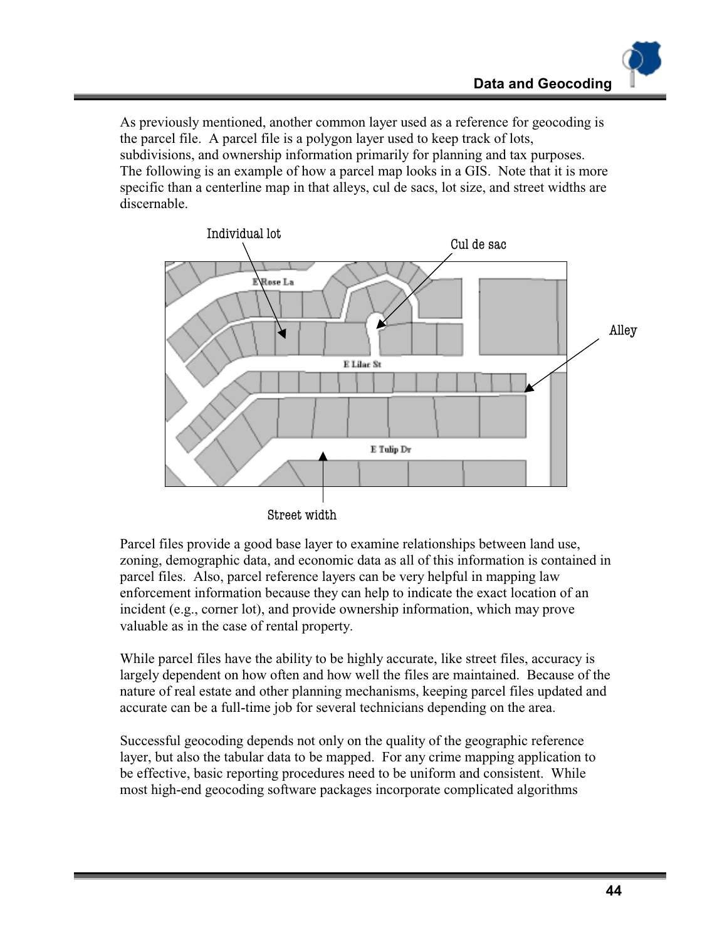As previously mentioned, another common layer used as a reference for geocoding is the parcel file. A parcel file is a polygon layer used to keep track of lots, subdivisions, and ownership information primarily for planning and tax purposes. The following is an example of how a parcel map looks in a GIS. Note that it is more specific than a centerline map in that alleys, cul de sacs, lot size, and street widths are discernable.



Street width

Parcel files provide a good base layer to examine relationships between land use, zoning, demographic data, and economic data as all of this information is contained in parcel files. Also, parcel reference layers can be very helpful in mapping law enforcement information because they can help to indicate the exact location of an incident (e.g., corner lot), and provide ownership information, which may prove valuable as in the case of rental property.

While parcel files have the ability to be highly accurate, like street files, accuracy is largely dependent on how often and how well the files are maintained. Because of the nature of real estate and other planning mechanisms, keeping parcel files updated and accurate can be a full-time job for several technicians depending on the area.

Successful geocoding depends not only on the quality of the geographic reference layer, but also the tabular data to be mapped. For any crime mapping application to be effective, basic reporting procedures need to be uniform and consistent. While most high-end geocoding software packages incorporate complicated algorithms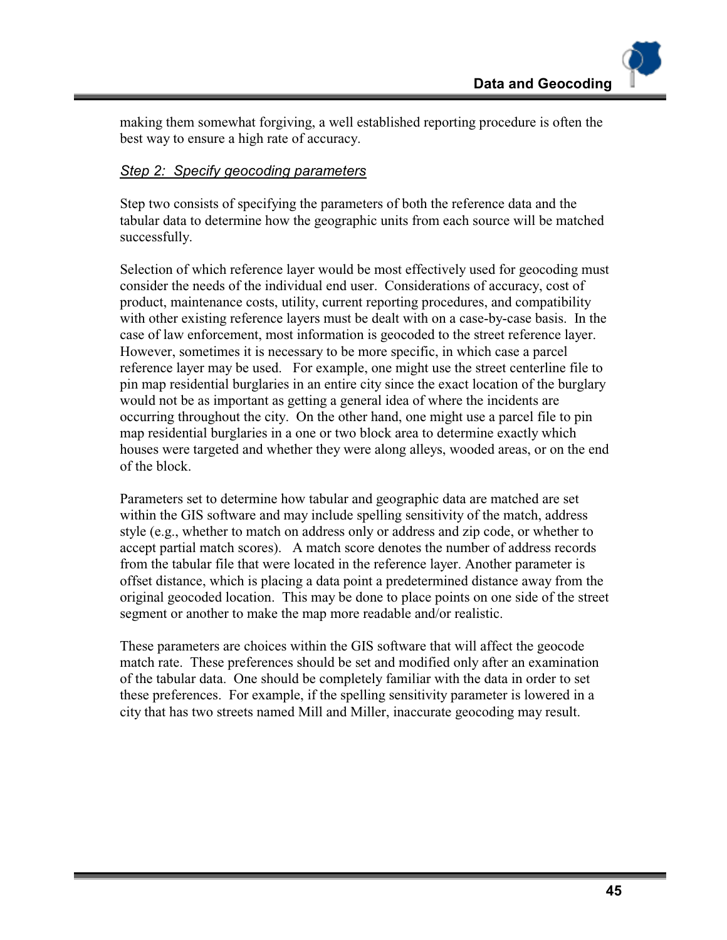making them somewhat forgiving, a well established reporting procedure is often the best way to ensure a high rate of accuracy.

#### *Step 2: Specify geocoding parameters*

Step two consists of specifying the parameters of both the reference data and the tabular data to determine how the geographic units from each source will be matched successfully.

Selection of which reference layer would be most effectively used for geocoding must consider the needs of the individual end user. Considerations of accuracy, cost of product, maintenance costs, utility, current reporting procedures, and compatibility with other existing reference layers must be dealt with on a case-by-case basis. In the case of law enforcement, most information is geocoded to the street reference layer. However, sometimes it is necessary to be more specific, in which case a parcel reference layer may be used. For example, one might use the street centerline file to pin map residential burglaries in an entire city since the exact location of the burglary would not be as important as getting a general idea of where the incidents are occurring throughout the city. On the other hand, one might use a parcel file to pin map residential burglaries in a one or two block area to determine exactly which houses were targeted and whether they were along alleys, wooded areas, or on the end of the block.

Parameters set to determine how tabular and geographic data are matched are set within the GIS software and may include spelling sensitivity of the match, address style (e.g., whether to match on address only or address and zip code, or whether to accept partial match scores). A match score denotes the number of address records from the tabular file that were located in the reference layer. Another parameter is offset distance, which is placing a data point a predetermined distance away from the original geocoded location. This may be done to place points on one side of the street segment or another to make the map more readable and/or realistic.

These parameters are choices within the GIS software that will affect the geocode match rate. These preferences should be set and modified only after an examination of the tabular data. One should be completely familiar with the data in order to set these preferences. For example, if the spelling sensitivity parameter is lowered in a city that has two streets named Mill and Miller, inaccurate geocoding may result.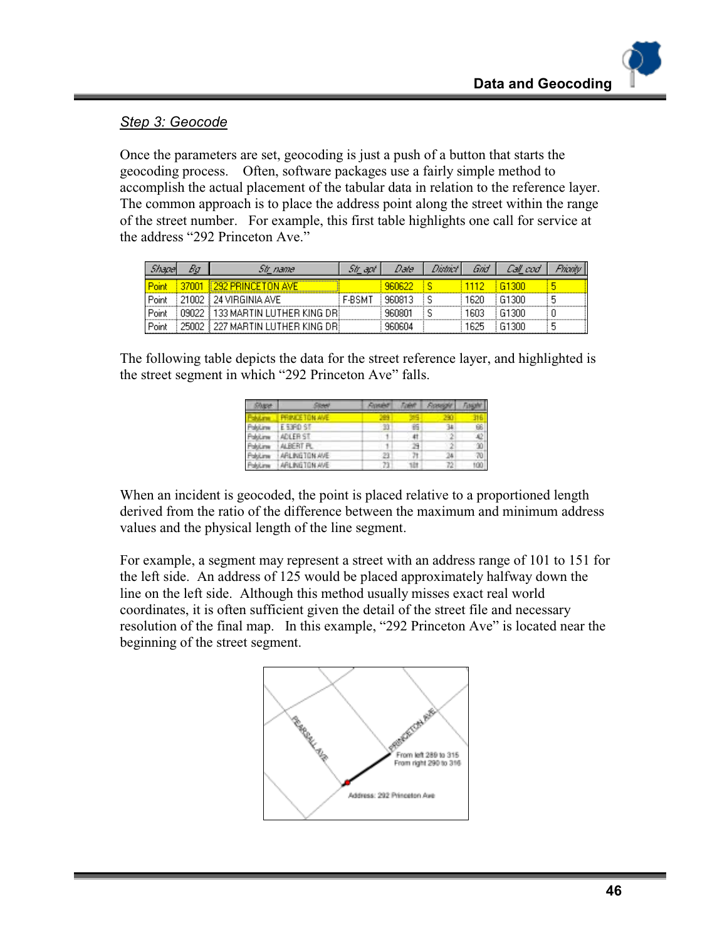# *Step 3: Geocode*

Once the parameters are set, geocoding is just a push of a button that starts the geocoding process. Often, software packages use a fairly simple method to accomplish the actual placement of the tabular data in relation to the reference layer. The common approach is to place the address point along the street within the range of the street number. For example, this first table highlights one call for service at the address "292 Princeton Ave."

|       | bυ    | Str name                           | Str apt       | Date   | District | Gnd  | Call cod |  |
|-------|-------|------------------------------------|---------------|--------|----------|------|----------|--|
| Point | 37001 | 4292 PRINCETON AVE                 |               | 960622 |          | 112  | 61300    |  |
| Point |       | 21002   24 VIRGINIA AVE            | <b>F-BSMT</b> | 960813 |          | 1620 | -61300   |  |
| Point |       | 09022   133 MARTIN LUTHER KING DRI |               | 960801 |          | 1603 | -61300   |  |
| Point |       | 25002 § 227 MARTIN LUTHER KING DR  |               | 960604 |          | 1625 | -61300   |  |

The following table depicts the data for the street reference layer, and highlighted is the street segment in which "292 Princeton Ave" falls.

| Share.            | iten en       | Roser | Color | <b>FIGHTIGHT</b> |     |
|-------------------|---------------|-------|-------|------------------|-----|
| <b>Industrial</b> | PRINCETON AVE | æ     |       |                  |     |
| Publime           | E 53FD ST     | $-33$ | 昭     | 34               | 66  |
| Pakitine          | ADLER ST      |       | 41    | 2                | AD. |
| Pakiline          | ALBERT FL     |       | 29    |                  | 30  |
| Pakitime          | ARLINGTON AVE | 23    | 7t    | м                | 70  |
| Politime          | ARLINGTON AVE | 73    | 18t   | 72               | tű0 |

When an incident is geocoded, the point is placed relative to a proportioned length derived from the ratio of the difference between the maximum and minimum address values and the physical length of the line segment.

For example, a segment may represent a street with an address range of 101 to 151 for the left side. An address of 125 would be placed approximately halfway down the line on the left side. Although this method usually misses exact real world coordinates, it is often sufficient given the detail of the street file and necessary resolution of the final map. In this example, "292 Princeton Ave" is located near the beginning of the street segment.

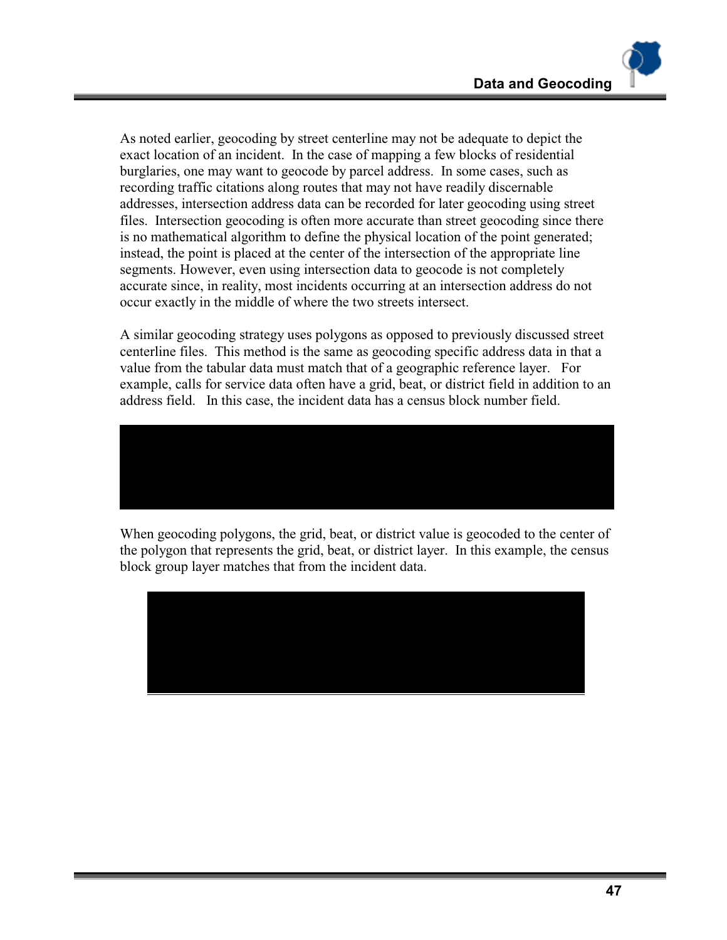As noted earlier, geocoding by street centerline may not be adequate to depict the exact location of an incident. In the case of mapping a few blocks of residential burglaries, one may want to geocode by parcel address. In some cases, such as recording traffic citations along routes that may not have readily discernable addresses, intersection address data can be recorded for later geocoding using street files. Intersection geocoding is often more accurate than street geocoding since there is no mathematical algorithm to define the physical location of the point generated; instead, the point is placed at the center of the intersection of the appropriate line segments. However, even using intersection data to geocode is not completely accurate since, in reality, most incidents occurring at an intersection address do not occur exactly in the middle of where the two streets intersect.

A similar geocoding strategy uses polygons as opposed to previously discussed street centerline files. This method is the same as geocoding specific address data in that a value from the tabular data must match that of a geographic reference layer. For example, calls for service data often have a grid, beat, or district field in addition to an address field. In this case, the incident data has a census block number field.



When geocoding polygons, the grid, beat, or district value is geocoded to the center of the polygon that represents the grid, beat, or district layer. In this example, the census block group layer matches that from the incident data.

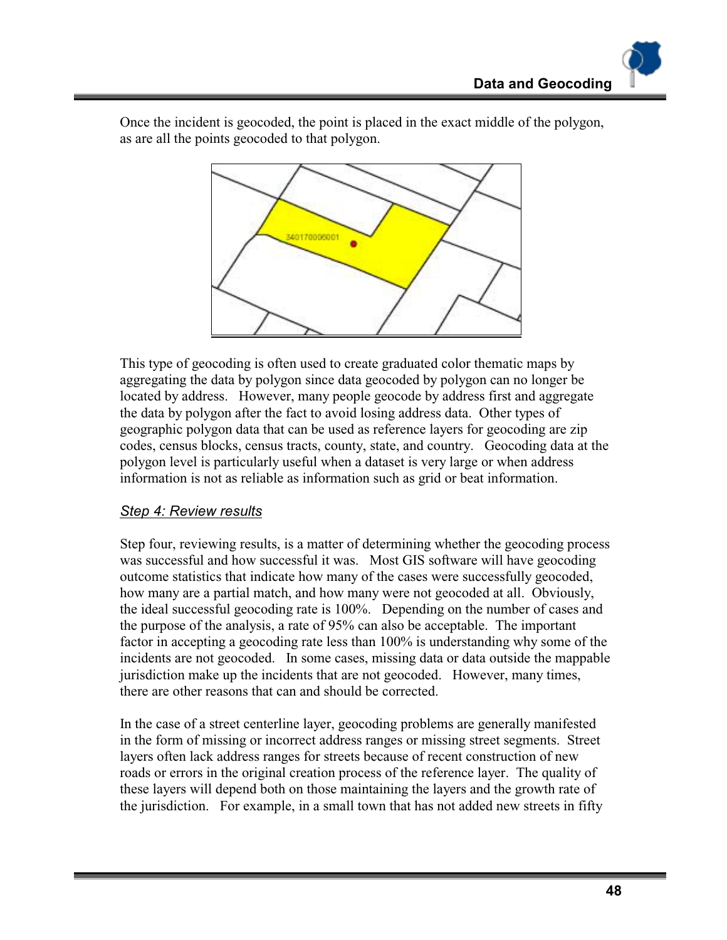340170006001

Once the incident is geocoded, the point is placed in the exact middle of the polygon, as are all the points geocoded to that polygon.

This type of geocoding is often used to create graduated color thematic maps by aggregating the data by polygon since data geocoded by polygon can no longer be located by address. However, many people geocode by address first and aggregate the data by polygon after the fact to avoid losing address data. Other types of geographic polygon data that can be used as reference layers for geocoding are zip codes, census blocks, census tracts, county, state, and country. Geocoding data at the polygon level is particularly useful when a dataset is very large or when address information is not as reliable as information such as grid or beat information.

#### *Step 4: Review results*

Step four, reviewing results, is a matter of determining whether the geocoding process was successful and how successful it was. Most GIS software will have geocoding outcome statistics that indicate how many of the cases were successfully geocoded, how many are a partial match, and how many were not geocoded at all. Obviously, the ideal successful geocoding rate is 100%. Depending on the number of cases and the purpose of the analysis, a rate of 95% can also be acceptable. The important factor in accepting a geocoding rate less than 100% is understanding why some of the incidents are not geocoded. In some cases, missing data or data outside the mappable jurisdiction make up the incidents that are not geocoded. However, many times, there are other reasons that can and should be corrected.

In the case of a street centerline layer, geocoding problems are generally manifested in the form of missing or incorrect address ranges or missing street segments. Street layers often lack address ranges for streets because of recent construction of new roads or errors in the original creation process of the reference layer. The quality of these layers will depend both on those maintaining the layers and the growth rate of the jurisdiction. For example, in a small town that has not added new streets in fifty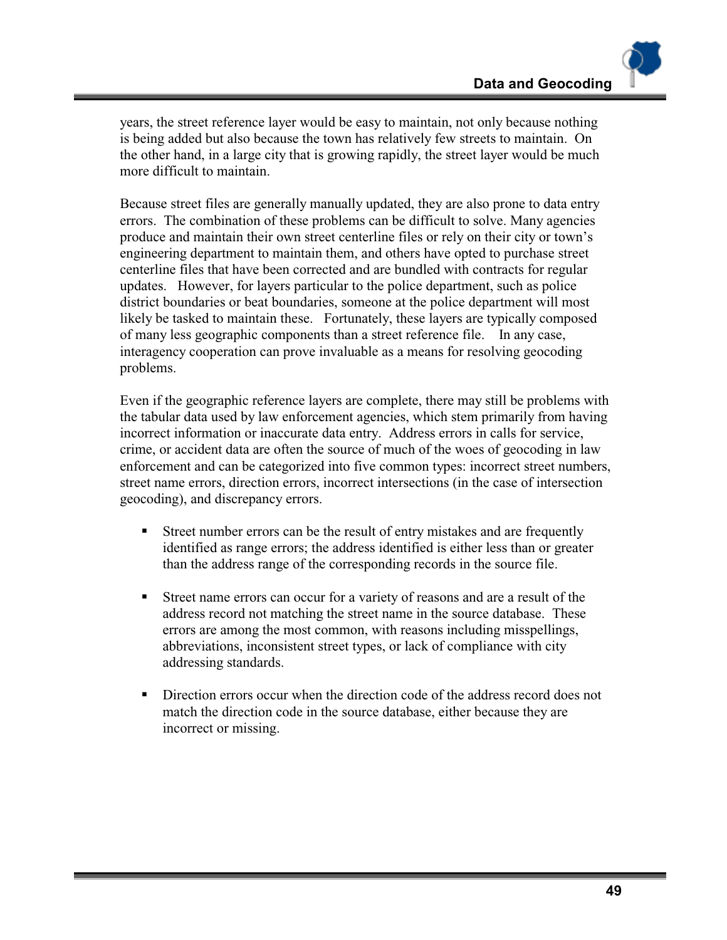years, the street reference layer would be easy to maintain, not only because nothing is being added but also because the town has relatively few streets to maintain. On the other hand, in a large city that is growing rapidly, the street layer would be much more difficult to maintain.

Because street files are generally manually updated, they are also prone to data entry errors. The combination of these problems can be difficult to solve. Many agencies produce and maintain their own street centerline files or rely on their city or town's engineering department to maintain them, and others have opted to purchase street centerline files that have been corrected and are bundled with contracts for regular updates. However, for layers particular to the police department, such as police district boundaries or beat boundaries, someone at the police department will most likely be tasked to maintain these. Fortunately, these layers are typically composed of many less geographic components than a street reference file. In any case, interagency cooperation can prove invaluable as a means for resolving geocoding problems.

Even if the geographic reference layers are complete, there may still be problems with the tabular data used by law enforcement agencies, which stem primarily from having incorrect information or inaccurate data entry. Address errors in calls for service, crime, or accident data are often the source of much of the woes of geocoding in law enforcement and can be categorized into five common types: incorrect street numbers, street name errors, direction errors, incorrect intersections (in the case of intersection geocoding), and discrepancy errors.

- !"Street number errors can be the result of entry mistakes and are frequently identified as range errors; the address identified is either less than or greater than the address range of the corresponding records in the source file.
- !"Street name errors can occur for a variety of reasons and are a result of the address record not matching the street name in the source database. These errors are among the most common, with reasons including misspellings, abbreviations, inconsistent street types, or lack of compliance with city addressing standards.
- !"Direction errors occur when the direction code of the address record does not match the direction code in the source database, either because they are incorrect or missing.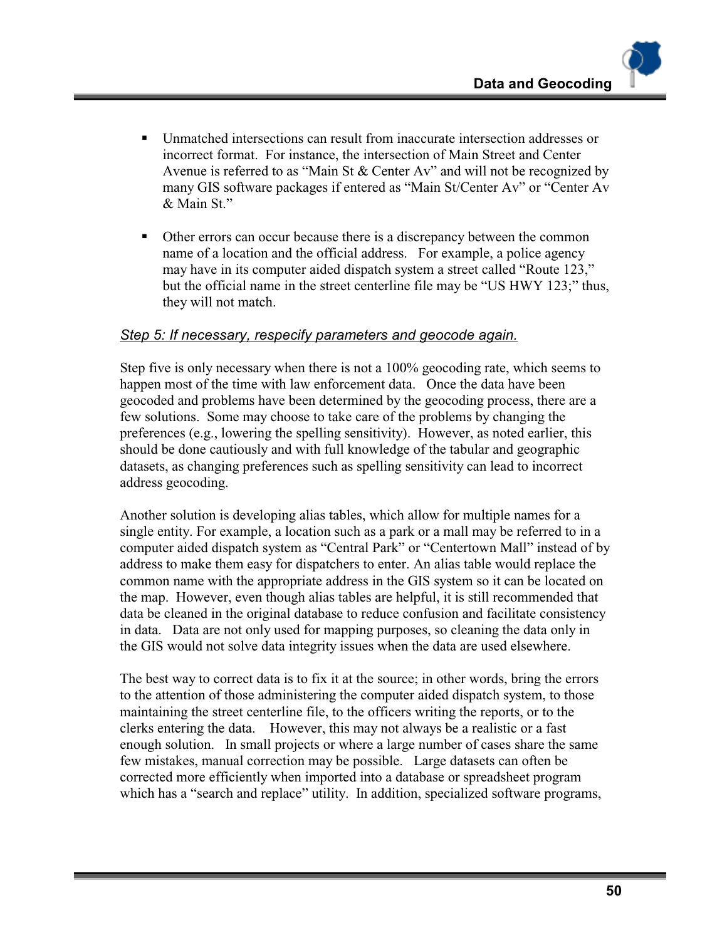- Unmatched intersections can result from inaccurate intersection addresses or incorrect format. For instance, the intersection of Main Street and Center Avenue is referred to as "Main St & Center Av" and will not be recognized by many GIS software packages if entered as "Main St/Center Av" or "Center Av & Main St."
- !"Other errors can occur because there is a discrepancy between the common name of a location and the official address. For example, a police agency may have in its computer aided dispatch system a street called "Route 123," but the official name in the street centerline file may be "US HWY 123;" thus, they will not match.

#### *Step 5: If necessary, respecify parameters and geocode again.*

Step five is only necessary when there is not a 100% geocoding rate, which seems to happen most of the time with law enforcement data. Once the data have been geocoded and problems have been determined by the geocoding process, there are a few solutions. Some may choose to take care of the problems by changing the preferences (e.g., lowering the spelling sensitivity). However, as noted earlier, this should be done cautiously and with full knowledge of the tabular and geographic datasets, as changing preferences such as spelling sensitivity can lead to incorrect address geocoding.

Another solution is developing alias tables, which allow for multiple names for a single entity. For example, a location such as a park or a mall may be referred to in a computer aided dispatch system as "Central Park" or "Centertown Mall" instead of by address to make them easy for dispatchers to enter. An alias table would replace the common name with the appropriate address in the GIS system so it can be located on the map. However, even though alias tables are helpful, it is still recommended that data be cleaned in the original database to reduce confusion and facilitate consistency in data. Data are not only used for mapping purposes, so cleaning the data only in the GIS would not solve data integrity issues when the data are used elsewhere.

The best way to correct data is to fix it at the source; in other words, bring the errors to the attention of those administering the computer aided dispatch system, to those maintaining the street centerline file, to the officers writing the reports, or to the clerks entering the data. However, this may not always be a realistic or a fast enough solution. In small projects or where a large number of cases share the same few mistakes, manual correction may be possible. Large datasets can often be corrected more efficiently when imported into a database or spreadsheet program which has a "search and replace" utility. In addition, specialized software programs,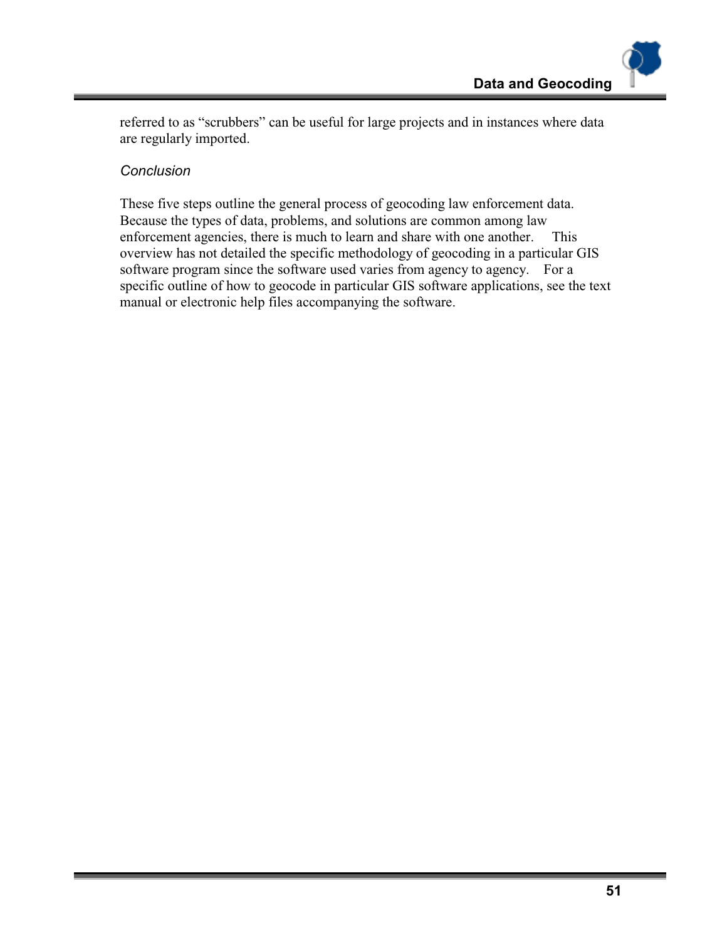referred to as "scrubbers" can be useful for large projects and in instances where data are regularly imported.

#### *Conclusion*

These five steps outline the general process of geocoding law enforcement data. Because the types of data, problems, and solutions are common among law enforcement agencies, there is much to learn and share with one another. This overview has not detailed the specific methodology of geocoding in a particular GIS software program since the software used varies from agency to agency. For a specific outline of how to geocode in particular GIS software applications, see the text manual or electronic help files accompanying the software.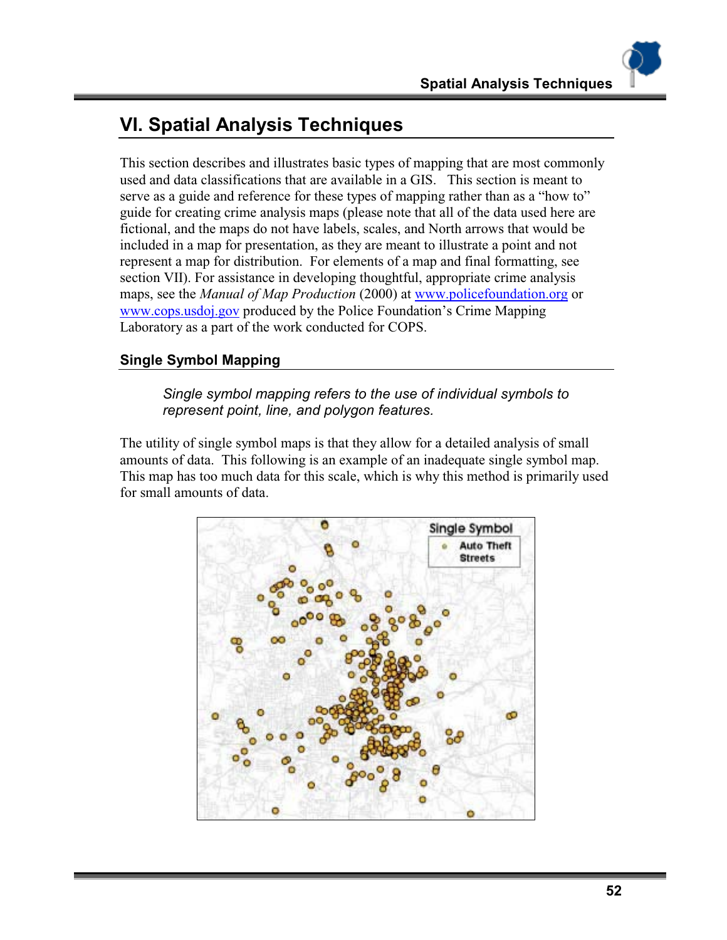# **VI. Spatial Analysis Techniques**

This section describes and illustrates basic types of mapping that are most commonly used and data classifications that are available in a GIS. This section is meant to serve as a guide and reference for these types of mapping rather than as a "how to" guide for creating crime analysis maps (please note that all of the data used here are fictional, and the maps do not have labels, scales, and North arrows that would be included in a map for presentation, as they are meant to illustrate a point and not represent a map for distribution. For elements of a map and final formatting, see section VII). For assistance in developing thoughtful, appropriate crime analysis maps, see the *Manual of Map Production* (2000) at www.policefoundation.org or www.cops.usdoj.gov produced by the Police Foundation's Crime Mapping Laboratory as a part of the work conducted for COPS.

# **Single Symbol Mapping**

*Single symbol mapping refers to the use of individual symbols to represent point, line, and polygon features.* 

The utility of single symbol maps is that they allow for a detailed analysis of small amounts of data. This following is an example of an inadequate single symbol map. This map has too much data for this scale, which is why this method is primarily used for small amounts of data.

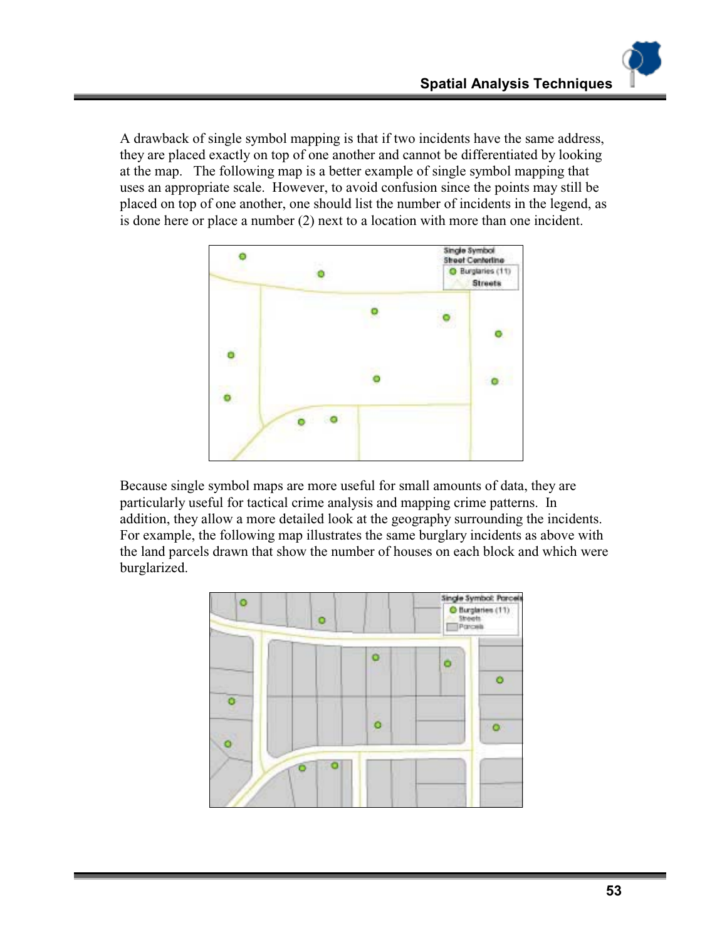A drawback of single symbol mapping is that if two incidents have the same address, they are placed exactly on top of one another and cannot be differentiated by looking at the map. The following map is a better example of single symbol mapping that uses an appropriate scale. However, to avoid confusion since the points may still be placed on top of one another, one should list the number of incidents in the legend, as is done here or place a number (2) next to a location with more than one incident.



Because single symbol maps are more useful for small amounts of data, they are particularly useful for tactical crime analysis and mapping crime patterns. In addition, they allow a more detailed look at the geography surrounding the incidents. For example, the following map illustrates the same burglary incidents as above with the land parcels drawn that show the number of houses on each block and which were burglarized.

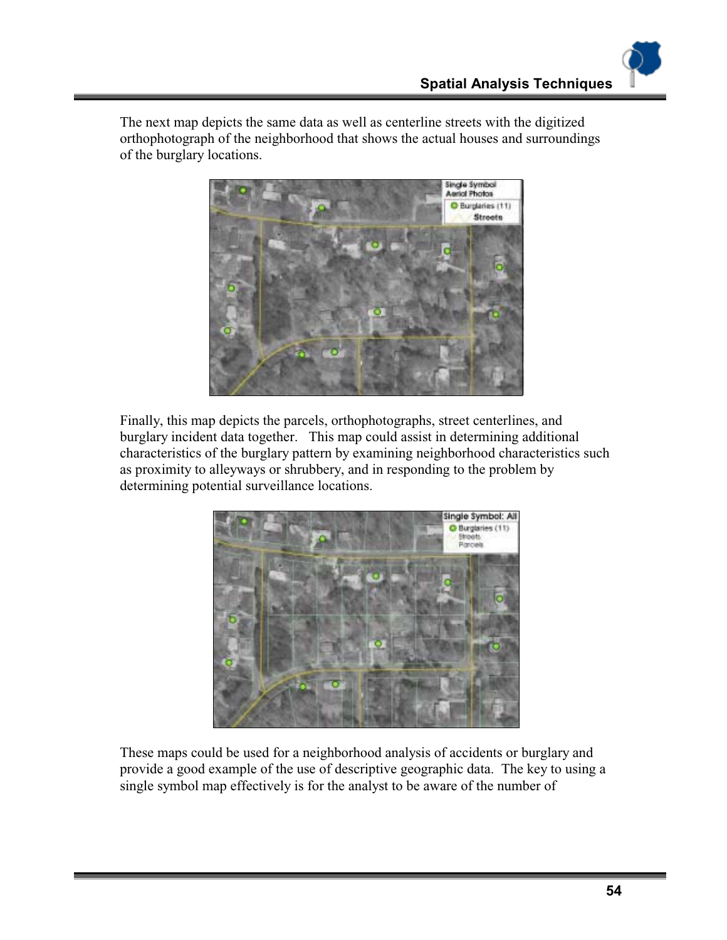The next map depicts the same data as well as centerline streets with the digitized orthophotograph of the neighborhood that shows the actual houses and surroundings of the burglary locations.



Finally, this map depicts the parcels, orthophotographs, street centerlines, and burglary incident data together. This map could assist in determining additional characteristics of the burglary pattern by examining neighborhood characteristics such as proximity to alleyways or shrubbery, and in responding to the problem by determining potential surveillance locations.



These maps could be used for a neighborhood analysis of accidents or burglary and provide a good example of the use of descriptive geographic data. The key to using a single symbol map effectively is for the analyst to be aware of the number of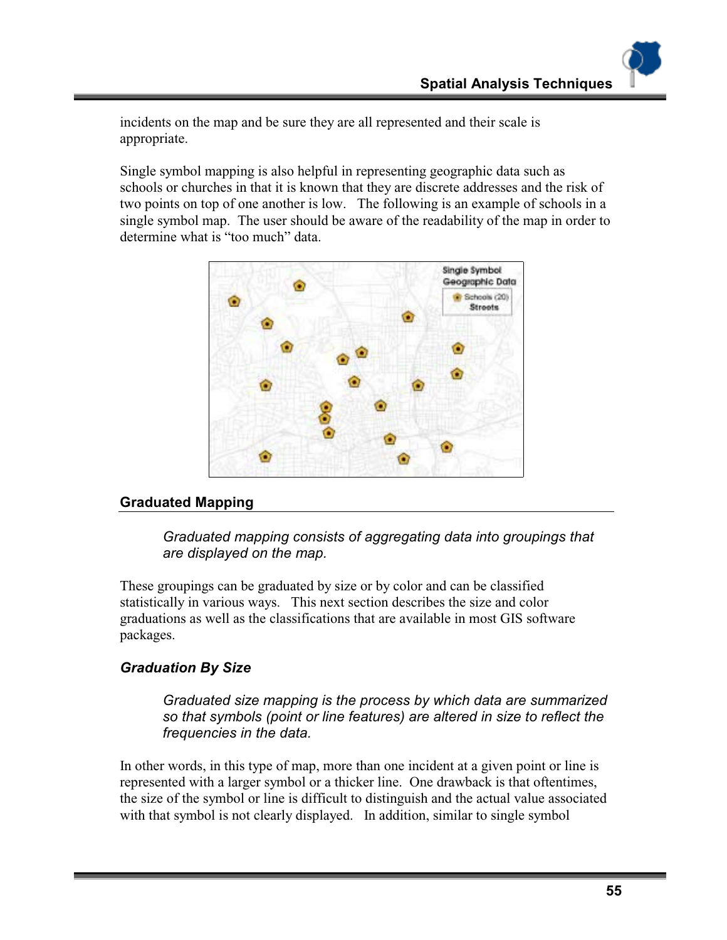incidents on the map and be sure they are all represented and their scale is appropriate.

Single symbol mapping is also helpful in representing geographic data such as schools or churches in that it is known that they are discrete addresses and the risk of two points on top of one another is low. The following is an example of schools in a single symbol map. The user should be aware of the readability of the map in order to determine what is "too much" data.



#### **Graduated Mapping**

*Graduated mapping consists of aggregating data into groupings that are displayed on the map.* 

These groupings can be graduated by size or by color and can be classified statistically in various ways. This next section describes the size and color graduations as well as the classifications that are available in most GIS software packages.

# *Graduation By Size*

*Graduated size mapping is the process by which data are summarized so that symbols (point or line features) are altered in size to reflect the frequencies in the data.* 

In other words, in this type of map, more than one incident at a given point or line is represented with a larger symbol or a thicker line. One drawback is that oftentimes, the size of the symbol or line is difficult to distinguish and the actual value associated with that symbol is not clearly displayed. In addition, similar to single symbol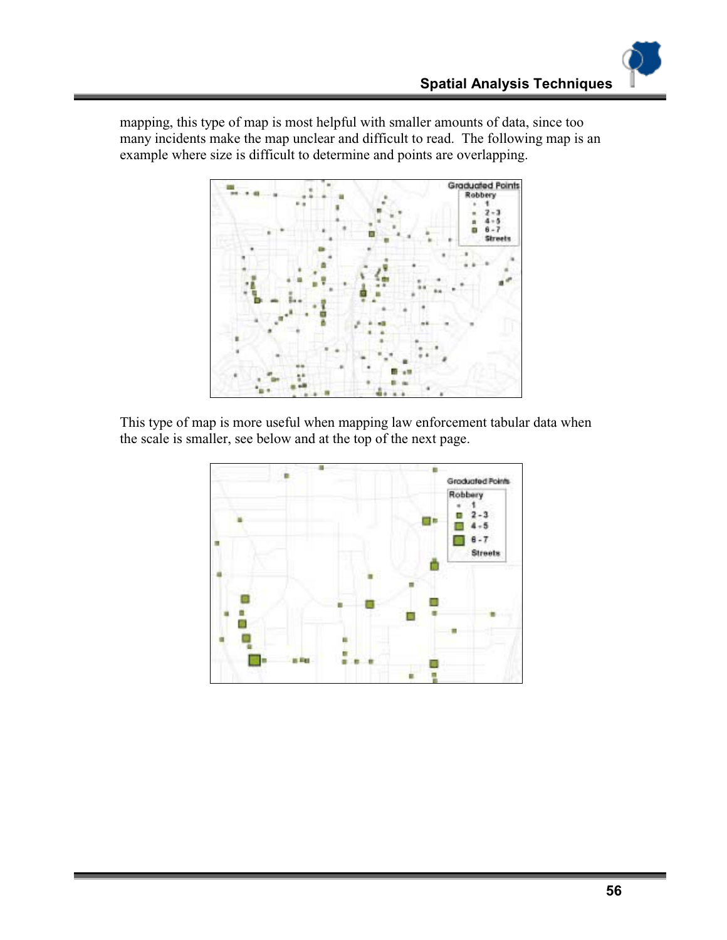mapping, this type of map is most helpful with smaller amounts of data, since too many incidents make the map unclear and difficult to read. The following map is an example where size is difficult to determine and points are overlapping.



This type of map is more useful when mapping law enforcement tabular data when the scale is smaller, see below and at the top of the next page.

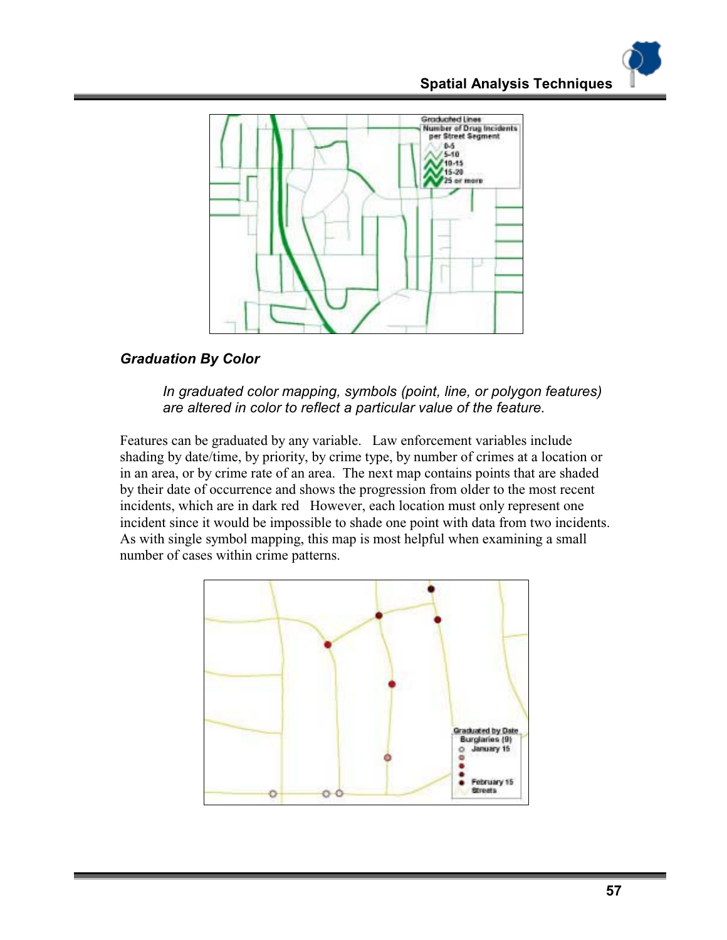

# *Graduation By Color*

#### *In graduated color mapping, symbols (point, line, or polygon features) are altered in color to reflect a particular value of the feature.*

Features can be graduated by any variable. Law enforcement variables include shading by date/time, by priority, by crime type, by number of crimes at a location or in an area, or by crime rate of an area. The next map contains points that are shaded by their date of occurrence and shows the progression from older to the most recent incidents, which are in dark red However, each location must only represent one incident since it would be impossible to shade one point with data from two incidents. As with single symbol mapping, this map is most helpful when examining a small number of cases within crime patterns.

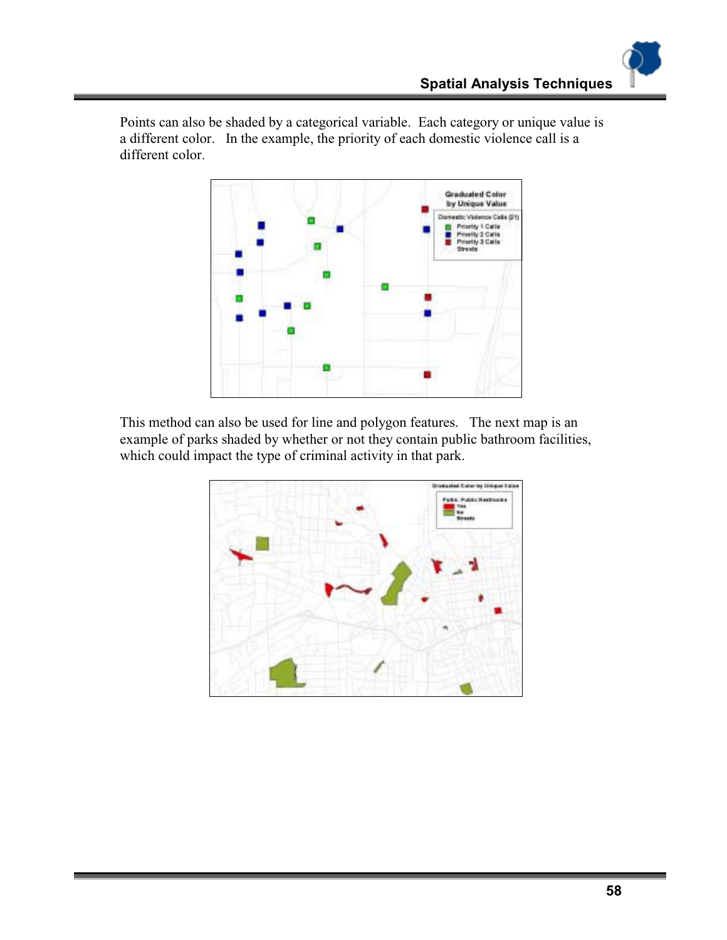Points can also be shaded by a categorical variable. Each category or unique value is a different color. In the example, the priority of each domestic violence call is a different color.



This method can also be used for line and polygon features. The next map is an example of parks shaded by whether or not they contain public bathroom facilities, which could impact the type of criminal activity in that park.

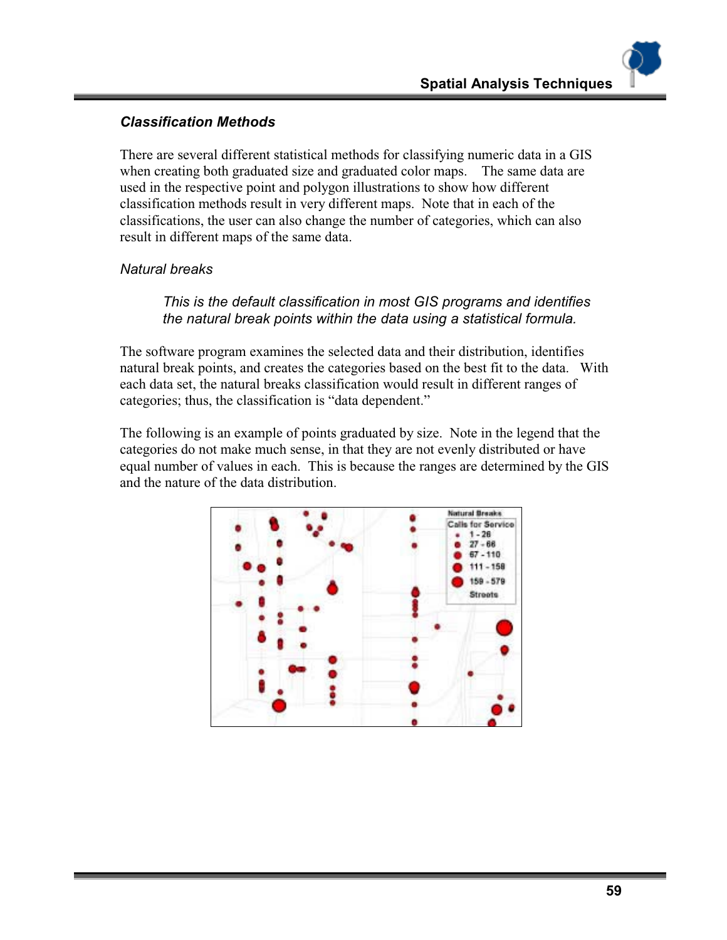# *Classification Methods*

There are several different statistical methods for classifying numeric data in a GIS when creating both graduated size and graduated color maps. The same data are used in the respective point and polygon illustrations to show how different classification methods result in very different maps. Note that in each of the classifications, the user can also change the number of categories, which can also result in different maps of the same data.

#### *Natural breaks*

#### *This is the default classification in most GIS programs and identifies the natural break points within the data using a statistical formula.*

The software program examines the selected data and their distribution, identifies natural break points, and creates the categories based on the best fit to the data. With each data set, the natural breaks classification would result in different ranges of categories; thus, the classification is "data dependent."

The following is an example of points graduated by size. Note in the legend that the categories do not make much sense, in that they are not evenly distributed or have equal number of values in each. This is because the ranges are determined by the GIS and the nature of the data distribution.

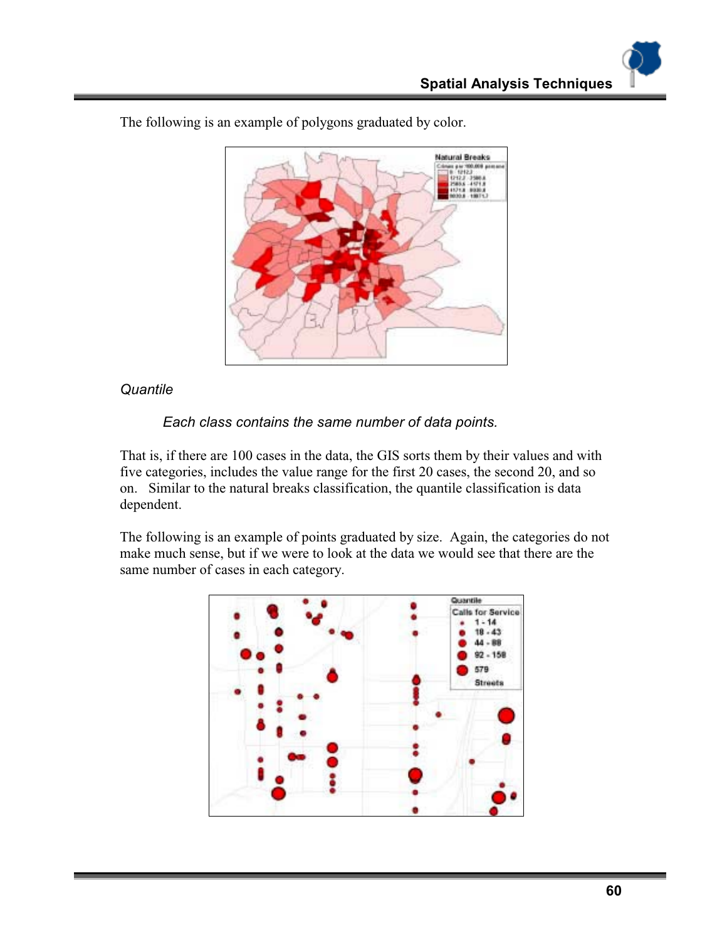

The following is an example of polygons graduated by color.

#### *Quantile*

#### *Each class contains the same number of data points.*

That is, if there are 100 cases in the data, the GIS sorts them by their values and with five categories, includes the value range for the first 20 cases, the second 20, and so on. Similar to the natural breaks classification, the quantile classification is data dependent.

The following is an example of points graduated by size. Again, the categories do not make much sense, but if we were to look at the data we would see that there are the same number of cases in each category.

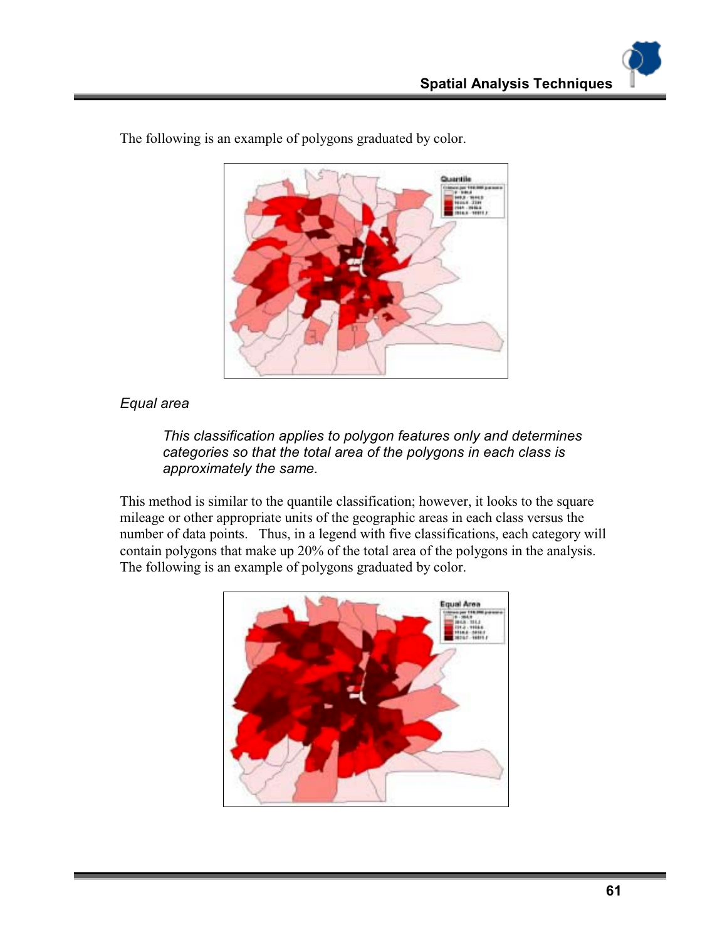

The following is an example of polygons graduated by color.

#### *Equal area*

*This classification applies to polygon features only and determines categories so that the total area of the polygons in each class is approximately the same.* 

This method is similar to the quantile classification; however, it looks to the square mileage or other appropriate units of the geographic areas in each class versus the number of data points. Thus, in a legend with five classifications, each category will contain polygons that make up 20% of the total area of the polygons in the analysis. The following is an example of polygons graduated by color.

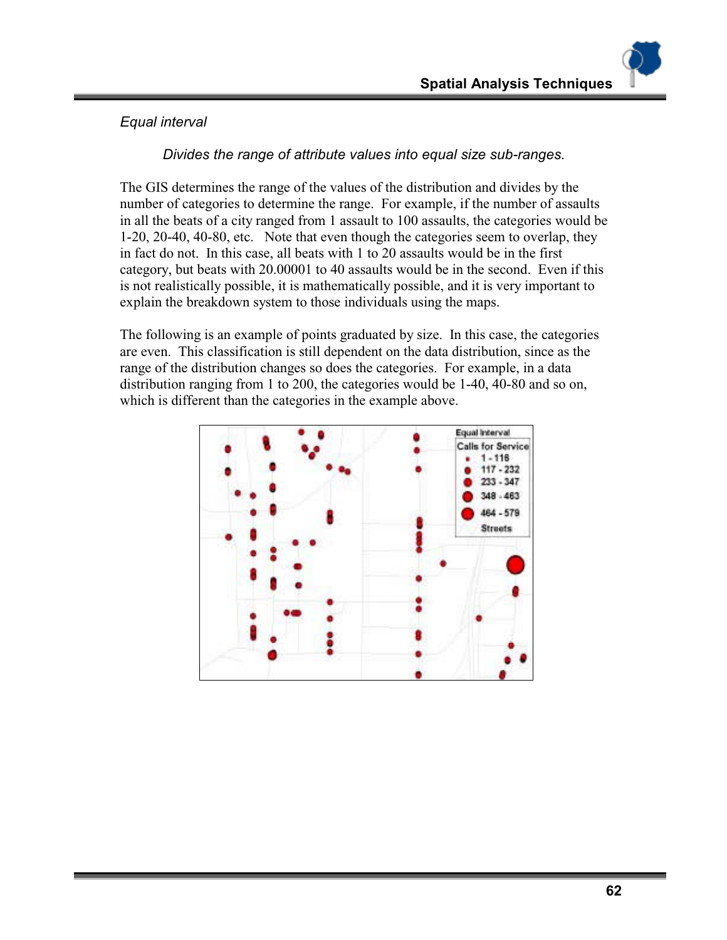# *Equal interval*

*Divides the range of attribute values into equal size sub-ranges.* 

The GIS determines the range of the values of the distribution and divides by the number of categories to determine the range. For example, if the number of assaults in all the beats of a city ranged from 1 assault to 100 assaults, the categories would be 1-20, 20-40, 40-80, etc. Note that even though the categories seem to overlap, they in fact do not. In this case, all beats with 1 to 20 assaults would be in the first category, but beats with 20.00001 to 40 assaults would be in the second. Even if this is not realistically possible, it is mathematically possible, and it is very important to explain the breakdown system to those individuals using the maps.

The following is an example of points graduated by size. In this case, the categories are even. This classification is still dependent on the data distribution, since as the range of the distribution changes so does the categories. For example, in a data distribution ranging from 1 to 200, the categories would be 1-40, 40-80 and so on, which is different than the categories in the example above.

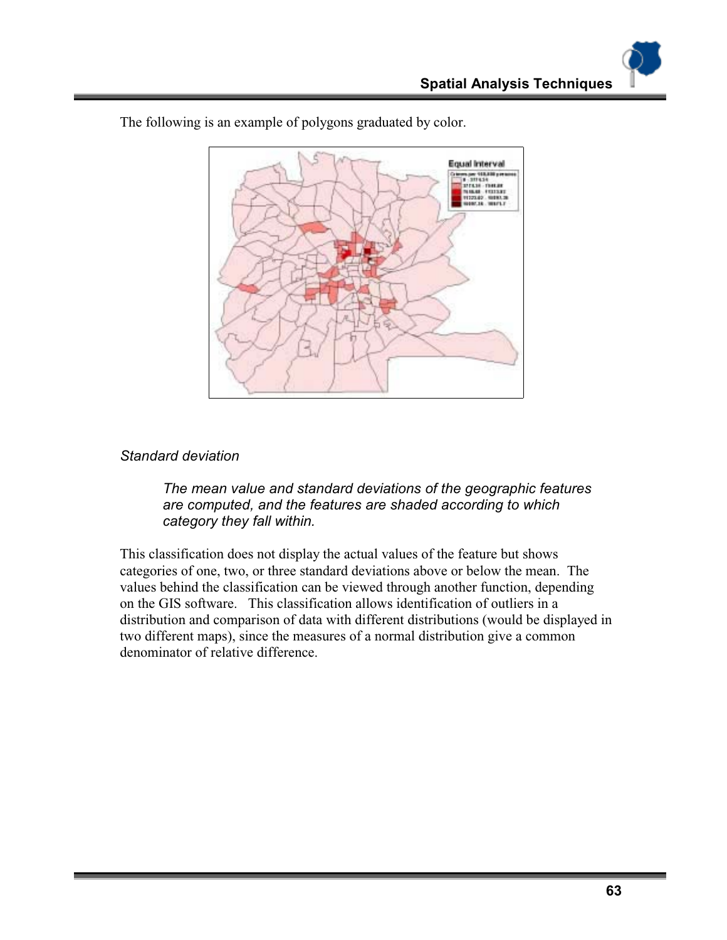

The following is an example of polygons graduated by color.

#### *Standard deviation*

*The mean value and standard deviations of the geographic features are computed, and the features are shaded according to which category they fall within.* 

This classification does not display the actual values of the feature but shows categories of one, two, or three standard deviations above or below the mean. The values behind the classification can be viewed through another function, depending on the GIS software. This classification allows identification of outliers in a distribution and comparison of data with different distributions (would be displayed in two different maps), since the measures of a normal distribution give a common denominator of relative difference.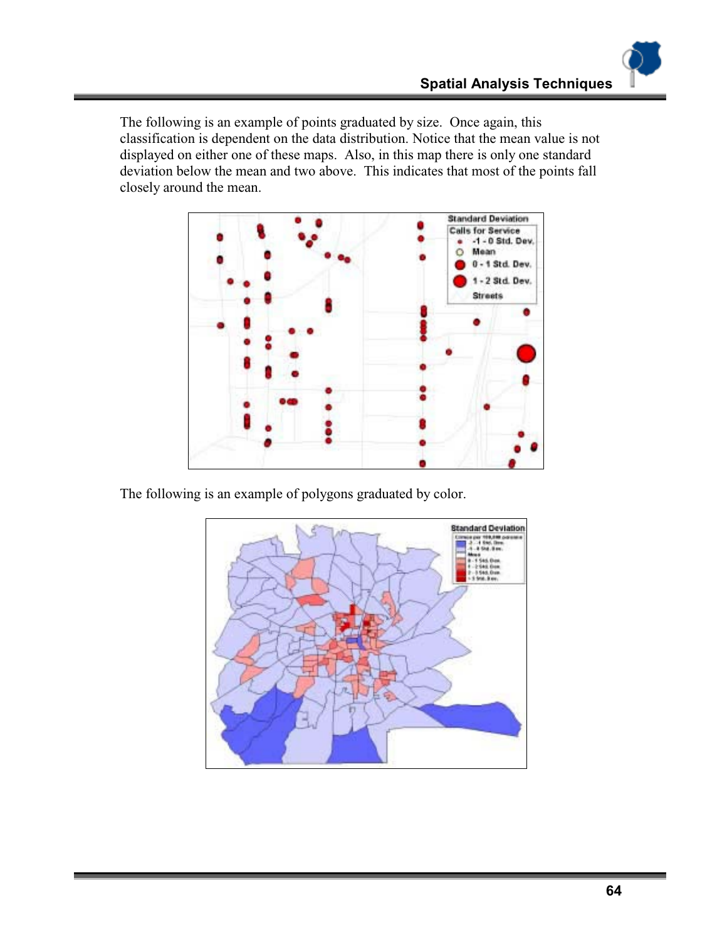The following is an example of points graduated by size. Once again, this classification is dependent on the data distribution. Notice that the mean value is not displayed on either one of these maps. Also, in this map there is only one standard deviation below the mean and two above. This indicates that most of the points fall closely around the mean.



The following is an example of polygons graduated by color.

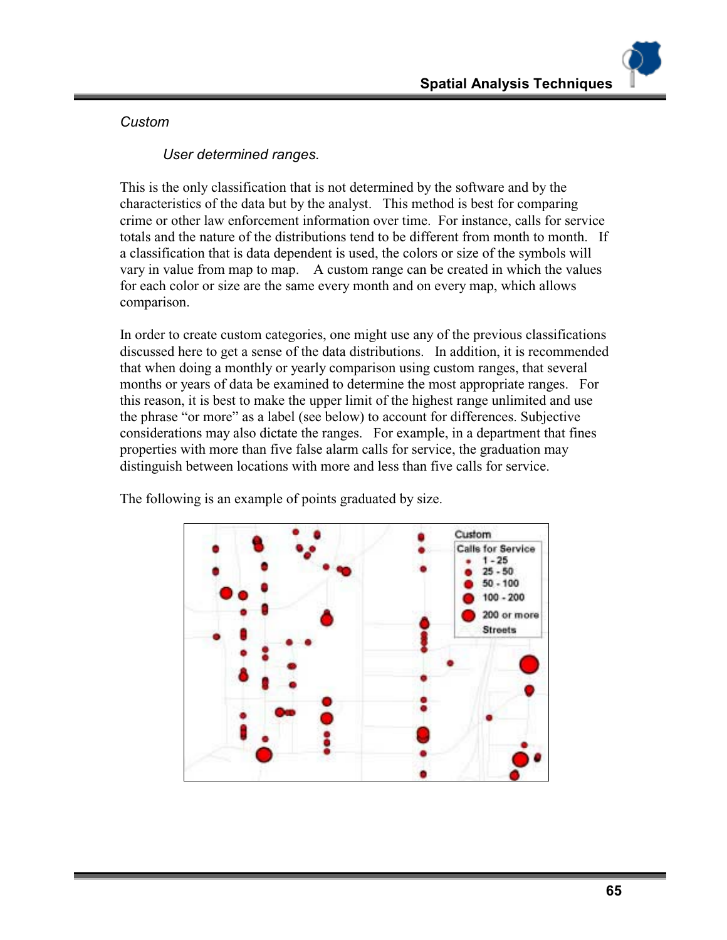#### *Custom*

*User determined ranges.* 

This is the only classification that is not determined by the software and by the characteristics of the data but by the analyst. This method is best for comparing crime or other law enforcement information over time. For instance, calls for service totals and the nature of the distributions tend to be different from month to month. If a classification that is data dependent is used, the colors or size of the symbols will vary in value from map to map. A custom range can be created in which the values for each color or size are the same every month and on every map, which allows comparison.

In order to create custom categories, one might use any of the previous classifications discussed here to get a sense of the data distributions. In addition, it is recommended that when doing a monthly or yearly comparison using custom ranges, that several months or years of data be examined to determine the most appropriate ranges. For this reason, it is best to make the upper limit of the highest range unlimited and use the phrase "or more" as a label (see below) to account for differences. Subjective considerations may also dictate the ranges. For example, in a department that fines properties with more than five false alarm calls for service, the graduation may distinguish between locations with more and less than five calls for service.



The following is an example of points graduated by size.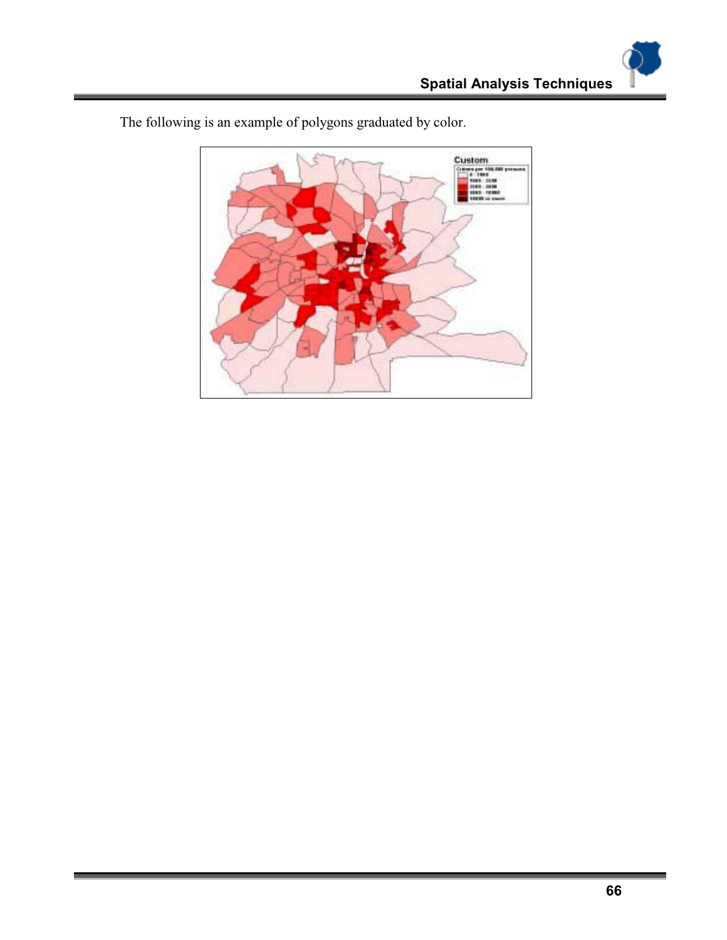

The following is an example of polygons graduated by color.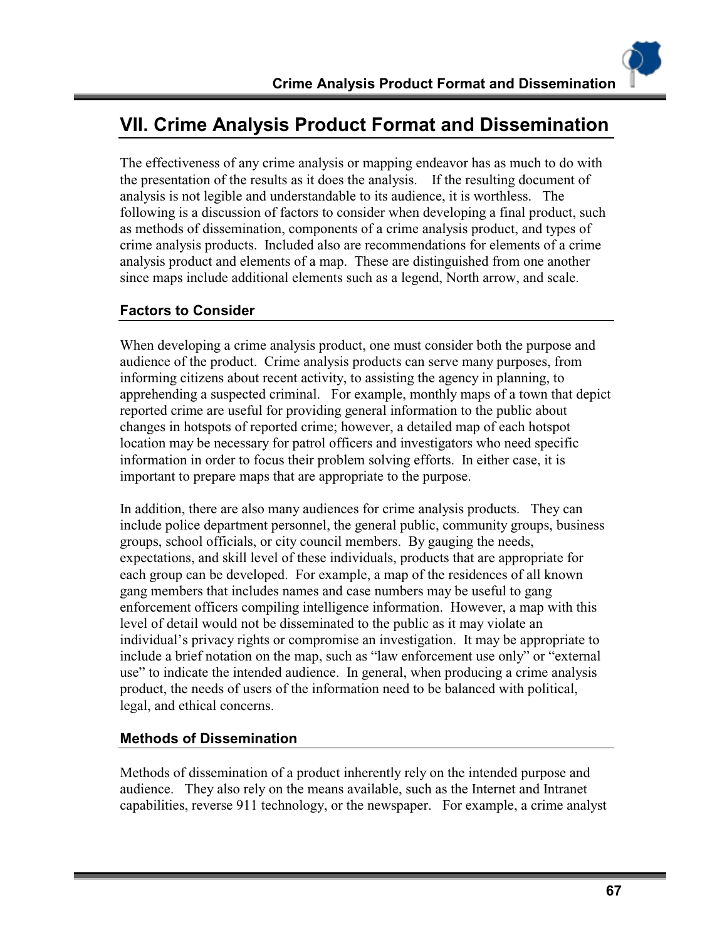# **VII. Crime Analysis Product Format and Dissemination**

The effectiveness of any crime analysis or mapping endeavor has as much to do with the presentation of the results as it does the analysis. If the resulting document of analysis is not legible and understandable to its audience, it is worthless. The following is a discussion of factors to consider when developing a final product, such as methods of dissemination, components of a crime analysis product, and types of crime analysis products. Included also are recommendations for elements of a crime analysis product and elements of a map. These are distinguished from one another since maps include additional elements such as a legend, North arrow, and scale.

# **Factors to Consider**

When developing a crime analysis product, one must consider both the purpose and audience of the product. Crime analysis products can serve many purposes, from informing citizens about recent activity, to assisting the agency in planning, to apprehending a suspected criminal. For example, monthly maps of a town that depict reported crime are useful for providing general information to the public about changes in hotspots of reported crime; however, a detailed map of each hotspot location may be necessary for patrol officers and investigators who need specific information in order to focus their problem solving efforts. In either case, it is important to prepare maps that are appropriate to the purpose.

In addition, there are also many audiences for crime analysis products. They can include police department personnel, the general public, community groups, business groups, school officials, or city council members. By gauging the needs, expectations, and skill level of these individuals, products that are appropriate for each group can be developed. For example, a map of the residences of all known gang members that includes names and case numbers may be useful to gang enforcement officers compiling intelligence information. However, a map with this level of detail would not be disseminated to the public as it may violate an individual's privacy rights or compromise an investigation. It may be appropriate to include a brief notation on the map, such as "law enforcement use only" or "external use" to indicate the intended audience. In general, when producing a crime analysis product, the needs of users of the information need to be balanced with political, legal, and ethical concerns.

#### **Methods of Dissemination**

Methods of dissemination of a product inherently rely on the intended purpose and audience. They also rely on the means available, such as the Internet and Intranet capabilities, reverse 911 technology, or the newspaper. For example, a crime analyst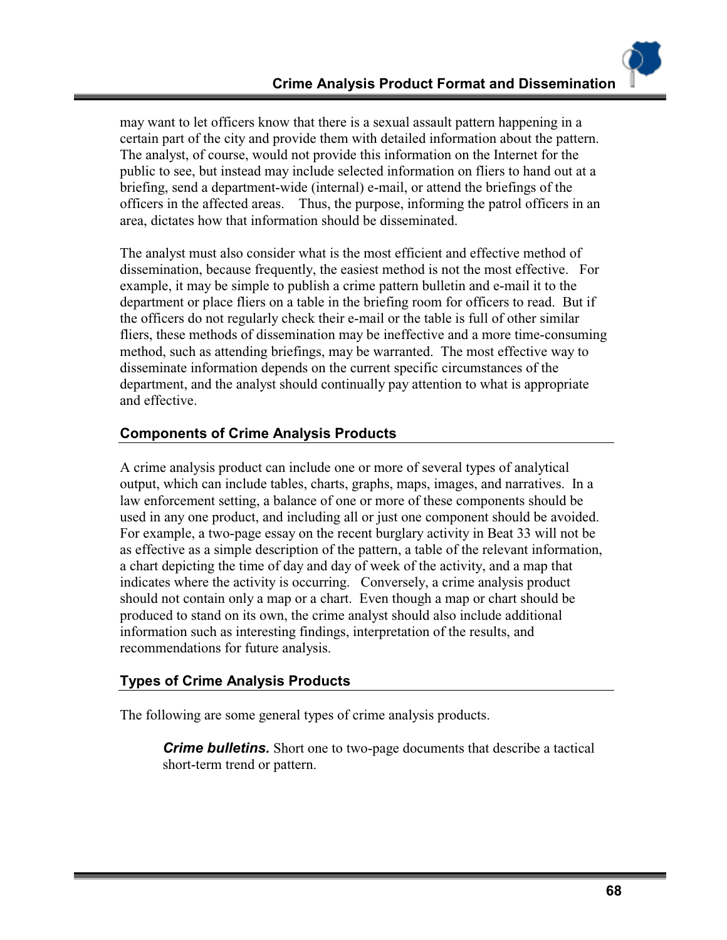may want to let officers know that there is a sexual assault pattern happening in a certain part of the city and provide them with detailed information about the pattern. The analyst, of course, would not provide this information on the Internet for the public to see, but instead may include selected information on fliers to hand out at a briefing, send a department-wide (internal) e-mail, or attend the briefings of the officers in the affected areas. Thus, the purpose, informing the patrol officers in an area, dictates how that information should be disseminated.

The analyst must also consider what is the most efficient and effective method of dissemination, because frequently, the easiest method is not the most effective. For example, it may be simple to publish a crime pattern bulletin and e-mail it to the department or place fliers on a table in the briefing room for officers to read. But if the officers do not regularly check their e-mail or the table is full of other similar fliers, these methods of dissemination may be ineffective and a more time-consuming method, such as attending briefings, may be warranted. The most effective way to disseminate information depends on the current specific circumstances of the department, and the analyst should continually pay attention to what is appropriate and effective.

# **Components of Crime Analysis Products**

A crime analysis product can include one or more of several types of analytical output, which can include tables, charts, graphs, maps, images, and narratives. In a law enforcement setting, a balance of one or more of these components should be used in any one product, and including all or just one component should be avoided. For example, a two-page essay on the recent burglary activity in Beat 33 will not be as effective as a simple description of the pattern, a table of the relevant information, a chart depicting the time of day and day of week of the activity, and a map that indicates where the activity is occurring. Conversely, a crime analysis product should not contain only a map or a chart. Even though a map or chart should be produced to stand on its own, the crime analyst should also include additional information such as interesting findings, interpretation of the results, and recommendations for future analysis.

# **Types of Crime Analysis Products**

The following are some general types of crime analysis products.

*Crime bulletins.* Short one to two-page documents that describe a tactical short-term trend or pattern.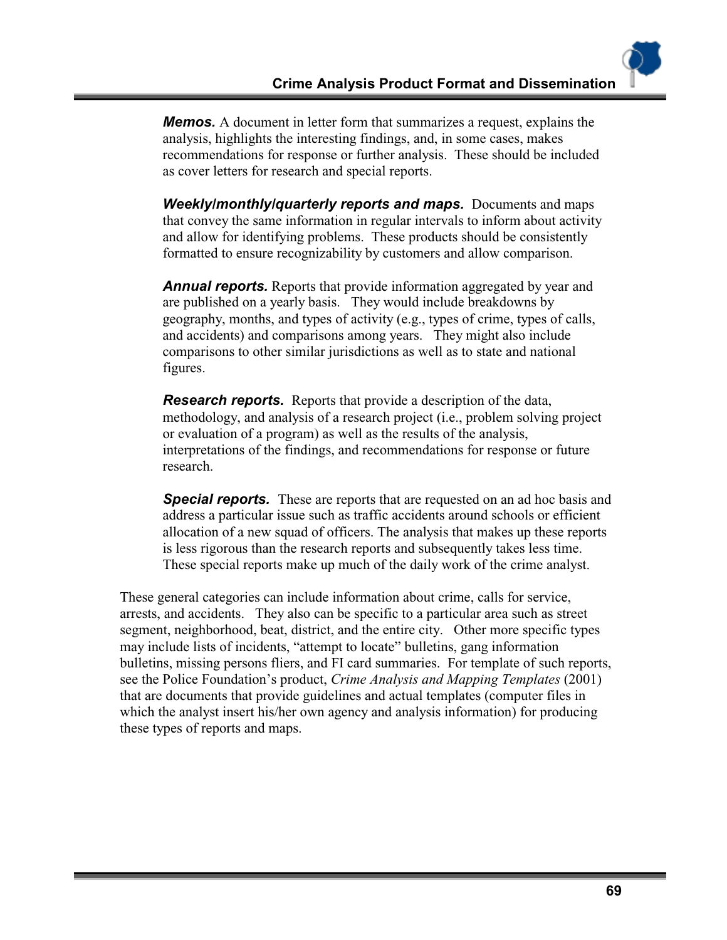*Memos.* A document in letter form that summarizes a request, explains the analysis, highlights the interesting findings, and, in some cases, makes recommendations for response or further analysis. These should be included as cover letters for research and special reports.

*Weekly/monthly/quarterly reports and maps. Documents and maps* that convey the same information in regular intervals to inform about activity and allow for identifying problems. These products should be consistently formatted to ensure recognizability by customers and allow comparison.

**Annual reports.** Reports that provide information aggregated by year and are published on a yearly basis. They would include breakdowns by geography, months, and types of activity (e.g., types of crime, types of calls, and accidents) and comparisons among years. They might also include comparisons to other similar jurisdictions as well as to state and national figures.

*Research reports.* Reports that provide a description of the data, methodology, and analysis of a research project (i.e., problem solving project or evaluation of a program) as well as the results of the analysis, interpretations of the findings, and recommendations for response or future research.

*Special reports.* These are reports that are requested on an ad hoc basis and address a particular issue such as traffic accidents around schools or efficient allocation of a new squad of officers. The analysis that makes up these reports is less rigorous than the research reports and subsequently takes less time. These special reports make up much of the daily work of the crime analyst.

These general categories can include information about crime, calls for service, arrests, and accidents. They also can be specific to a particular area such as street segment, neighborhood, beat, district, and the entire city. Other more specific types may include lists of incidents, "attempt to locate" bulletins, gang information bulletins, missing persons fliers, and FI card summaries. For template of such reports, see the Police Foundation's product, *Crime Analysis and Mapping Templates* (2001) that are documents that provide guidelines and actual templates (computer files in which the analyst insert his/her own agency and analysis information) for producing these types of reports and maps.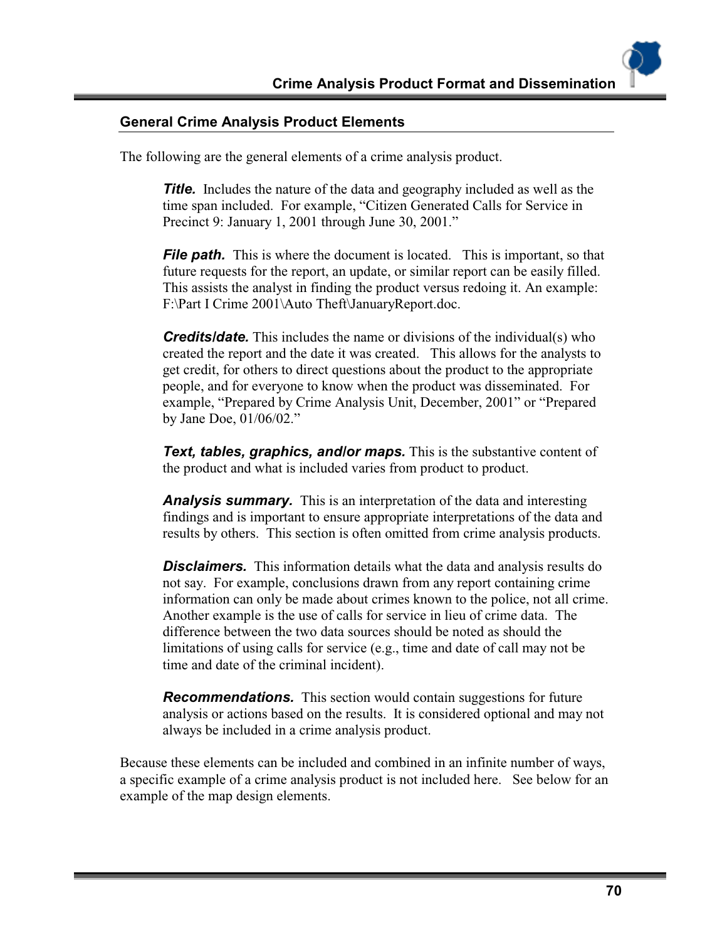#### **General Crime Analysis Product Elements**

The following are the general elements of a crime analysis product.

**Title.** Includes the nature of the data and geography included as well as the time span included. For example, "Citizen Generated Calls for Service in Precinct 9: January 1, 2001 through June 30, 2001."

*File path.* This is where the document is located. This is important, so that future requests for the report, an update, or similar report can be easily filled. This assists the analyst in finding the product versus redoing it. An example: F:\Part I Crime 2001\Auto Theft\JanuaryReport.doc.

*Credits/date.* This includes the name or divisions of the individual(s) who created the report and the date it was created. This allows for the analysts to get credit, for others to direct questions about the product to the appropriate people, and for everyone to know when the product was disseminated. For example, "Prepared by Crime Analysis Unit, December, 2001" or "Prepared by Jane Doe, 01/06/02."

*Text, tables, graphics, and/or maps.* This is the substantive content of the product and what is included varies from product to product.

*Analysis summary.* This is an interpretation of the data and interesting findings and is important to ensure appropriate interpretations of the data and results by others. This section is often omitted from crime analysis products.

**Disclaimers.** This information details what the data and analysis results do not say. For example, conclusions drawn from any report containing crime information can only be made about crimes known to the police, not all crime. Another example is the use of calls for service in lieu of crime data. The difference between the two data sources should be noted as should the limitations of using calls for service (e.g., time and date of call may not be time and date of the criminal incident).

*Recommendations.* This section would contain suggestions for future analysis or actions based on the results. It is considered optional and may not always be included in a crime analysis product.

Because these elements can be included and combined in an infinite number of ways, a specific example of a crime analysis product is not included here. See below for an example of the map design elements.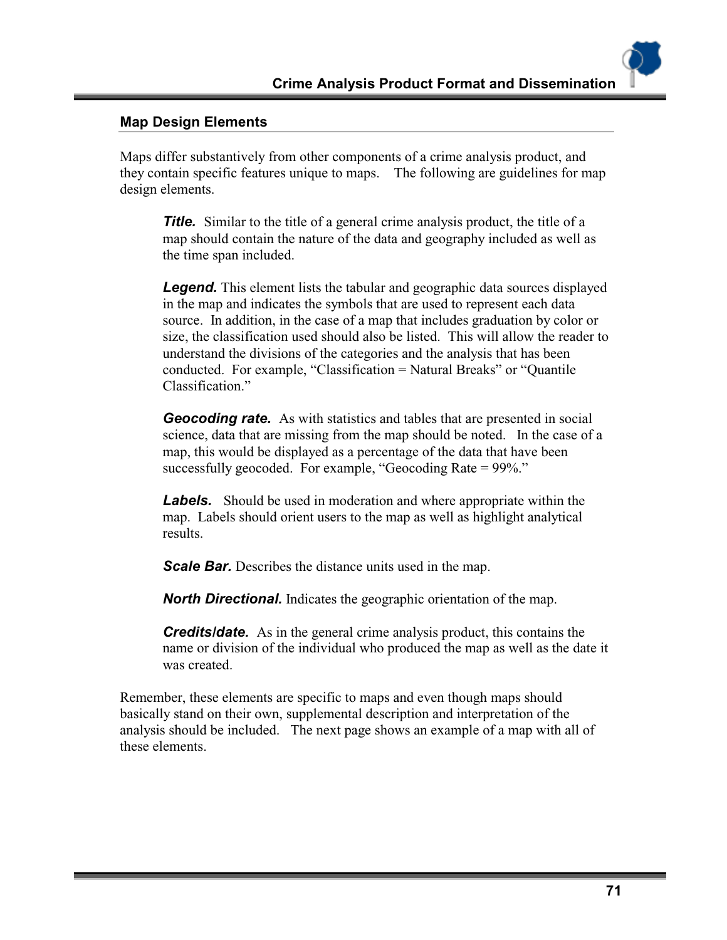#### **Map Design Elements**

Maps differ substantively from other components of a crime analysis product, and they contain specific features unique to maps. The following are guidelines for map design elements.

*Title.* Similar to the title of a general crime analysis product, the title of a map should contain the nature of the data and geography included as well as the time span included.

**Legend.** This element lists the tabular and geographic data sources displayed in the map and indicates the symbols that are used to represent each data source. In addition, in the case of a map that includes graduation by color or size, the classification used should also be listed. This will allow the reader to understand the divisions of the categories and the analysis that has been conducted. For example, "Classification = Natural Breaks" or "Quantile Classification."

*Geocoding rate.* As with statistics and tables that are presented in social science, data that are missing from the map should be noted. In the case of a map, this would be displayed as a percentage of the data that have been successfully geocoded. For example, "Geocoding Rate = 99%."

**Labels.** Should be used in moderation and where appropriate within the map. Labels should orient users to the map as well as highlight analytical results.

**Scale Bar.** Describes the distance units used in the map.

*North Directional.* Indicates the geographic orientation of the map.

**Credits/date.** As in the general crime analysis product, this contains the name or division of the individual who produced the map as well as the date it was created.

Remember, these elements are specific to maps and even though maps should basically stand on their own, supplemental description and interpretation of the analysis should be included. The next page shows an example of a map with all of these elements.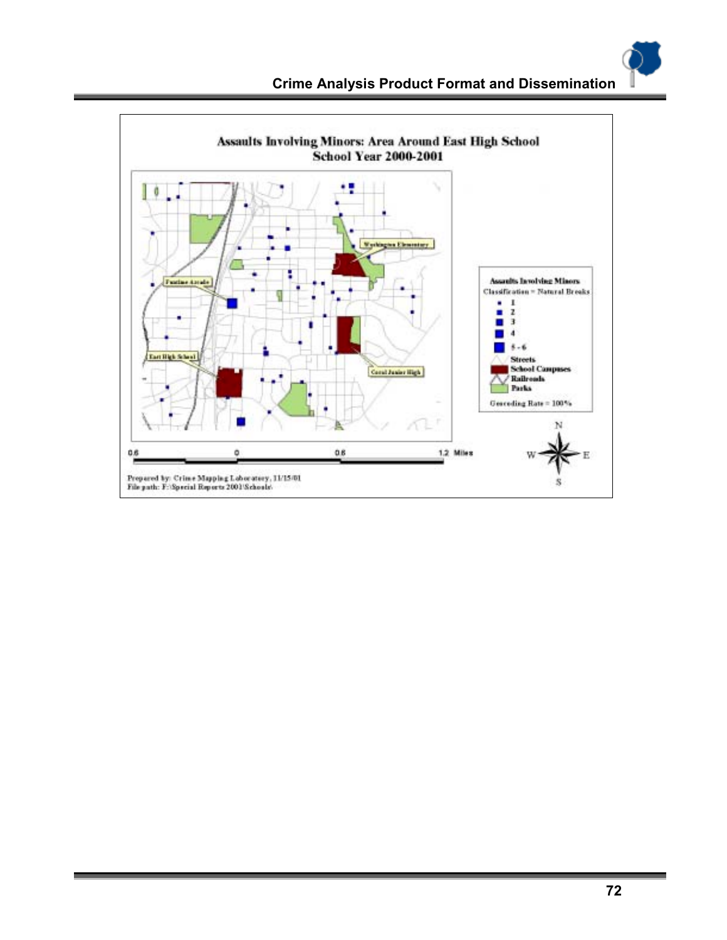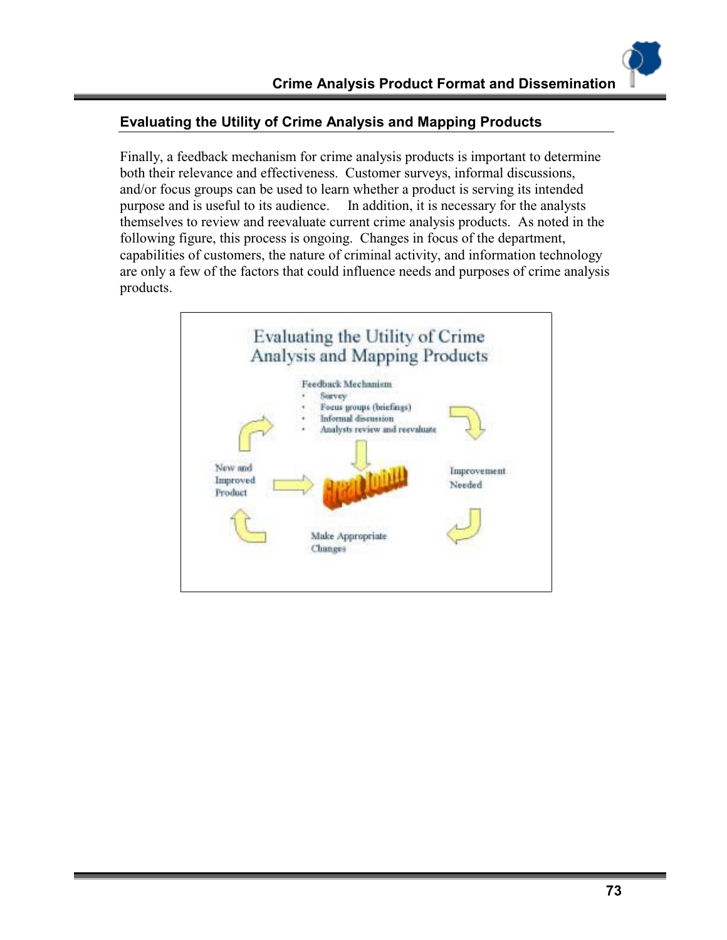## **Evaluating the Utility of Crime Analysis and Mapping Products**

Finally, a feedback mechanism for crime analysis products is important to determine both their relevance and effectiveness. Customer surveys, informal discussions, and/or focus groups can be used to learn whether a product is serving its intended purpose and is useful to its audience. In addition, it is necessary for the analysts themselves to review and reevaluate current crime analysis products. As noted in the following figure, this process is ongoing. Changes in focus of the department, capabilities of customers, the nature of criminal activity, and information technology are only a few of the factors that could influence needs and purposes of crime analysis products.